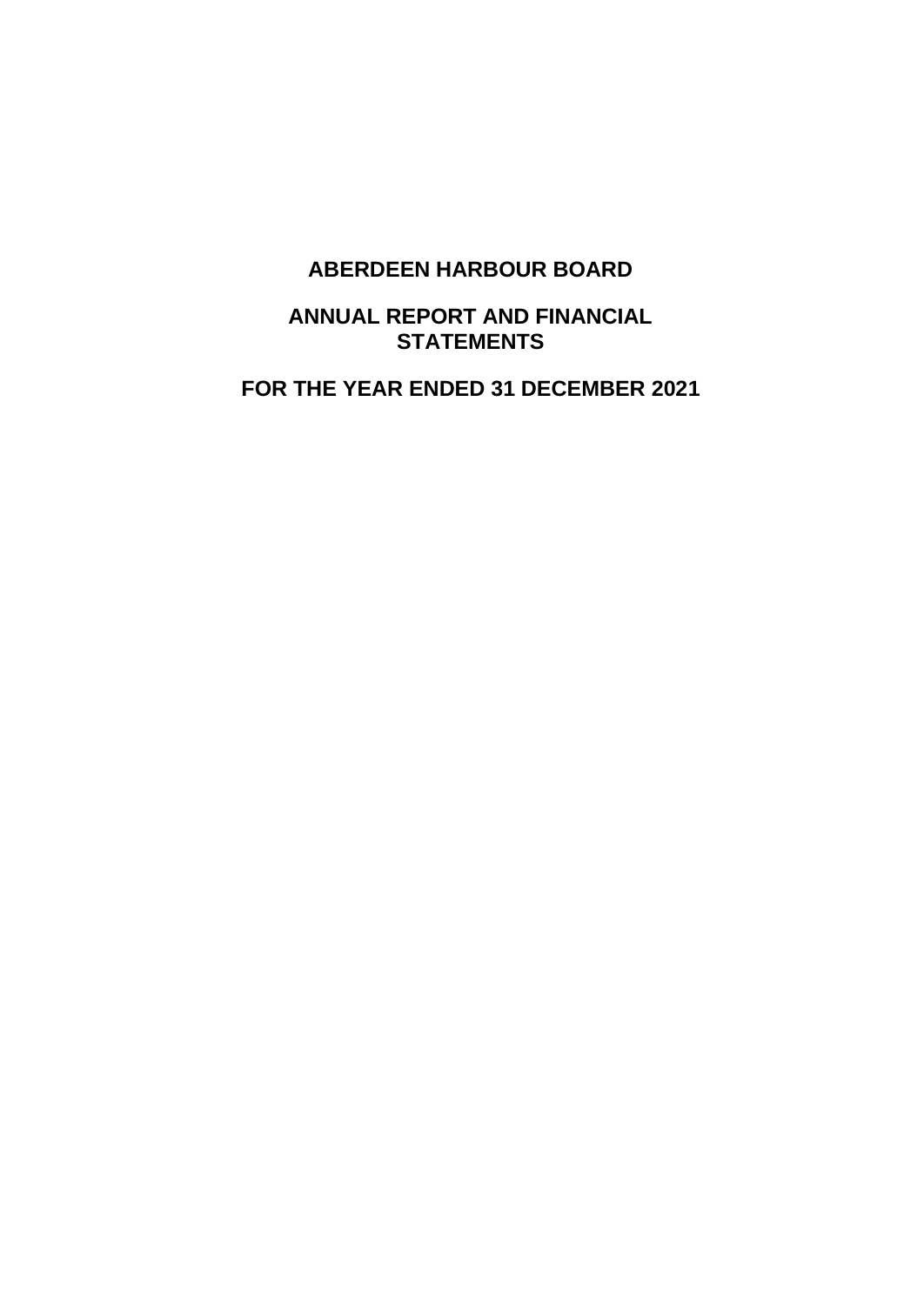## **ANNUAL REPORT AND FINANCIAL STATEMENTS**

**FOR THE YEAR ENDED 31 DECEMBER 2021**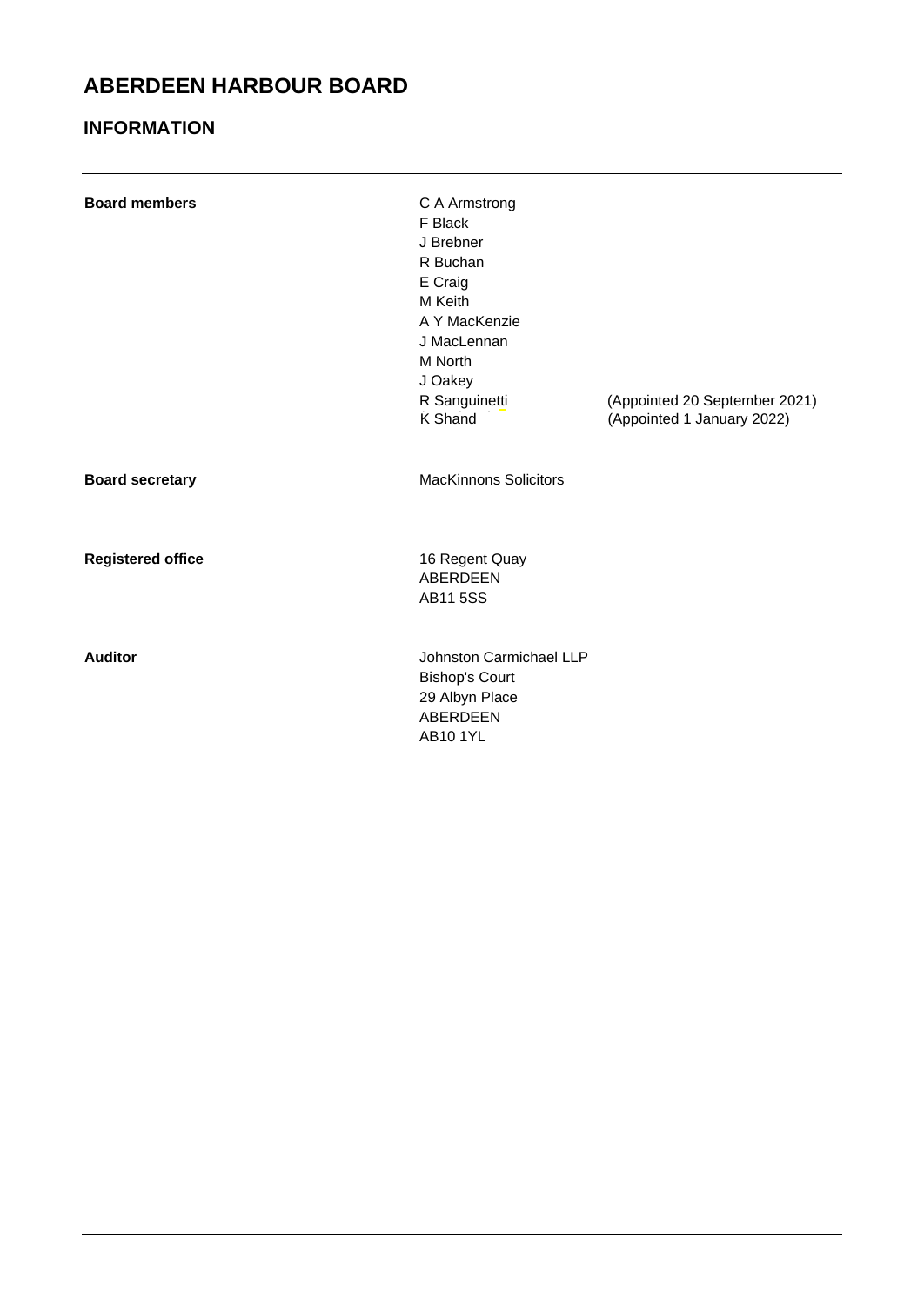## **INFORMATION**

| <b>Board members</b>     | C A Armstrong<br>F Black<br>J Brebner<br>R Buchan<br>E Craig<br>M Keith<br>A Y MacKenzie<br>J MacLennan<br>M North<br>J Oakey<br>R Sanguinetti<br>K Shand | (Appointed 20 September 2021)<br>(Appointed 1 January 2022) |
|--------------------------|-----------------------------------------------------------------------------------------------------------------------------------------------------------|-------------------------------------------------------------|
| <b>Board secretary</b>   | <b>MacKinnons Solicitors</b>                                                                                                                              |                                                             |
| <b>Registered office</b> | 16 Regent Quay<br><b>ABERDEEN</b><br><b>AB115SS</b>                                                                                                       |                                                             |
| <b>Auditor</b>           | Johnston Carmichael LLP<br><b>Bishop's Court</b><br>29 Albyn Place<br><b>ABERDEEN</b>                                                                     |                                                             |

AB10 1YL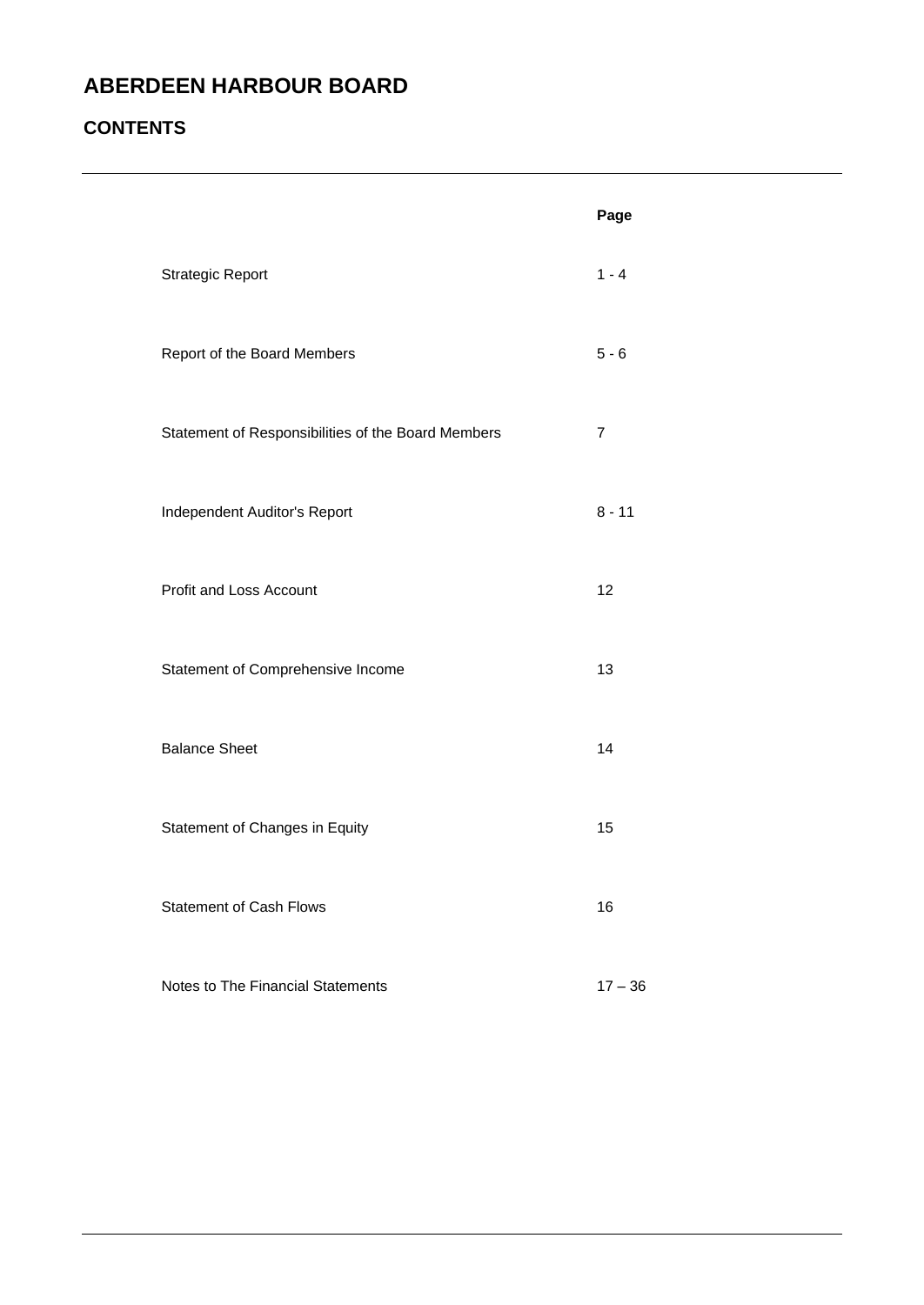## **CONTENTS**

|                                                    | Page           |
|----------------------------------------------------|----------------|
| <b>Strategic Report</b>                            | $1 - 4$        |
| Report of the Board Members                        | $5 - 6$        |
| Statement of Responsibilities of the Board Members | $\overline{7}$ |
| Independent Auditor's Report                       | $8 - 11$       |
| Profit and Loss Account                            | 12             |
| Statement of Comprehensive Income                  | 13             |
| <b>Balance Sheet</b>                               | 14             |
| Statement of Changes in Equity                     | 15             |
| <b>Statement of Cash Flows</b>                     | 16             |
| Notes to The Financial Statements                  | $17 - 36$      |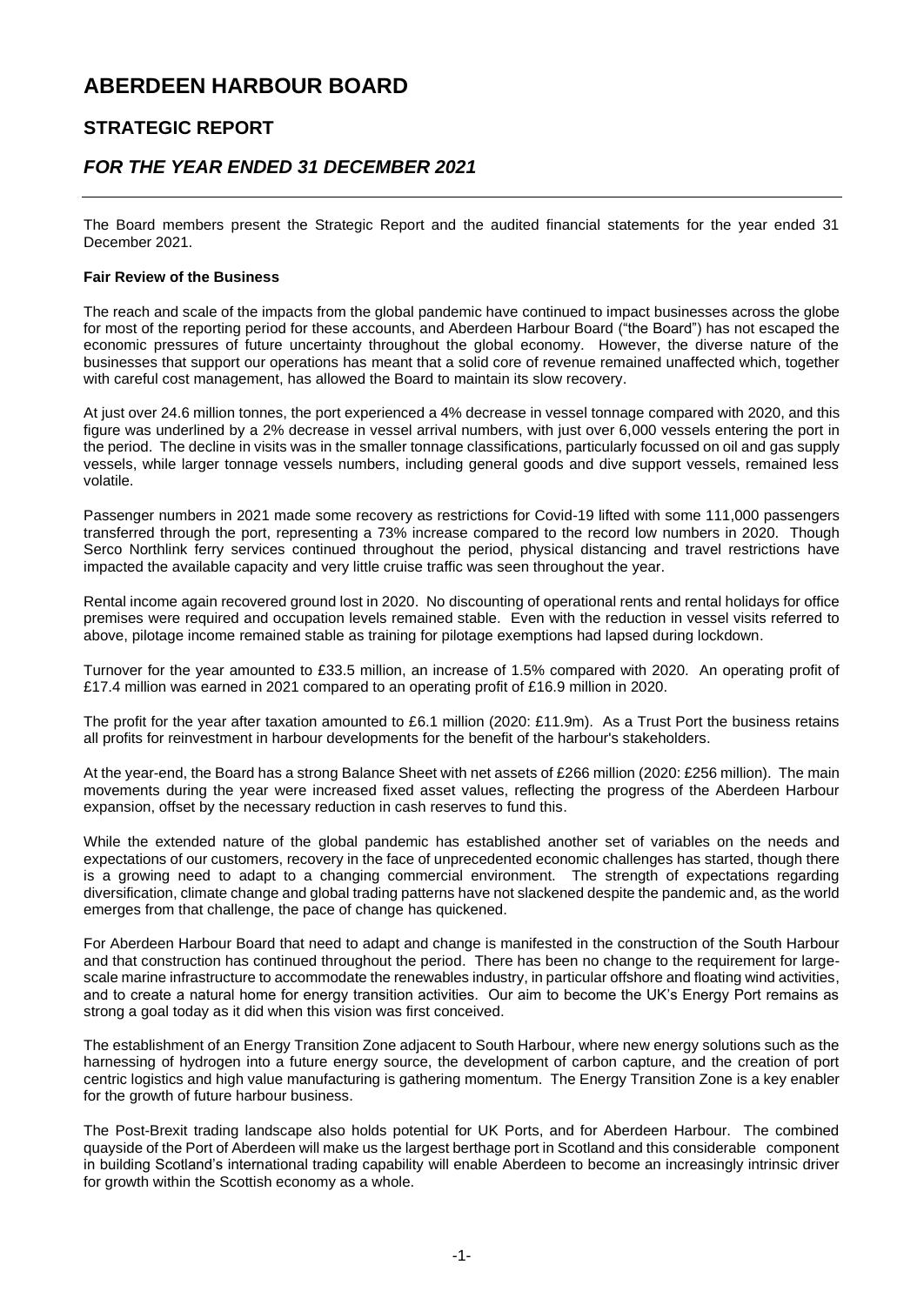### **STRATEGIC REPORT**

### *FOR THE YEAR ENDED 31 DECEMBER 2021*

The Board members present the Strategic Report and the audited financial statements for the year ended 31 December 2021.

#### **Fair Review of the Business**

The reach and scale of the impacts from the global pandemic have continued to impact businesses across the globe for most of the reporting period for these accounts, and Aberdeen Harbour Board ("the Board") has not escaped the economic pressures of future uncertainty throughout the global economy. However, the diverse nature of the businesses that support our operations has meant that a solid core of revenue remained unaffected which, together with careful cost management, has allowed the Board to maintain its slow recovery.

At just over 24.6 million tonnes, the port experienced a 4% decrease in vessel tonnage compared with 2020, and this figure was underlined by a 2% decrease in vessel arrival numbers, with just over 6,000 vessels entering the port in the period. The decline in visits was in the smaller tonnage classifications, particularly focussed on oil and gas supply vessels, while larger tonnage vessels numbers, including general goods and dive support vessels, remained less volatile.

Passenger numbers in 2021 made some recovery as restrictions for Covid-19 lifted with some 111,000 passengers transferred through the port, representing a 73% increase compared to the record low numbers in 2020. Though Serco Northlink ferry services continued throughout the period, physical distancing and travel restrictions have impacted the available capacity and very little cruise traffic was seen throughout the year.

Rental income again recovered ground lost in 2020. No discounting of operational rents and rental holidays for office premises were required and occupation levels remained stable. Even with the reduction in vessel visits referred to above, pilotage income remained stable as training for pilotage exemptions had lapsed during lockdown.

Turnover for the year amounted to £33.5 million, an increase of 1.5% compared with 2020. An operating profit of £17.4 million was earned in 2021 compared to an operating profit of £16.9 million in 2020.

The profit for the year after taxation amounted to £6.1 million (2020: £11.9m). As a Trust Port the business retains all profits for reinvestment in harbour developments for the benefit of the harbour's stakeholders.

At the year-end, the Board has a strong Balance Sheet with net assets of £266 million (2020: £256 million). The main movements during the year were increased fixed asset values, reflecting the progress of the Aberdeen Harbour expansion, offset by the necessary reduction in cash reserves to fund this.

While the extended nature of the global pandemic has established another set of variables on the needs and expectations of our customers, recovery in the face of unprecedented economic challenges has started, though there is a growing need to adapt to a changing commercial environment. The strength of expectations regarding diversification, climate change and global trading patterns have not slackened despite the pandemic and, as the world emerges from that challenge, the pace of change has quickened.

For Aberdeen Harbour Board that need to adapt and change is manifested in the construction of the South Harbour and that construction has continued throughout the period. There has been no change to the requirement for largescale marine infrastructure to accommodate the renewables industry, in particular offshore and floating wind activities, and to create a natural home for energy transition activities. Our aim to become the UK's Energy Port remains as strong a goal today as it did when this vision was first conceived.

The establishment of an Energy Transition Zone adjacent to South Harbour, where new energy solutions such as the harnessing of hydrogen into a future energy source, the development of carbon capture, and the creation of port centric logistics and high value manufacturing is gathering momentum. The Energy Transition Zone is a key enabler for the growth of future harbour business.

The Post-Brexit trading landscape also holds potential for UK Ports, and for Aberdeen Harbour. The combined quayside of the Port of Aberdeen will make us the largest berthage port in Scotland and this considerable component in building Scotland's international trading capability will enable Aberdeen to become an increasingly intrinsic driver for growth within the Scottish economy as a whole.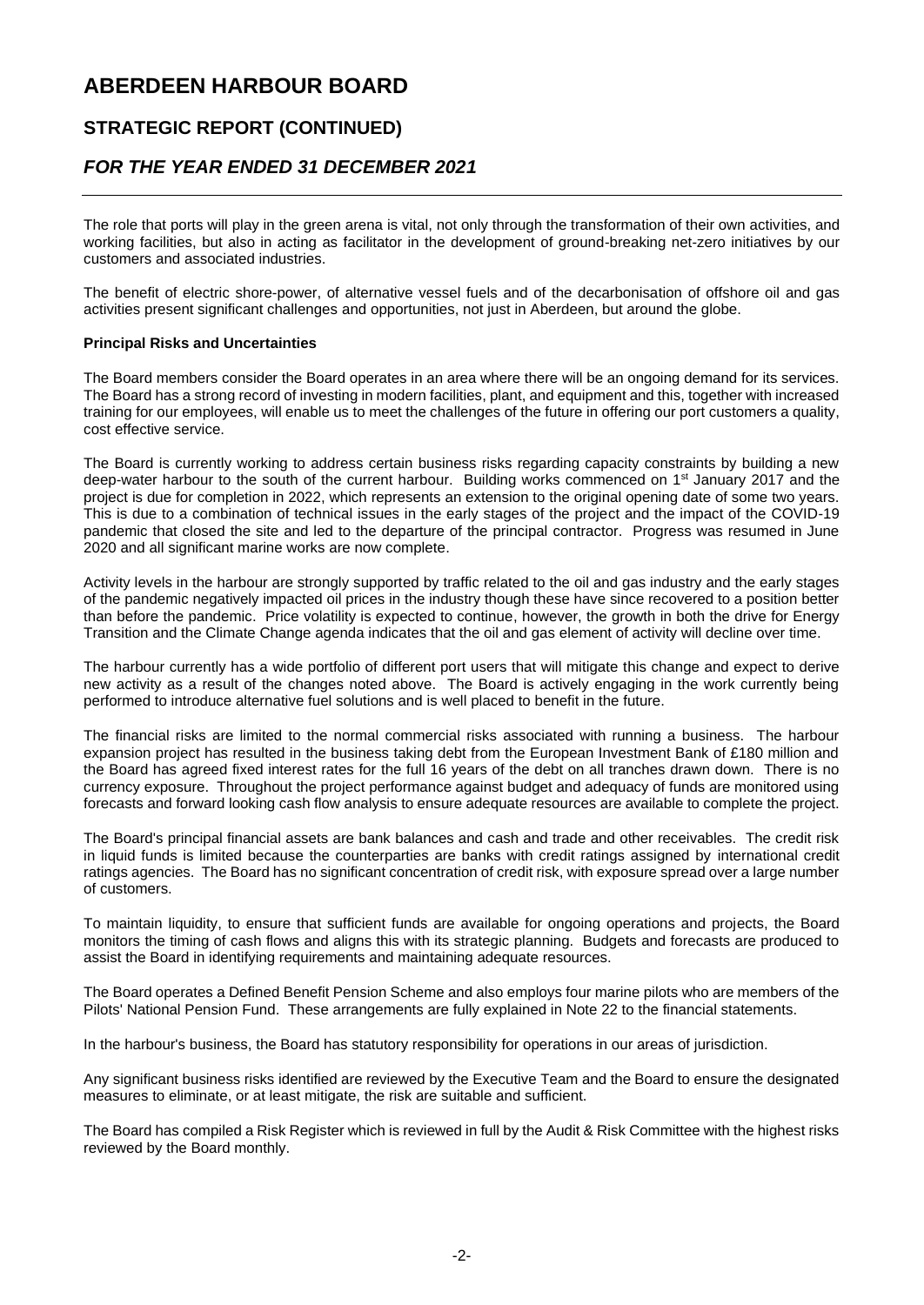### **STRATEGIC REPORT (CONTINUED)**

### *FOR THE YEAR ENDED 31 DECEMBER 2021*

The role that ports will play in the green arena is vital, not only through the transformation of their own activities, and working facilities, but also in acting as facilitator in the development of ground-breaking net-zero initiatives by our customers and associated industries.

The benefit of electric shore-power, of alternative vessel fuels and of the decarbonisation of offshore oil and gas activities present significant challenges and opportunities, not just in Aberdeen, but around the globe.

#### **Principal Risks and Uncertainties**

The Board members consider the Board operates in an area where there will be an ongoing demand for its services. The Board has a strong record of investing in modern facilities, plant, and equipment and this, together with increased training for our employees, will enable us to meet the challenges of the future in offering our port customers a quality, cost effective service.

The Board is currently working to address certain business risks regarding capacity constraints by building a new deep-water harbour to the south of the current harbour. Building works commenced on 1<sup>st</sup> January 2017 and the project is due for completion in 2022, which represents an extension to the original opening date of some two years. This is due to a combination of technical issues in the early stages of the project and the impact of the COVID-19 pandemic that closed the site and led to the departure of the principal contractor. Progress was resumed in June 2020 and all significant marine works are now complete.

Activity levels in the harbour are strongly supported by traffic related to the oil and gas industry and the early stages of the pandemic negatively impacted oil prices in the industry though these have since recovered to a position better than before the pandemic. Price volatility is expected to continue, however, the growth in both the drive for Energy Transition and the Climate Change agenda indicates that the oil and gas element of activity will decline over time.

The harbour currently has a wide portfolio of different port users that will mitigate this change and expect to derive new activity as a result of the changes noted above. The Board is actively engaging in the work currently being performed to introduce alternative fuel solutions and is well placed to benefit in the future.

The financial risks are limited to the normal commercial risks associated with running a business. The harbour expansion project has resulted in the business taking debt from the European Investment Bank of £180 million and the Board has agreed fixed interest rates for the full 16 years of the debt on all tranches drawn down. There is no currency exposure. Throughout the project performance against budget and adequacy of funds are monitored using forecasts and forward looking cash flow analysis to ensure adequate resources are available to complete the project.

The Board's principal financial assets are bank balances and cash and trade and other receivables. The credit risk in liquid funds is limited because the counterparties are banks with credit ratings assigned by international credit ratings agencies. The Board has no significant concentration of credit risk, with exposure spread over a large number of customers.

To maintain liquidity, to ensure that sufficient funds are available for ongoing operations and projects, the Board monitors the timing of cash flows and aligns this with its strategic planning. Budgets and forecasts are produced to assist the Board in identifying requirements and maintaining adequate resources.

The Board operates a Defined Benefit Pension Scheme and also employs four marine pilots who are members of the Pilots' National Pension Fund. These arrangements are fully explained in Note 22 to the financial statements.

In the harbour's business, the Board has statutory responsibility for operations in our areas of jurisdiction.

Any significant business risks identified are reviewed by the Executive Team and the Board to ensure the designated measures to eliminate, or at least mitigate, the risk are suitable and sufficient.

The Board has compiled a Risk Register which is reviewed in full by the Audit & Risk Committee with the highest risks reviewed by the Board monthly.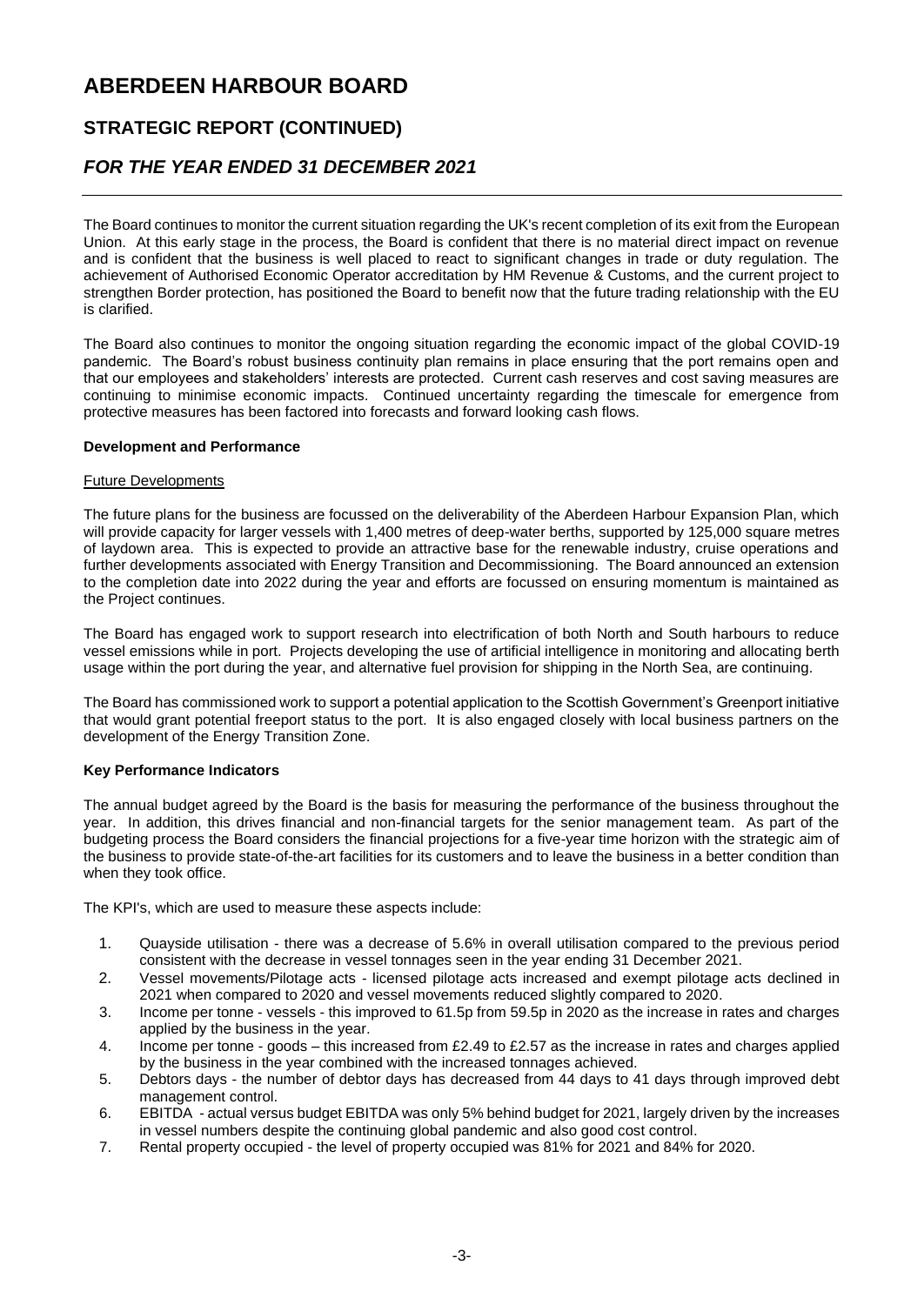### **STRATEGIC REPORT (CONTINUED)**

### *FOR THE YEAR ENDED 31 DECEMBER 2021*

The Board continues to monitor the current situation regarding the UK's recent completion of its exit from the European Union. At this early stage in the process, the Board is confident that there is no material direct impact on revenue and is confident that the business is well placed to react to significant changes in trade or duty regulation. The achievement of Authorised Economic Operator accreditation by HM Revenue & Customs, and the current project to strengthen Border protection, has positioned the Board to benefit now that the future trading relationship with the EU is clarified.

The Board also continues to monitor the ongoing situation regarding the economic impact of the global COVID-19 pandemic. The Board's robust business continuity plan remains in place ensuring that the port remains open and that our employees and stakeholders' interests are protected. Current cash reserves and cost saving measures are continuing to minimise economic impacts. Continued uncertainty regarding the timescale for emergence from protective measures has been factored into forecasts and forward looking cash flows.

#### **Development and Performance**

#### Future Developments

The future plans for the business are focussed on the deliverability of the Aberdeen Harbour Expansion Plan, which will provide capacity for larger vessels with 1,400 metres of deep-water berths, supported by 125,000 square metres of laydown area. This is expected to provide an attractive base for the renewable industry, cruise operations and further developments associated with Energy Transition and Decommissioning. The Board announced an extension to the completion date into 2022 during the year and efforts are focussed on ensuring momentum is maintained as the Project continues.

The Board has engaged work to support research into electrification of both North and South harbours to reduce vessel emissions while in port. Projects developing the use of artificial intelligence in monitoring and allocating berth usage within the port during the year, and alternative fuel provision for shipping in the North Sea, are continuing.

The Board has commissioned work to support a potential application to the Scottish Government's Greenport initiative that would grant potential freeport status to the port. It is also engaged closely with local business partners on the development of the Energy Transition Zone.

#### **Key Performance Indicators**

The annual budget agreed by the Board is the basis for measuring the performance of the business throughout the year. In addition, this drives financial and non-financial targets for the senior management team. As part of the budgeting process the Board considers the financial projections for a five-year time horizon with the strategic aim of the business to provide state-of-the-art facilities for its customers and to leave the business in a better condition than when they took office.

The KPI's, which are used to measure these aspects include:

- 1. Quayside utilisation there was a decrease of 5.6% in overall utilisation compared to the previous period consistent with the decrease in vessel tonnages seen in the year ending 31 December 2021.
- 2. Vessel movements/Pilotage acts licensed pilotage acts increased and exempt pilotage acts declined in 2021 when compared to 2020 and vessel movements reduced slightly compared to 2020.
- 3. Income per tonne vessels this improved to 61.5p from 59.5p in 2020 as the increase in rates and charges applied by the business in the year.
- 4. Income per tonne goods this increased from £2.49 to £2.57 as the increase in rates and charges applied by the business in the year combined with the increased tonnages achieved.
- 5. Debtors days the number of debtor days has decreased from 44 days to 41 days through improved debt management control.
- 6. EBITDA actual versus budget EBITDA was only 5% behind budget for 2021, largely driven by the increases in vessel numbers despite the continuing global pandemic and also good cost control.
- 7. Rental property occupied the level of property occupied was 81% for 2021 and 84% for 2020.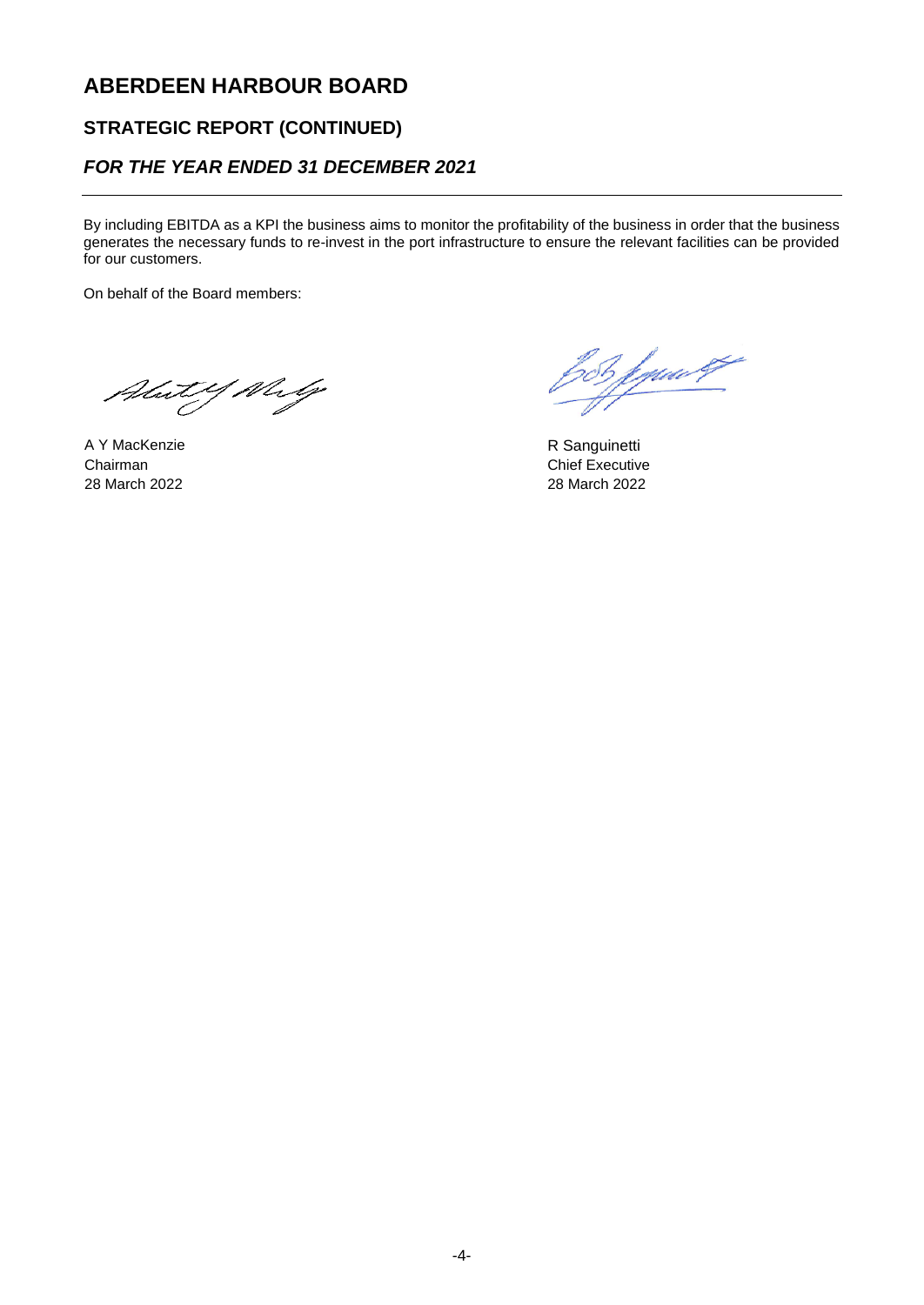### **STRATEGIC REPORT (CONTINUED)**

### *FOR THE YEAR ENDED 31 DECEMBER 2021*

By including EBITDA as a KPI the business aims to monitor the profitability of the business in order that the business generates the necessary funds to re-invest in the port infrastructure to ensure the relevant facilities can be provided for our customers.

On behalf of the Board members:

Abut Y Why

A Y MacKenzie **R** Sanguinetti Chairman Chairman Chief Executive 28 March 2022 28 March 2022

bob fywert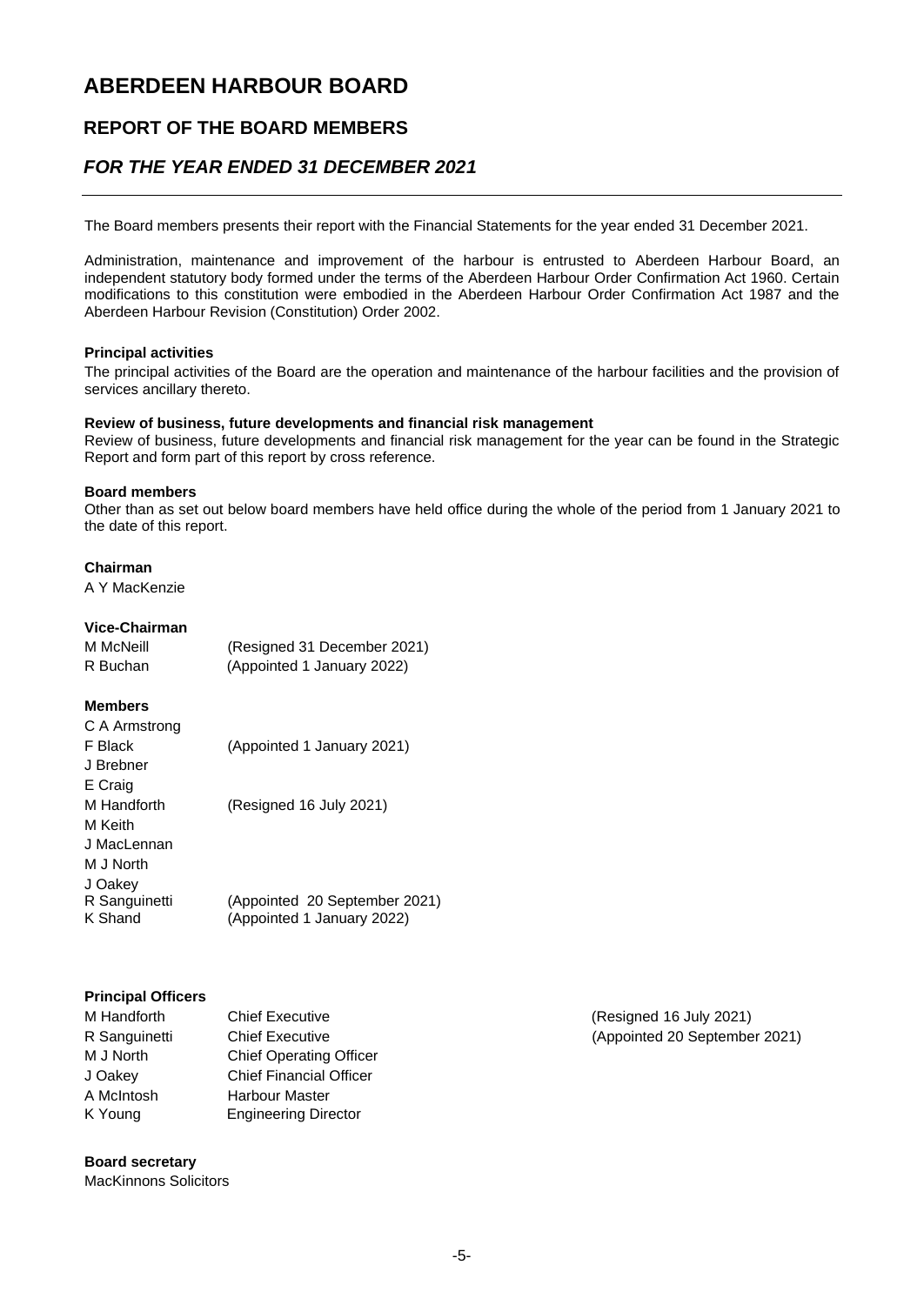### **REPORT OF THE BOARD MEMBERS**

### *FOR THE YEAR ENDED 31 DECEMBER 2021*

The Board members presents their report with the Financial Statements for the year ended 31 December 2021.

Administration, maintenance and improvement of the harbour is entrusted to Aberdeen Harbour Board, an independent statutory body formed under the terms of the Aberdeen Harbour Order Confirmation Act 1960. Certain modifications to this constitution were embodied in the Aberdeen Harbour Order Confirmation Act 1987 and the Aberdeen Harbour Revision (Constitution) Order 2002.

#### **Principal activities**

The principal activities of the Board are the operation and maintenance of the harbour facilities and the provision of services ancillary thereto.

#### **Review of business, future developments and financial risk management**

Review of business, future developments and financial risk management for the year can be found in the Strategic Report and form part of this report by cross reference.

#### **Board members**

Other than as set out below board members have held office during the whole of the period from 1 January 2021 to the date of this report.

#### **Chairman**

A Y MacKenzie

#### **Vice-Chairman**

| M McNeill | (Resigned 31 December 2021) |
|-----------|-----------------------------|
| R Buchan  | (Appointed 1 January 2022)  |

#### **Members**

| C A Armstrong            |                                                             |
|--------------------------|-------------------------------------------------------------|
| F Black                  | (Appointed 1 January 2021)                                  |
| J Brebner                |                                                             |
| E Craig                  |                                                             |
| M Handforth              | (Resigned 16 July 2021)                                     |
| M Keith                  |                                                             |
| J MacLennan              |                                                             |
| M J North                |                                                             |
| J Oakey                  |                                                             |
| R Sanguinetti<br>K Shand | (Appointed 20 September 2021)<br>(Appointed 1 January 2022) |
|                          |                                                             |

#### **Principal Officers**

| M Handforth   | <b>Chief Executive</b>         |
|---------------|--------------------------------|
| R Sanguinetti | <b>Chief Executive</b>         |
| M J North     | <b>Chief Operating Officer</b> |
| J Oakey       | <b>Chief Financial Officer</b> |
| A McIntosh    | <b>Harbour Master</b>          |
| K Young       | <b>Engineering Director</b>    |

#### **Board secretary**

MacKinnons Solicitors

(Resigned 16 July 2021) (Appointed 20 September 2021)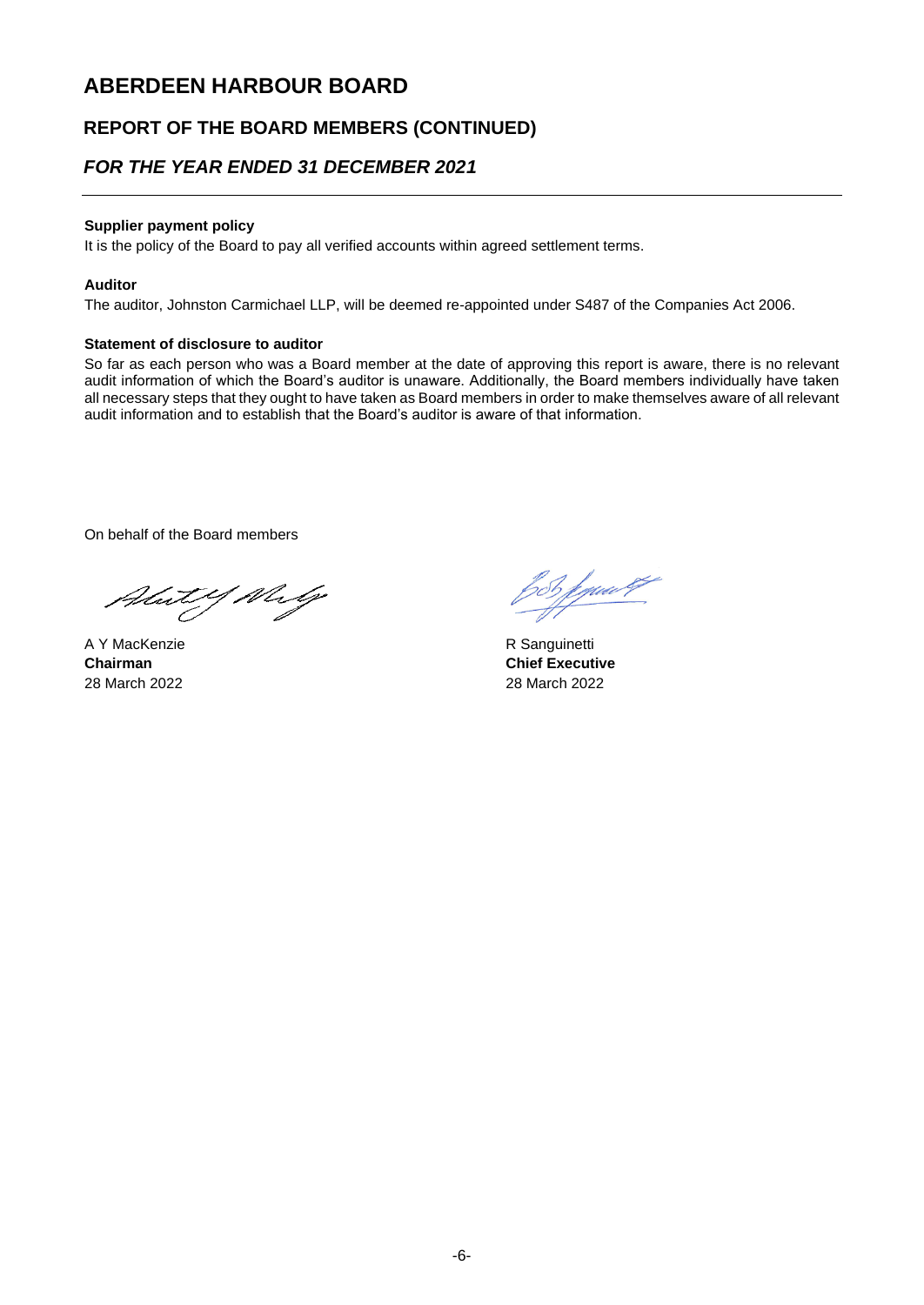### **REPORT OF THE BOARD MEMBERS (CONTINUED)**

### *FOR THE YEAR ENDED 31 DECEMBER 2021*

#### **Supplier payment policy**

It is the policy of the Board to pay all verified accounts within agreed settlement terms.

#### **Auditor**

The auditor, Johnston Carmichael LLP, will be deemed re-appointed under S487 of the Companies Act 2006.

#### **Statement of disclosure to auditor**

So far as each person who was a Board member at the date of approving this report is aware, there is no relevant audit information of which the Board's auditor is unaware. Additionally, the Board members individually have taken all necessary steps that they ought to have taken as Board members in order to make themselves aware of all relevant audit information and to establish that the Board's auditor is aware of that information.

On behalf of the Board members

Abut Y Why

 A Y MacKenzie R Sanguinetti 28 March 2022 28 March 2022

for fym <sup>eg</sup>

**Chairman Chairman Chief Executive**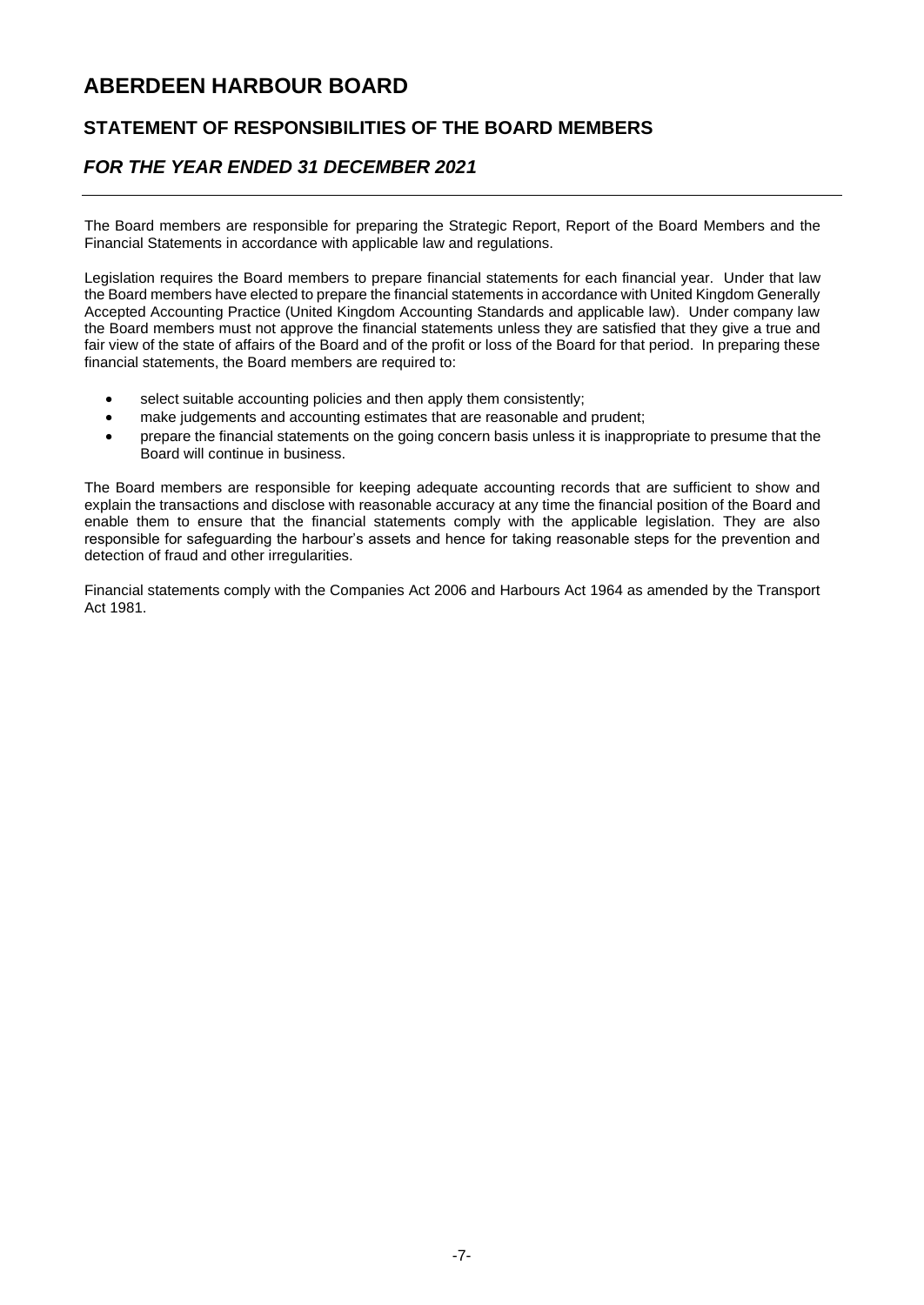### **STATEMENT OF RESPONSIBILITIES OF THE BOARD MEMBERS**

### *FOR THE YEAR ENDED 31 DECEMBER 2021*

The Board members are responsible for preparing the Strategic Report, Report of the Board Members and the Financial Statements in accordance with applicable law and regulations.

Legislation requires the Board members to prepare financial statements for each financial year. Under that law the Board members have elected to prepare the financial statements in accordance with United Kingdom Generally Accepted Accounting Practice (United Kingdom Accounting Standards and applicable law). Under company law the Board members must not approve the financial statements unless they are satisfied that they give a true and fair view of the state of affairs of the Board and of the profit or loss of the Board for that period. In preparing these financial statements, the Board members are required to:

- select suitable accounting policies and then apply them consistently;
- make judgements and accounting estimates that are reasonable and prudent;
- prepare the financial statements on the going concern basis unless it is inappropriate to presume that the Board will continue in business.

The Board members are responsible for keeping adequate accounting records that are sufficient to show and explain the transactions and disclose with reasonable accuracy at any time the financial position of the Board and enable them to ensure that the financial statements comply with the applicable legislation. They are also responsible for safeguarding the harbour's assets and hence for taking reasonable steps for the prevention and detection of fraud and other irregularities.

Financial statements comply with the Companies Act 2006 and Harbours Act 1964 as amended by the Transport Act 1981.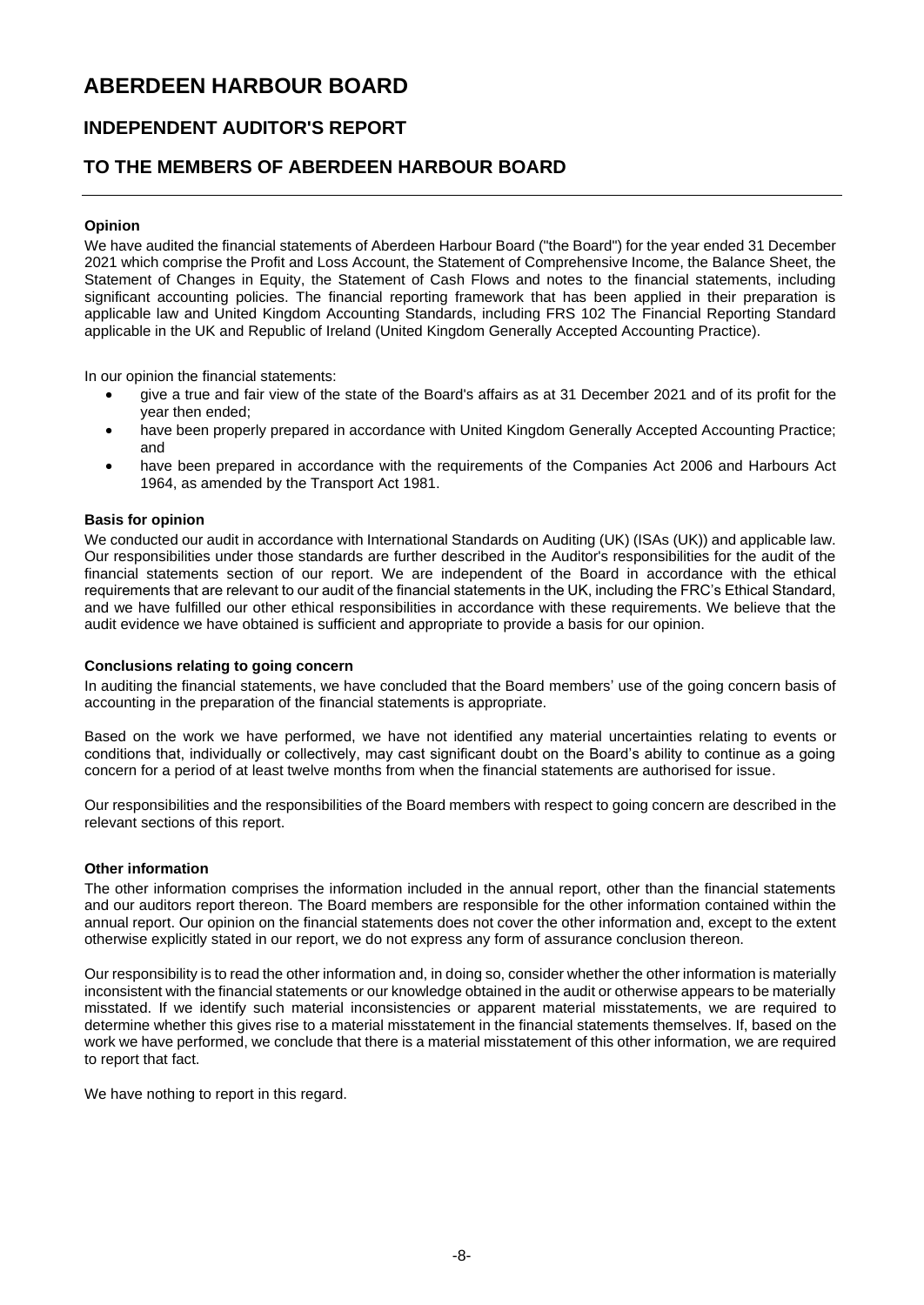### **INDEPENDENT AUDITOR'S REPORT**

### **TO THE MEMBERS OF ABERDEEN HARBOUR BOARD**

#### **Opinion**

We have audited the financial statements of Aberdeen Harbour Board ("the Board") for the year ended 31 December 2021 which comprise the Profit and Loss Account, the Statement of Comprehensive Income, the Balance Sheet, the Statement of Changes in Equity, the Statement of Cash Flows and notes to the financial statements, including significant accounting policies. The financial reporting framework that has been applied in their preparation is applicable law and United Kingdom Accounting Standards, including FRS 102 The Financial Reporting Standard applicable in the UK and Republic of Ireland (United Kingdom Generally Accepted Accounting Practice).

In our opinion the financial statements:

- give a true and fair view of the state of the Board's affairs as at 31 December 2021 and of its profit for the year then ended;
- have been properly prepared in accordance with United Kingdom Generally Accepted Accounting Practice; and
- have been prepared in accordance with the requirements of the Companies Act 2006 and Harbours Act 1964, as amended by the Transport Act 1981.

#### **Basis for opinion**

We conducted our audit in accordance with International Standards on Auditing (UK) (ISAs (UK)) and applicable law. Our responsibilities under those standards are further described in the Auditor's responsibilities for the audit of the financial statements section of our report. We are independent of the Board in accordance with the ethical requirements that are relevant to our audit of the financial statements in the UK, including the FRC's Ethical Standard, and we have fulfilled our other ethical responsibilities in accordance with these requirements. We believe that the audit evidence we have obtained is sufficient and appropriate to provide a basis for our opinion.

#### **Conclusions relating to going concern**

In auditing the financial statements, we have concluded that the Board members' use of the going concern basis of accounting in the preparation of the financial statements is appropriate.

Based on the work we have performed, we have not identified any material uncertainties relating to events or conditions that, individually or collectively, may cast significant doubt on the Board's ability to continue as a going concern for a period of at least twelve months from when the financial statements are authorised for issue.

Our responsibilities and the responsibilities of the Board members with respect to going concern are described in the relevant sections of this report.

#### **Other information**

The other information comprises the information included in the annual report, other than the financial statements and our auditors report thereon. The Board members are responsible for the other information contained within the annual report. Our opinion on the financial statements does not cover the other information and, except to the extent otherwise explicitly stated in our report, we do not express any form of assurance conclusion thereon.

Our responsibility is to read the other information and, in doing so, consider whether the other information is materially inconsistent with the financial statements or our knowledge obtained in the audit or otherwise appears to be materially misstated. If we identify such material inconsistencies or apparent material misstatements, we are required to determine whether this gives rise to a material misstatement in the financial statements themselves. If, based on the work we have performed, we conclude that there is a material misstatement of this other information, we are required to report that fact.

We have nothing to report in this regard.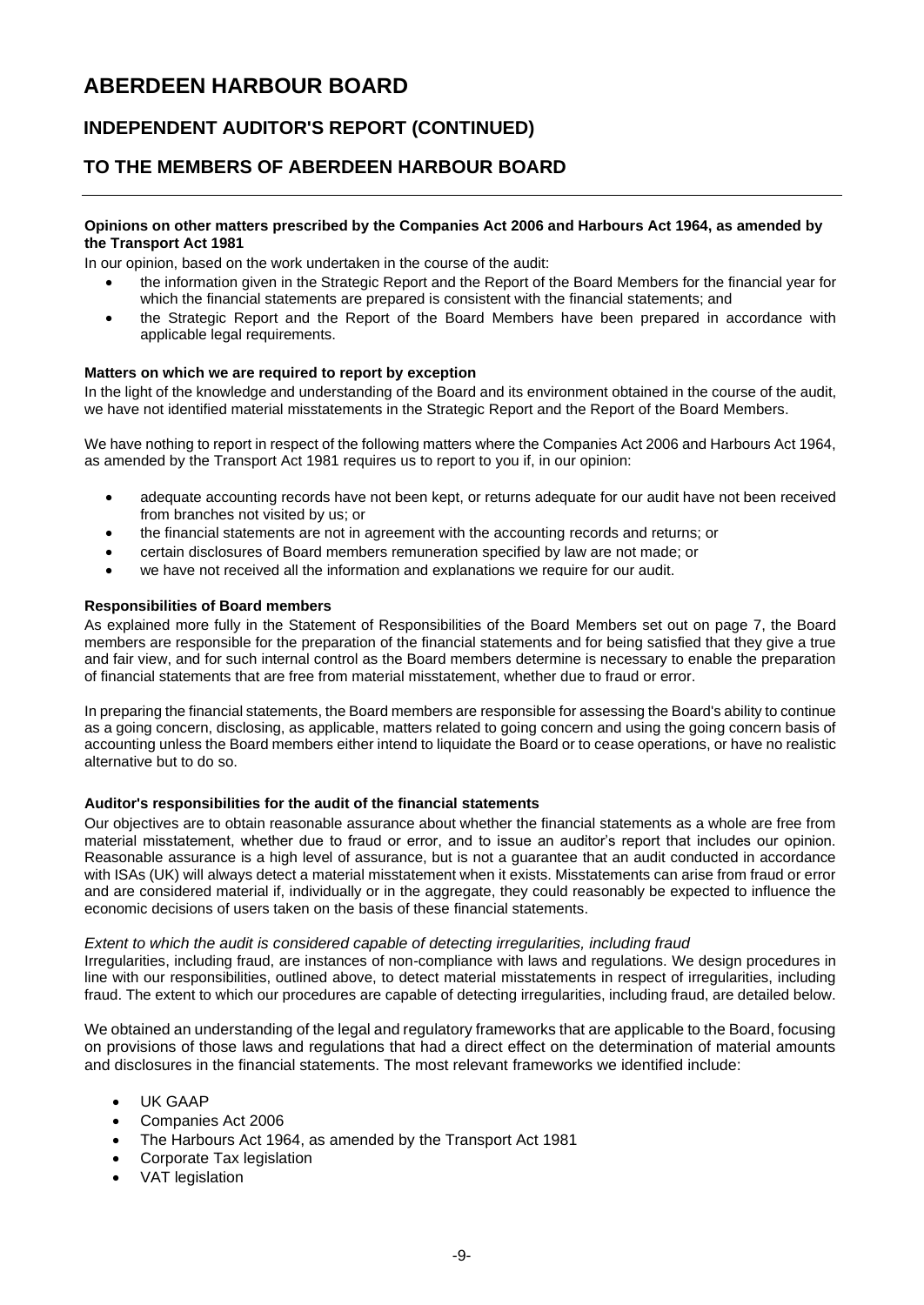## **INDEPENDENT AUDITOR'S REPORT (CONTINUED)**

### **TO THE MEMBERS OF ABERDEEN HARBOUR BOARD**

#### **Opinions on other matters prescribed by the Companies Act 2006 and Harbours Act 1964, as amended by the Transport Act 1981**

In our opinion, based on the work undertaken in the course of the audit:

- the information given in the Strategic Report and the Report of the Board Members for the financial year for which the financial statements are prepared is consistent with the financial statements; and
- the Strategic Report and the Report of the Board Members have been prepared in accordance with applicable legal requirements.

#### **Matters on which we are required to report by exception**

In the light of the knowledge and understanding of the Board and its environment obtained in the course of the audit, we have not identified material misstatements in the Strategic Report and the Report of the Board Members.

We have nothing to report in respect of the following matters where the Companies Act 2006 and Harbours Act 1964, as amended by the Transport Act 1981 requires us to report to you if, in our opinion:

- adequate accounting records have not been kept, or returns adequate for our audit have not been received from branches not visited by us; or
- the financial statements are not in agreement with the accounting records and returns; or
- certain disclosures of Board members remuneration specified by law are not made; or
- we have not received all the information and explanations we require for our audit.

#### **Responsibilities of Board members**

As explained more fully in the Statement of Responsibilities of the Board Members set out on page 7, the Board members are responsible for the preparation of the financial statements and for being satisfied that they give a true and fair view, and for such internal control as the Board members determine is necessary to enable the preparation of financial statements that are free from material misstatement, whether due to fraud or error.

In preparing the financial statements, the Board members are responsible for assessing the Board's ability to continue as a going concern, disclosing, as applicable, matters related to going concern and using the going concern basis of accounting unless the Board members either intend to liquidate the Board or to cease operations, or have no realistic alternative but to do so.

#### **Auditor's responsibilities for the audit of the financial statements**

Our objectives are to obtain reasonable assurance about whether the financial statements as a whole are free from material misstatement, whether due to fraud or error, and to issue an auditor's report that includes our opinion. Reasonable assurance is a high level of assurance, but is not a guarantee that an audit conducted in accordance with ISAs (UK) will always detect a material misstatement when it exists. Misstatements can arise from fraud or error and are considered material if, individually or in the aggregate, they could reasonably be expected to influence the economic decisions of users taken on the basis of these financial statements.

#### *Extent to which the audit is considered capable of detecting irregularities, including fraud*

Irregularities, including fraud, are instances of non-compliance with laws and regulations. We design procedures in line with our responsibilities, outlined above, to detect material misstatements in respect of irregularities, including fraud. The extent to which our procedures are capable of detecting irregularities, including fraud, are detailed below.

We obtained an understanding of the legal and regulatory frameworks that are applicable to the Board, focusing on provisions of those laws and regulations that had a direct effect on the determination of material amounts and disclosures in the financial statements. The most relevant frameworks we identified include:

- UK GAAP
- Companies Act 2006
- The Harbours Act 1964, as amended by the Transport Act 1981
- Corporate Tax legislation
- VAT legislation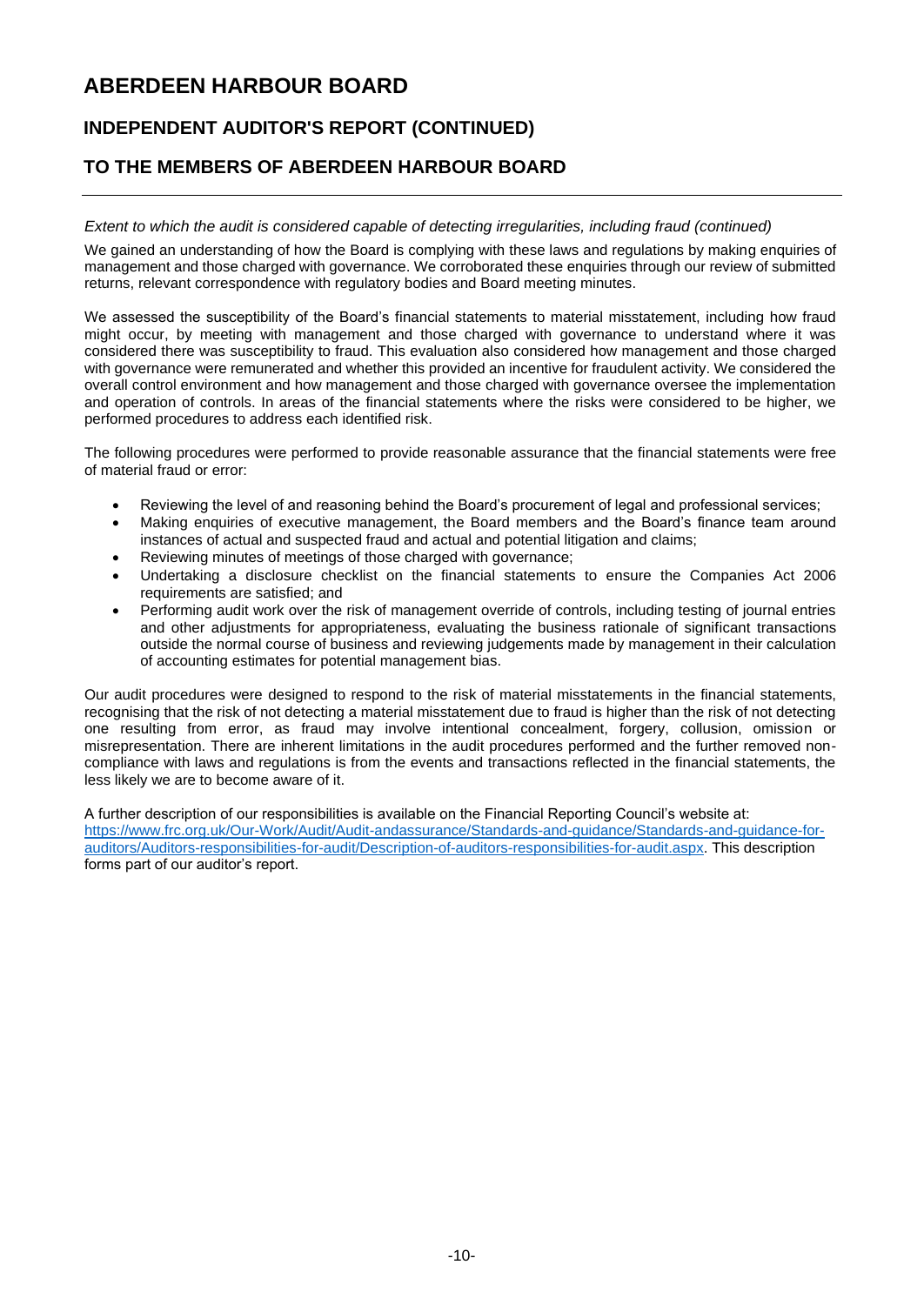## **INDEPENDENT AUDITOR'S REPORT (CONTINUED)**

### **TO THE MEMBERS OF ABERDEEN HARBOUR BOARD**

#### *Extent to which the audit is considered capable of detecting irregularities, including fraud (continued)*

We gained an understanding of how the Board is complying with these laws and regulations by making enquiries of management and those charged with governance. We corroborated these enquiries through our review of submitted returns, relevant correspondence with regulatory bodies and Board meeting minutes.

We assessed the susceptibility of the Board's financial statements to material misstatement, including how fraud might occur, by meeting with management and those charged with governance to understand where it was considered there was susceptibility to fraud. This evaluation also considered how management and those charged with governance were remunerated and whether this provided an incentive for fraudulent activity. We considered the overall control environment and how management and those charged with governance oversee the implementation and operation of controls. In areas of the financial statements where the risks were considered to be higher, we performed procedures to address each identified risk.

The following procedures were performed to provide reasonable assurance that the financial statements were free of material fraud or error:

- Reviewing the level of and reasoning behind the Board's procurement of legal and professional services;
- Making enquiries of executive management, the Board members and the Board's finance team around instances of actual and suspected fraud and actual and potential litigation and claims;
- Reviewing minutes of meetings of those charged with governance;
- Undertaking a disclosure checklist on the financial statements to ensure the Companies Act 2006 requirements are satisfied; and
- Performing audit work over the risk of management override of controls, including testing of journal entries and other adjustments for appropriateness, evaluating the business rationale of significant transactions outside the normal course of business and reviewing judgements made by management in their calculation of accounting estimates for potential management bias.

Our audit procedures were designed to respond to the risk of material misstatements in the financial statements, recognising that the risk of not detecting a material misstatement due to fraud is higher than the risk of not detecting one resulting from error, as fraud may involve intentional concealment, forgery, collusion, omission or misrepresentation. There are inherent limitations in the audit procedures performed and the further removed noncompliance with laws and regulations is from the events and transactions reflected in the financial statements, the less likely we are to become aware of it.

A further description of our responsibilities is available on the Financial Reporting Council's website at: [https://www.frc.org.uk/Our-Work/Audit/Audit-andassurance/Standards-and-guidance/Standards-and-guidance-for](https://www.frc.org.uk/Our-Work/Audit/Audit-andassurance/Standards-and-guidance/Standards-and-guidance-for-auditors/Auditors-responsibilities-for-audit/Description-of-auditors-responsibilities-for-audit.aspx)[auditors/Auditors-responsibilities-for-audit/Description-of-auditors-responsibilities-for-audit.aspx.](https://www.frc.org.uk/Our-Work/Audit/Audit-andassurance/Standards-and-guidance/Standards-and-guidance-for-auditors/Auditors-responsibilities-for-audit/Description-of-auditors-responsibilities-for-audit.aspx) This description forms part of our auditor's report.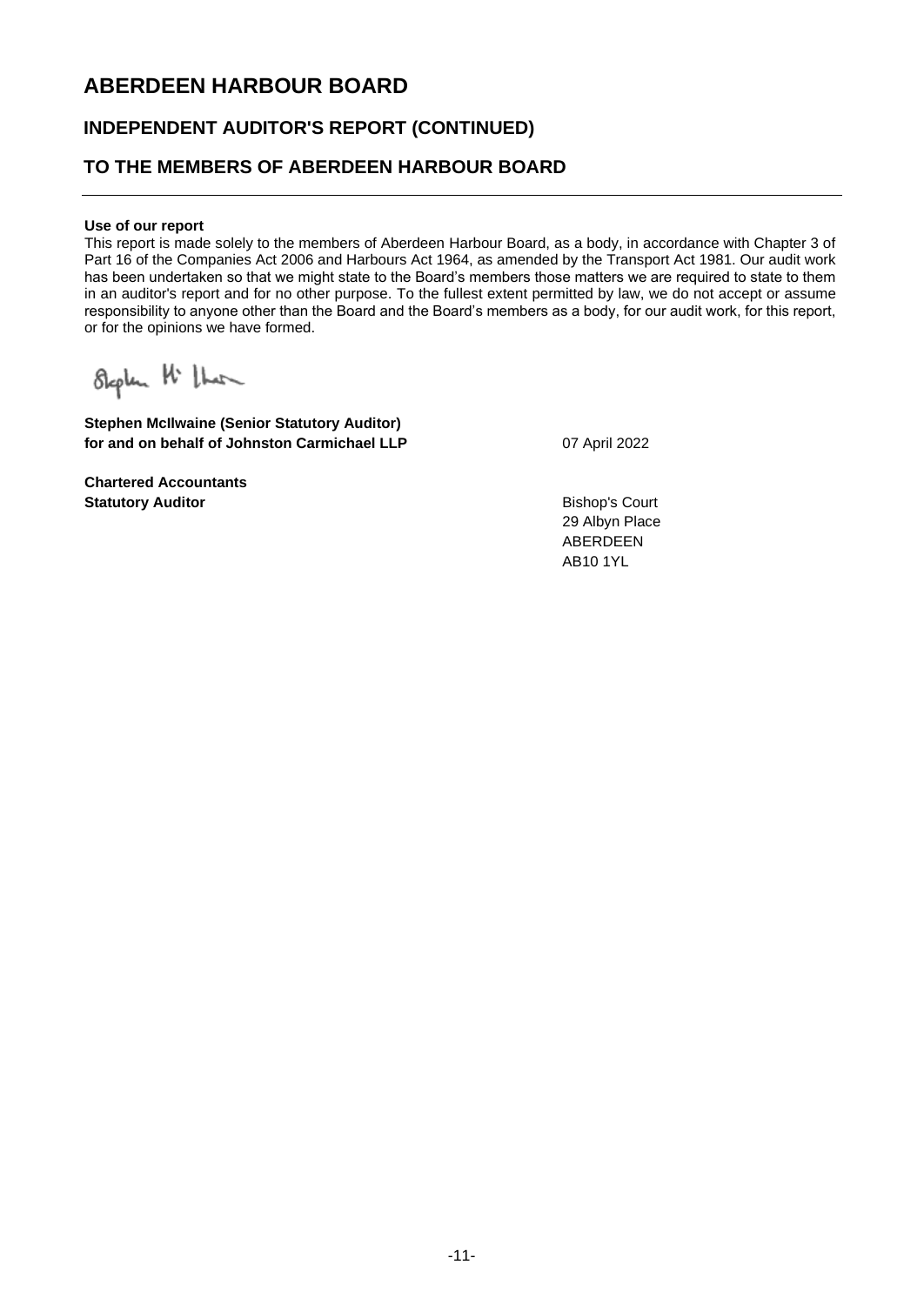### **INDEPENDENT AUDITOR'S REPORT (CONTINUED)**

### **TO THE MEMBERS OF ABERDEEN HARBOUR BOARD**

#### **Use of our report**

This report is made solely to the members of Aberdeen Harbour Board, as a body, in accordance with Chapter 3 of Part 16 of the Companies Act 2006 and Harbours Act 1964, as amended by the Transport Act 1981. Our audit work has been undertaken so that we might state to the Board's members those matters we are required to state to them in an auditor's report and for no other purpose. To the fullest extent permitted by law, we do not accept or assume responsibility to anyone other than the Board and the Board's members as a body, for our audit work, for this report, or for the opinions we have formed.

Stephen H that

**Stephen McIlwaine (Senior Statutory Auditor) for and on behalf of Johnston Carmichael LLP** 07 April 2022

**Chartered Accountants Statutory Auditor** Bishop's Court

29 Albyn Place ABERDEEN AB10 1YL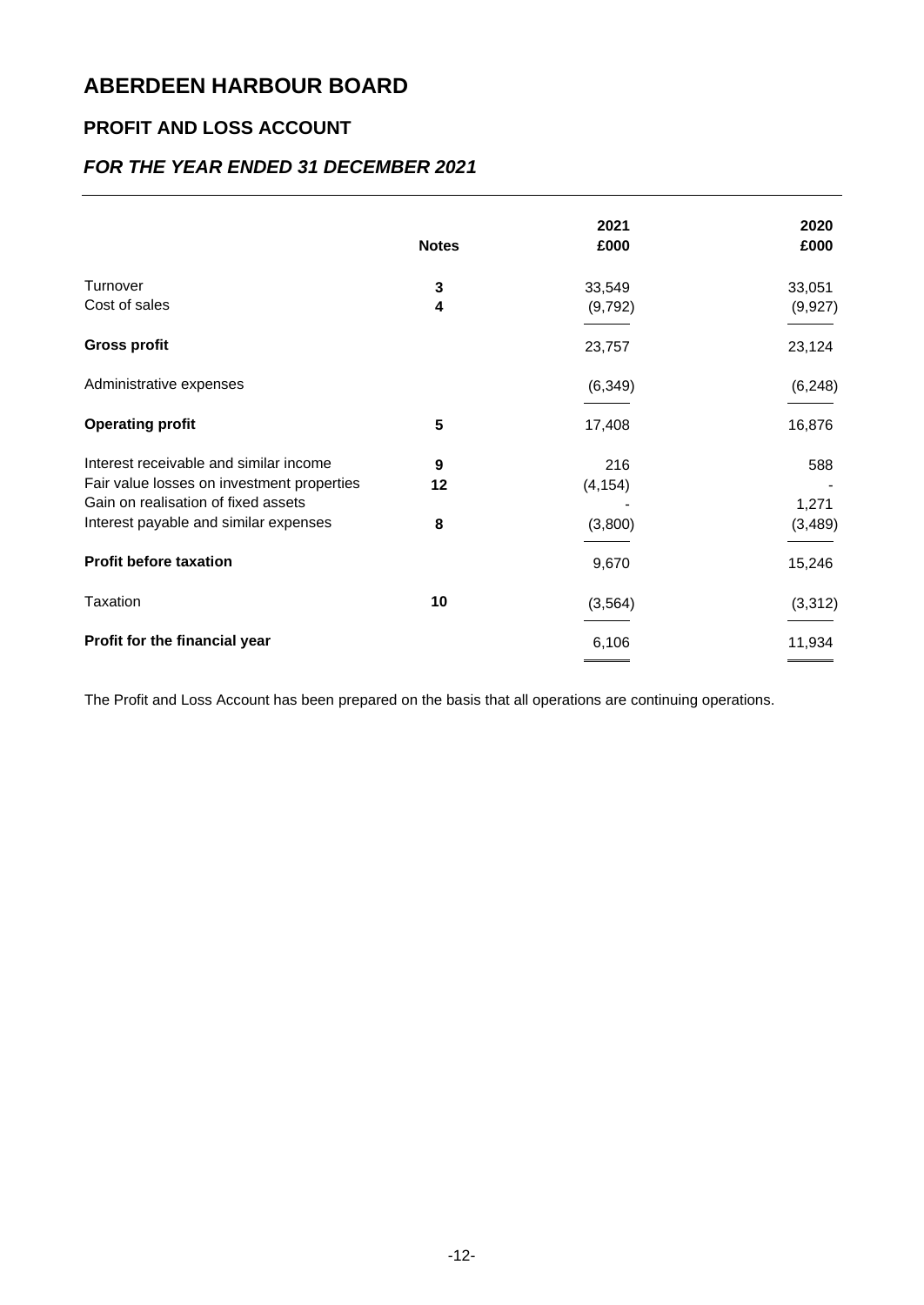## **PROFIT AND LOSS ACCOUNT**

### *FOR THE YEAR ENDED 31 DECEMBER 2021*

|                                            | <b>Notes</b> | 2021<br>£000 | 2020<br>£000 |
|--------------------------------------------|--------------|--------------|--------------|
|                                            |              |              |              |
| Turnover                                   | 3            | 33,549       | 33,051       |
| Cost of sales                              | 4            | (9,792)      | (9, 927)     |
| <b>Gross profit</b>                        |              | 23,757       | 23,124       |
| Administrative expenses                    |              | (6, 349)     | (6, 248)     |
| <b>Operating profit</b>                    | 5            | 17,408       | 16,876       |
| Interest receivable and similar income     | 9            | 216          | 588          |
| Fair value losses on investment properties | 12           | (4, 154)     |              |
| Gain on realisation of fixed assets        |              |              | 1,271        |
| Interest payable and similar expenses      | 8            | (3,800)      | (3, 489)     |
| <b>Profit before taxation</b>              |              | 9,670        | 15,246       |
| Taxation                                   | 10           | (3, 564)     | (3,312)      |
| Profit for the financial year              |              | 6,106        | 11,934       |
|                                            |              |              |              |

The Profit and Loss Account has been prepared on the basis that all operations are continuing operations.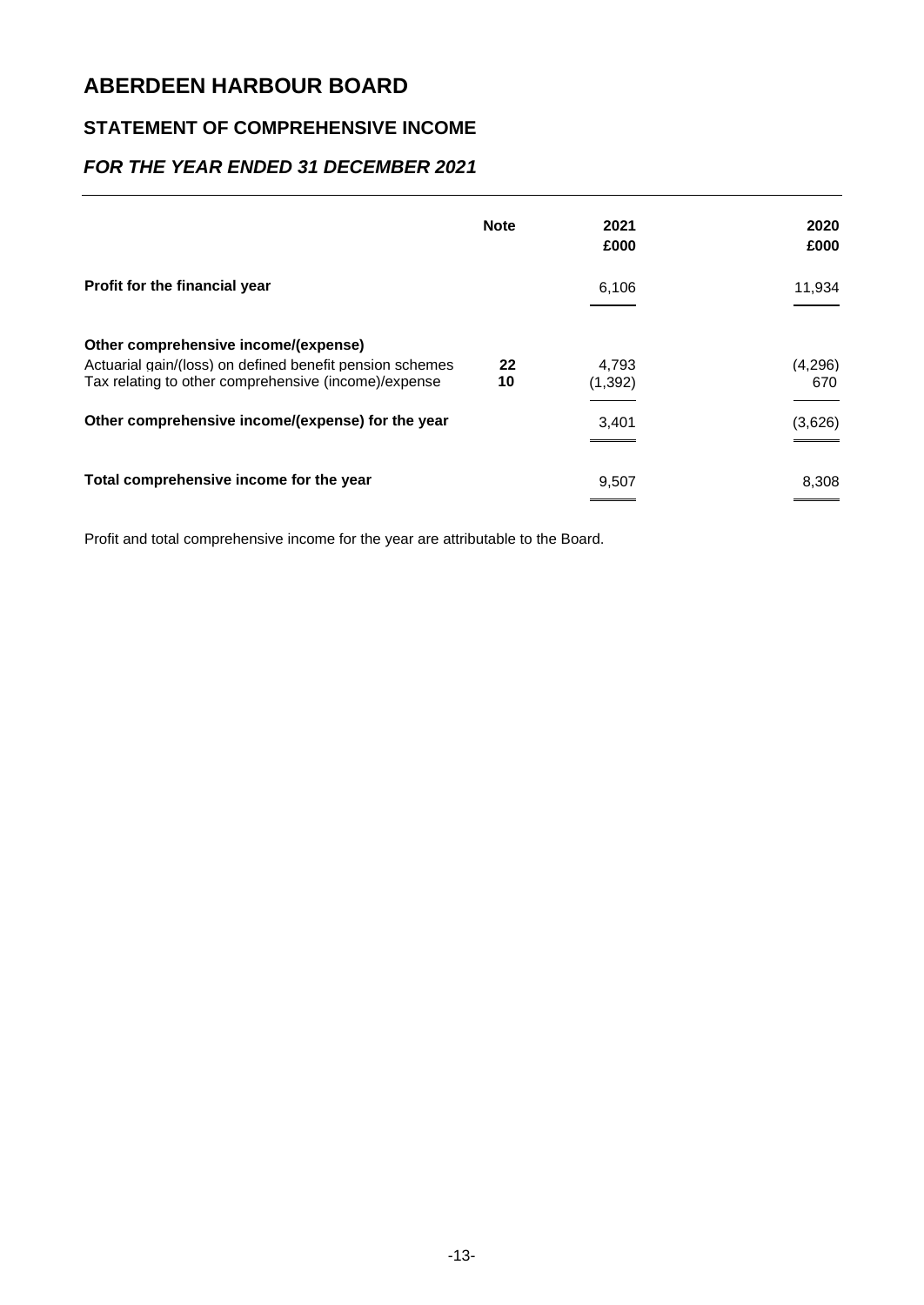## **STATEMENT OF COMPREHENSIVE INCOME**

### *FOR THE YEAR ENDED 31 DECEMBER 2021*

|                                                          | <b>Note</b> | 2021<br>£000 | 2020<br>£000 |
|----------------------------------------------------------|-------------|--------------|--------------|
| <b>Profit for the financial year</b>                     |             | 6,106        | 11,934       |
| Other comprehensive income/(expense)                     |             |              |              |
| Actuarial gain/(loss) on defined benefit pension schemes | 22          | 4.793        | (4,296)      |
| Tax relating to other comprehensive (income)/expense     | 10          | (1, 392)     | 670          |
| Other comprehensive income/(expense) for the year        |             | 3,401        | (3,626)      |
|                                                          |             |              |              |
| Total comprehensive income for the year                  |             | 9,507        | 8,308        |
|                                                          |             |              |              |

Profit and total comprehensive income for the year are attributable to the Board.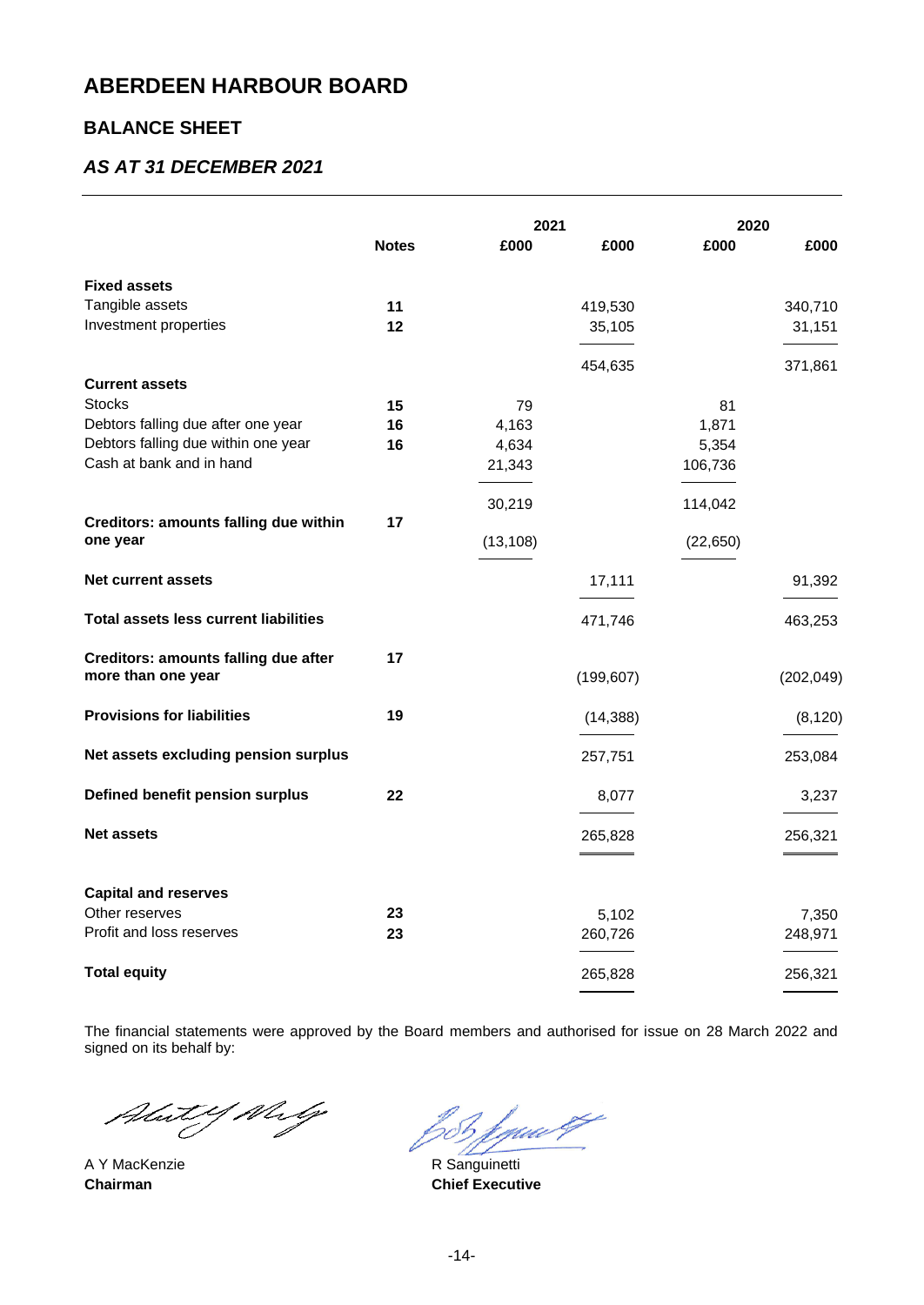### **BALANCE SHEET**

### *AS AT 31 DECEMBER 2021*

|                                                          |              | 2021      |            | 2020      |            |
|----------------------------------------------------------|--------------|-----------|------------|-----------|------------|
|                                                          | <b>Notes</b> | £000      | £000       | £000      | £000       |
| <b>Fixed assets</b>                                      |              |           |            |           |            |
| Tangible assets                                          | 11           |           | 419,530    |           | 340,710    |
| Investment properties                                    | 12           |           | 35,105     |           | 31,151     |
|                                                          |              |           | 454,635    |           | 371,861    |
| <b>Current assets</b>                                    |              |           |            |           |            |
| <b>Stocks</b>                                            | 15           | 79        |            | 81        |            |
| Debtors falling due after one year                       | 16           | 4,163     |            | 1,871     |            |
| Debtors falling due within one year                      | 16           | 4,634     |            | 5,354     |            |
| Cash at bank and in hand                                 |              | 21,343    |            | 106,736   |            |
|                                                          |              |           |            |           |            |
|                                                          |              | 30,219    |            | 114,042   |            |
| <b>Creditors: amounts falling due within</b><br>one year | 17           | (13, 108) |            | (22, 650) |            |
| <b>Net current assets</b>                                |              |           | 17,111     |           | 91,392     |
| <b>Total assets less current liabilities</b>             |              |           | 471,746    |           | 463,253    |
| <b>Creditors: amounts falling due after</b>              | 17           |           |            |           |            |
| more than one year                                       |              |           | (199, 607) |           | (202, 049) |
| <b>Provisions for liabilities</b>                        | 19           |           | (14, 388)  |           | (8, 120)   |
|                                                          |              |           |            |           |            |
| Net assets excluding pension surplus                     |              |           | 257,751    |           | 253,084    |
| Defined benefit pension surplus                          | 22           |           | 8,077      |           | 3,237      |
| <b>Net assets</b>                                        |              |           | 265,828    |           | 256,321    |
|                                                          |              |           |            |           |            |
| <b>Capital and reserves</b>                              |              |           |            |           |            |
| Other reserves                                           | 23           |           | 5,102      |           | 7,350      |
| Profit and loss reserves                                 | 23           |           | 260,726    |           | 248,971    |
| <b>Total equity</b>                                      |              |           | 265,828    |           | 256,321    |
|                                                          |              |           |            |           |            |

The financial statements were approved by the Board members and authorised for issue on 28 March 2022 and signed on its behalf by:

Abut Y Walg

f guw 27 zS 1

A Y MacKenzie **R** Sanguinetti **Chairman Chairman Chief Executive**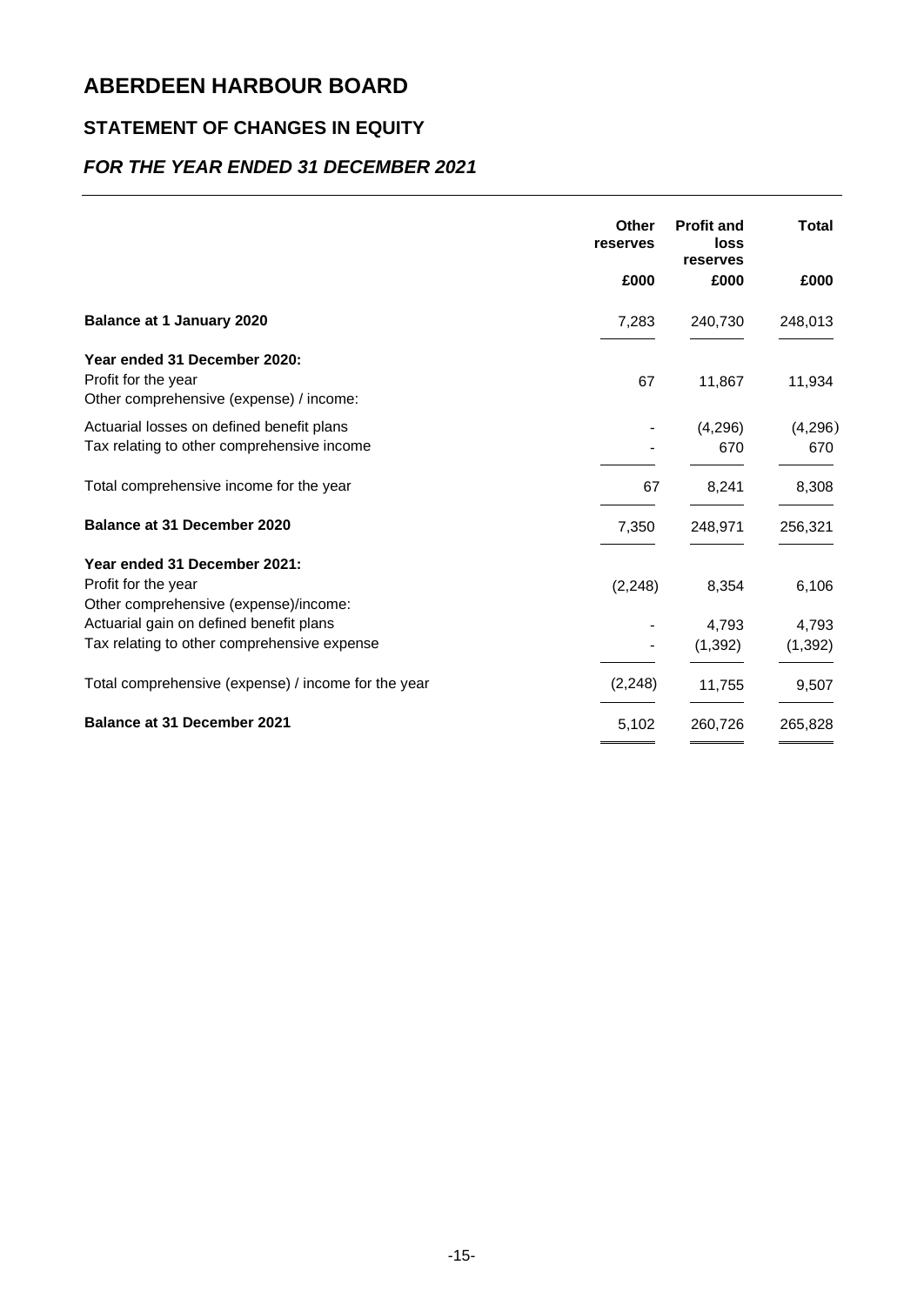## **STATEMENT OF CHANGES IN EQUITY**

## *FOR THE YEAR ENDED 31 DECEMBER 2021*

|                                                                                                | Other<br>reserves | <b>Profit and</b><br>loss<br>reserves | <b>Total</b>   |
|------------------------------------------------------------------------------------------------|-------------------|---------------------------------------|----------------|
|                                                                                                | £000              | £000                                  | £000           |
| <b>Balance at 1 January 2020</b>                                                               | 7,283             | 240,730                               | 248,013        |
| Year ended 31 December 2020:<br>Profit for the year<br>Other comprehensive (expense) / income: | 67                | 11,867                                | 11,934         |
| Actuarial losses on defined benefit plans<br>Tax relating to other comprehensive income        |                   | (4,296)<br>670                        | (4,296)<br>670 |
| Total comprehensive income for the year                                                        | 67                | 8,241                                 | 8,308          |
| <b>Balance at 31 December 2020</b>                                                             | 7,350             | 248,971                               | 256,321        |
| Year ended 31 December 2021:                                                                   |                   |                                       |                |
| Profit for the year<br>Other comprehensive (expense)/income:                                   | (2, 248)          | 8,354                                 | 6,106          |
| Actuarial gain on defined benefit plans                                                        |                   | 4,793                                 | 4,793          |
| Tax relating to other comprehensive expense                                                    |                   | (1, 392)                              | (1, 392)       |
| Total comprehensive (expense) / income for the year                                            | (2, 248)          | 11,755                                | 9,507          |
| <b>Balance at 31 December 2021</b>                                                             | 5,102             | 260,726                               | 265,828        |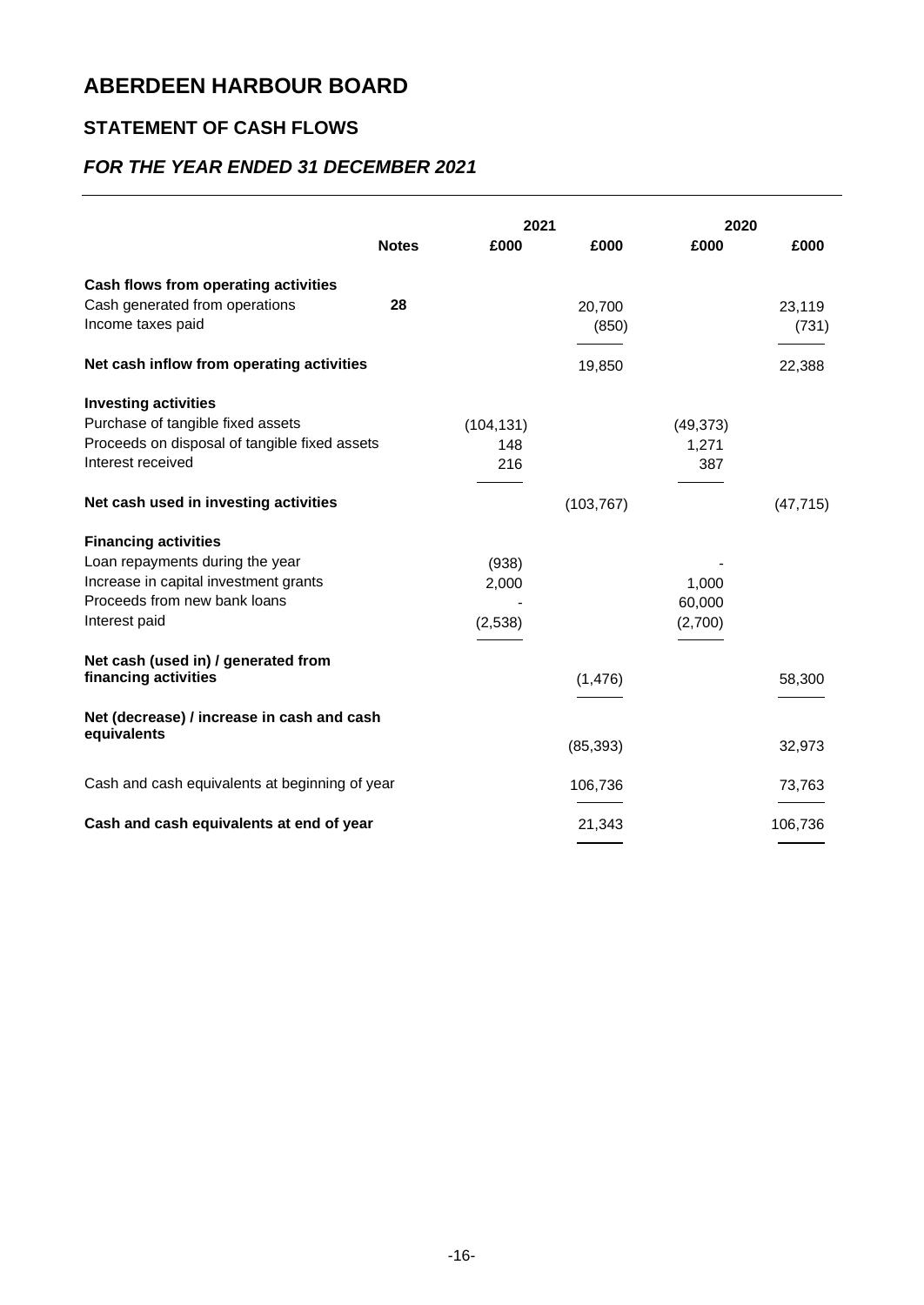## **STATEMENT OF CASH FLOWS**

## *FOR THE YEAR ENDED 31 DECEMBER 2021*

|                                                     |              | 2021       |                 | 2020      |                 |
|-----------------------------------------------------|--------------|------------|-----------------|-----------|-----------------|
|                                                     | <b>Notes</b> | £000       | £000            | £000      | £000            |
| Cash flows from operating activities                |              |            |                 |           |                 |
| Cash generated from operations<br>Income taxes paid | 28           |            | 20,700<br>(850) |           | 23,119<br>(731) |
| Net cash inflow from operating activities           |              |            | 19,850          |           | 22,388          |
| <b>Investing activities</b>                         |              |            |                 |           |                 |
| Purchase of tangible fixed assets                   |              | (104, 131) |                 | (49, 373) |                 |
| Proceeds on disposal of tangible fixed assets       |              | 148        |                 | 1,271     |                 |
| Interest received                                   |              | 216        |                 | 387       |                 |
| Net cash used in investing activities               |              |            | (103, 767)      |           | (47, 715)       |
| <b>Financing activities</b>                         |              |            |                 |           |                 |
| Loan repayments during the year                     |              | (938)      |                 |           |                 |
| Increase in capital investment grants               |              | 2,000      |                 | 1,000     |                 |
| Proceeds from new bank loans                        |              |            |                 | 60,000    |                 |
| Interest paid                                       |              | (2,538)    |                 | (2,700)   |                 |
| Net cash (used in) / generated from                 |              |            |                 |           |                 |
| financing activities                                |              |            | (1, 476)        |           | 58,300          |
| Net (decrease) / increase in cash and cash          |              |            |                 |           |                 |
| equivalents                                         |              |            | (85, 393)       |           | 32,973          |
| Cash and cash equivalents at beginning of year      |              |            | 106,736         |           | 73,763          |
| Cash and cash equivalents at end of year            |              |            | 21,343          |           | 106,736         |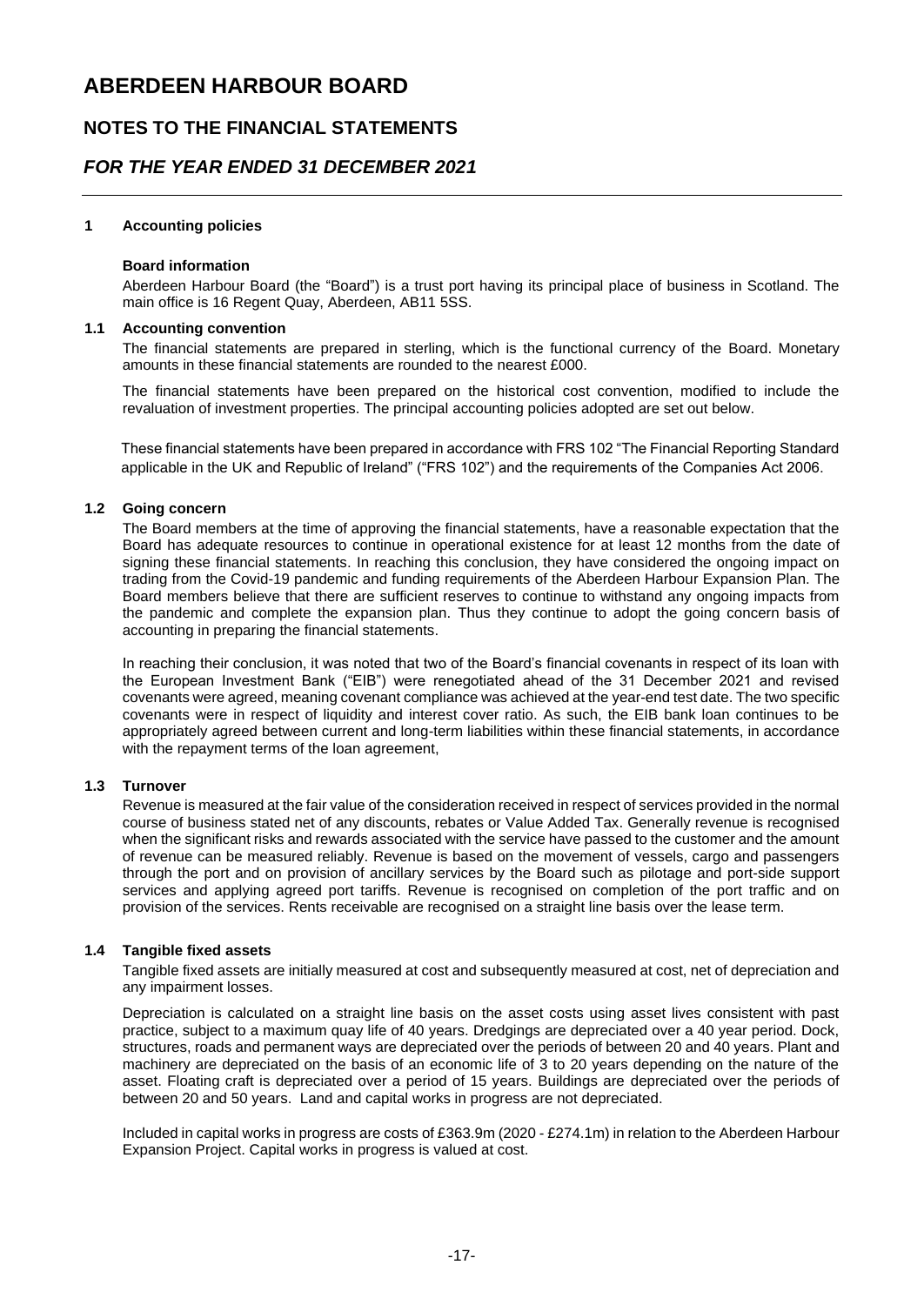### **NOTES TO THE FINANCIAL STATEMENTS**

### *FOR THE YEAR ENDED 31 DECEMBER 2021*

#### **1 Accounting policies**

#### **Board information**

Aberdeen Harbour Board (the "Board") is a trust port having its principal place of business in Scotland. The main office is 16 Regent Quay, Aberdeen, AB11 5SS.

#### **1.1 Accounting convention**

The financial statements are prepared in sterling, which is the functional currency of the Board. Monetary amounts in these financial statements are rounded to the nearest £000.

The financial statements have been prepared on the historical cost convention, modified to include the revaluation of investment properties. The principal accounting policies adopted are set out below.

applicable in the UK and Republic of Ireland" ("FRS 102") and the requirements of the Companies Act 2006. These financial statements have been prepared in accordance with FRS 102 "The Financial Reporting Standard

#### These financial statements have been prepared in accordance with FRS 102 "The Financial Reporting Standard **1.2 Going concern**

The Board members at the time of approving the financial statements, have a reasonable expectation that the Board has adequate resources to continue in operational existence for at least 12 months from the date of signing these financial statements. In reaching this conclusion, they have considered the ongoing impact on trading from the Covid-19 pandemic and funding requirements of the Aberdeen Harbour Expansion Plan. The Board members believe that there are sufficient reserves to continue to withstand any ongoing impacts from the pandemic and complete the expansion plan. Thus they continue to adopt the going concern basis of accounting in preparing the financial statements.

In reaching their conclusion, it was noted that two of the Board's financial covenants in respect of its loan with the European Investment Bank ("EIB") were renegotiated ahead of the 31 December 2021 and revised covenants were agreed, meaning covenant compliance was achieved at the year-end test date. The two specific covenants were in respect of liquidity and interest cover ratio. As such, the EIB bank loan continues to be appropriately agreed between current and long-term liabilities within these financial statements, in accordance with the repayment terms of the loan agreement,

#### **1.3 Turnover**

Revenue is measured at the fair value of the consideration received in respect of services provided in the normal course of business stated net of any discounts, rebates or Value Added Tax. Generally revenue is recognised when the significant risks and rewards associated with the service have passed to the customer and the amount of revenue can be measured reliably. Revenue is based on the movement of vessels, cargo and passengers through the port and on provision of ancillary services by the Board such as pilotage and port-side support services and applying agreed port tariffs. Revenue is recognised on completion of the port traffic and on provision of the services. Rents receivable are recognised on a straight line basis over the lease term.

#### **1.4 Tangible fixed assets**

Tangible fixed assets are initially measured at cost and subsequently measured at cost, net of depreciation and any impairment losses.

Depreciation is calculated on a straight line basis on the asset costs using asset lives consistent with past practice, subject to a maximum quay life of 40 years. Dredgings are depreciated over a 40 year period. Dock, structures, roads and permanent ways are depreciated over the periods of between 20 and 40 years. Plant and machinery are depreciated on the basis of an economic life of 3 to 20 years depending on the nature of the asset. Floating craft is depreciated over a period of 15 years. Buildings are depreciated over the periods of between 20 and 50 years. Land and capital works in progress are not depreciated.

Included in capital works in progress are costs of £363.9m (2020 - £274.1m) in relation to the Aberdeen Harbour Expansion Project. Capital works in progress is valued at cost.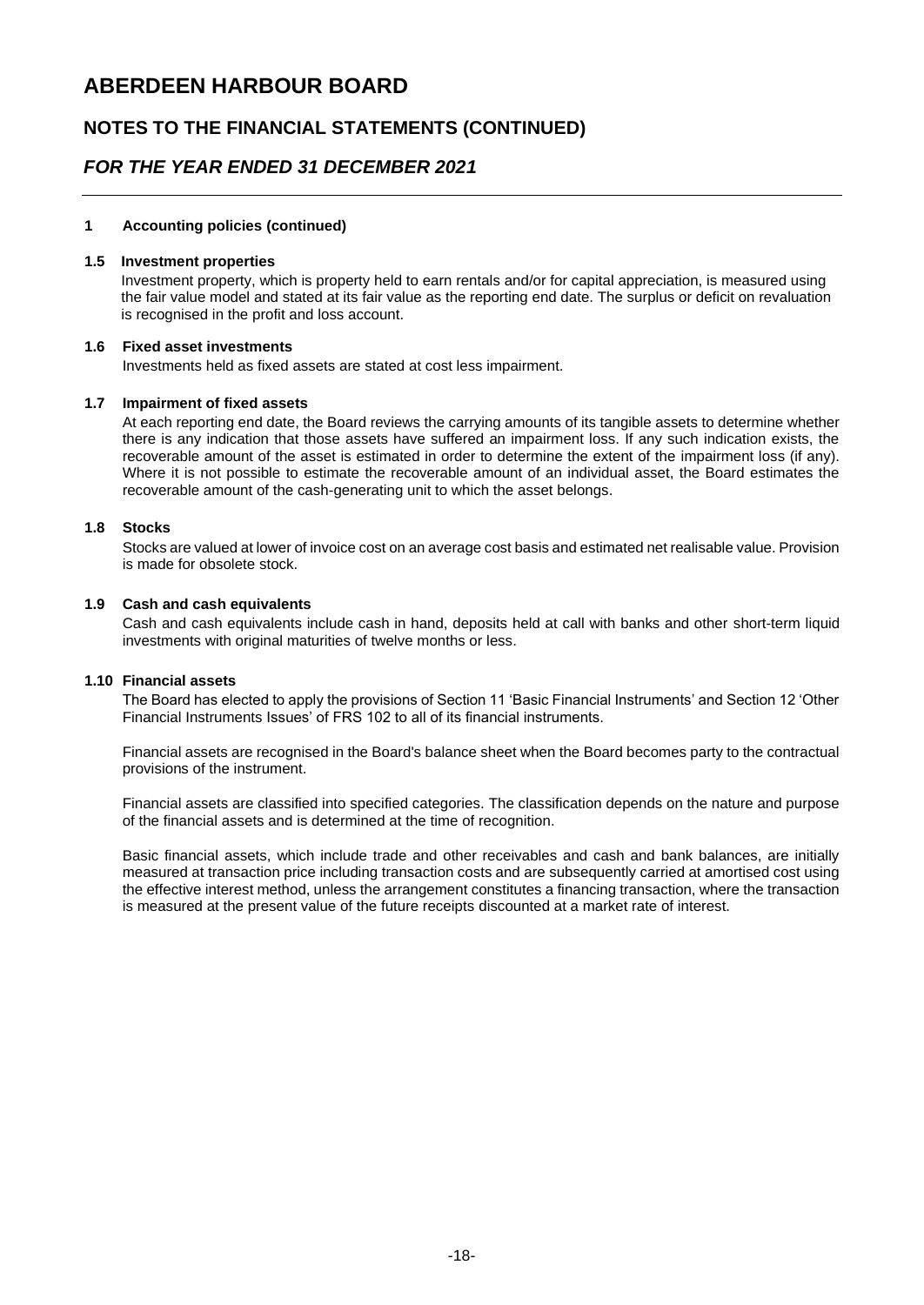### **NOTES TO THE FINANCIAL STATEMENTS (CONTINUED)**

### *FOR THE YEAR ENDED 31 DECEMBER 2021*

#### **1 Accounting policies (continued)**

#### **1.5 Investment properties**

 Investment property, which is property held to earn rentals and/or for capital appreciation, is measured using the fair value model and stated at its fair value as the reporting end date. The surplus or deficit on revaluation is recognised in the profit and loss account.

#### **1.6 Fixed asset investments**

Investments held as fixed assets are stated at cost less impairment.

#### **1.7 Impairment of fixed assets**

At each reporting end date, the Board reviews the carrying amounts of its tangible assets to determine whether there is any indication that those assets have suffered an impairment loss. If any such indication exists, the recoverable amount of the asset is estimated in order to determine the extent of the impairment loss (if any). Where it is not possible to estimate the recoverable amount of an individual asset, the Board estimates the recoverable amount of the cash-generating unit to which the asset belongs.

#### **1.8 Stocks**

Stocks are valued at lower of invoice cost on an average cost basis and estimated net realisable value. Provision is made for obsolete stock.

#### **1.9 Cash and cash equivalents**

Cash and cash equivalents include cash in hand, deposits held at call with banks and other short-term liquid investments with original maturities of twelve months or less.

#### **1.10 Financial assets**

The Board has elected to apply the provisions of Section 11 'Basic Financial Instruments' and Section 12 'Other Financial Instruments Issues' of FRS 102 to all of its financial instruments.

Financial assets are recognised in the Board's balance sheet when the Board becomes party to the contractual provisions of the instrument.

Financial assets are classified into specified categories. The classification depends on the nature and purpose of the financial assets and is determined at the time of recognition.

Basic financial assets, which include trade and other receivables and cash and bank balances, are initially measured at transaction price including transaction costs and are subsequently carried at amortised cost using the effective interest method, unless the arrangement constitutes a financing transaction, where the transaction is measured at the present value of the future receipts discounted at a market rate of interest.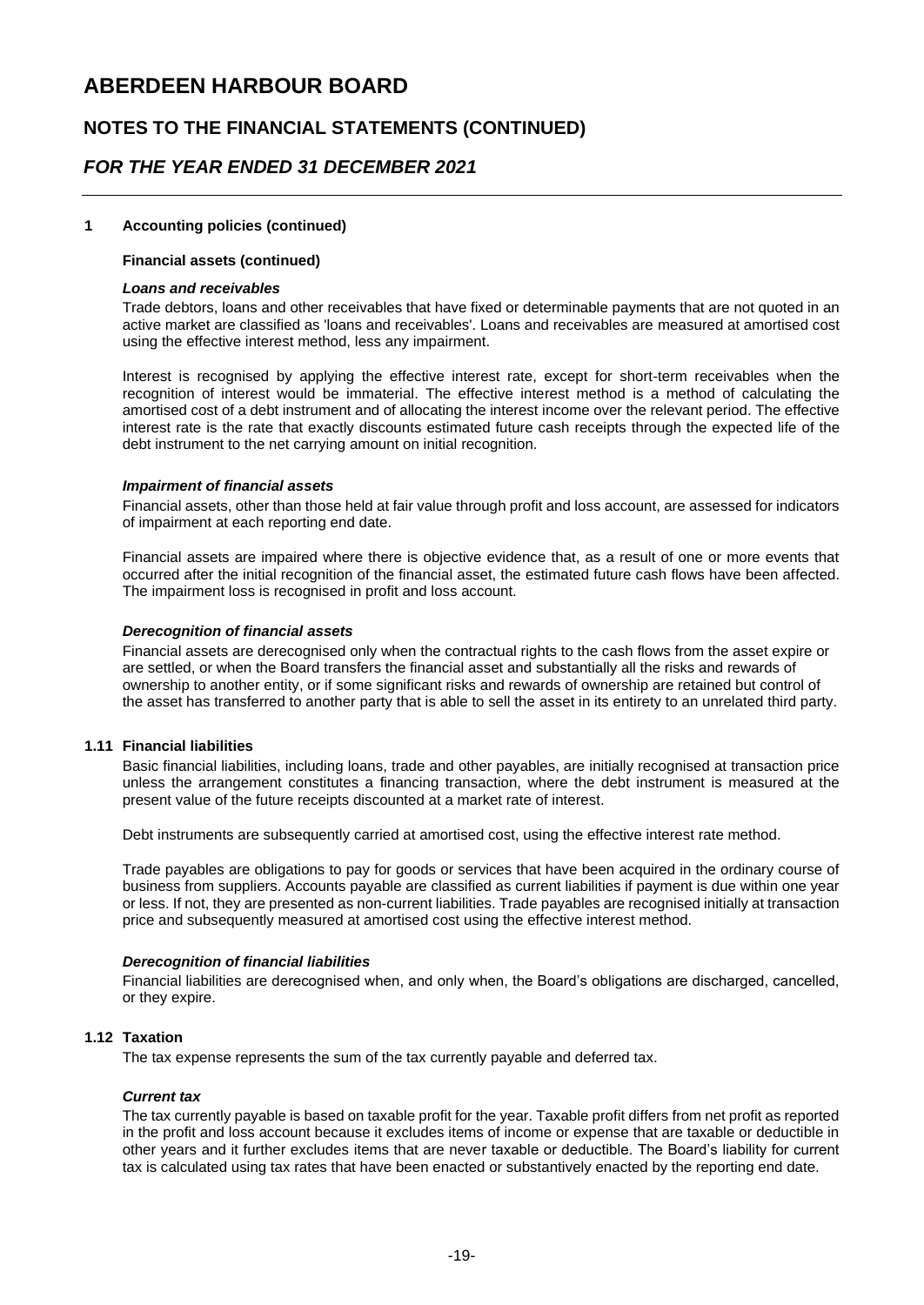### **NOTES TO THE FINANCIAL STATEMENTS (CONTINUED)**

### *FOR THE YEAR ENDED 31 DECEMBER 2021*

#### **1 Accounting policies (continued)**

#### **Financial assets (continued)**

#### *Loans and receivables*

Trade debtors, loans and other receivables that have fixed or determinable payments that are not quoted in an active market are classified as 'loans and receivables'. Loans and receivables are measured at amortised cost using the effective interest method, less any impairment.

Interest is recognised by applying the effective interest rate, except for short-term receivables when the recognition of interest would be immaterial. The effective interest method is a method of calculating the amortised cost of a debt instrument and of allocating the interest income over the relevant period. The effective interest rate is the rate that exactly discounts estimated future cash receipts through the expected life of the debt instrument to the net carrying amount on initial recognition.

#### *Impairment of financial assets*

Financial assets, other than those held at fair value through profit and loss account, are assessed for indicators of impairment at each reporting end date.

Financial assets are impaired where there is objective evidence that, as a result of one or more events that occurred after the initial recognition of the financial asset, the estimated future cash flows have been affected. The impairment loss is recognised in profit and loss account.

#### *Derecognition of financial assets*

Financial assets are derecognised only when the contractual rights to the cash flows from the asset expire or are settled, or when the Board transfers the financial asset and substantially all the risks and rewards of ownership to another entity, or if some significant risks and rewards of ownership are retained but control of the asset has transferred to another party that is able to sell the asset in its entirety to an unrelated third party.

#### **1.11 Financial liabilities**

Basic financial liabilities, including loans, trade and other payables, are initially recognised at transaction price unless the arrangement constitutes a financing transaction, where the debt instrument is measured at the present value of the future receipts discounted at a market rate of interest.

Debt instruments are subsequently carried at amortised cost, using the effective interest rate method.

Trade payables are obligations to pay for goods or services that have been acquired in the ordinary course of business from suppliers. Accounts payable are classified as current liabilities if payment is due within one year or less. If not, they are presented as non-current liabilities. Trade payables are recognised initially at transaction price and subsequently measured at amortised cost using the effective interest method.

#### *Derecognition of financial liabilities*

Financial liabilities are derecognised when, and only when, the Board's obligations are discharged, cancelled, or they expire.

#### **1.12 Taxation**

The tax expense represents the sum of the tax currently payable and deferred tax.

#### *Current tax*

The tax currently payable is based on taxable profit for the year. Taxable profit differs from net profit as reported in the profit and loss account because it excludes items of income or expense that are taxable or deductible in other years and it further excludes items that are never taxable or deductible. The Board's liability for current tax is calculated using tax rates that have been enacted or substantively enacted by the reporting end date.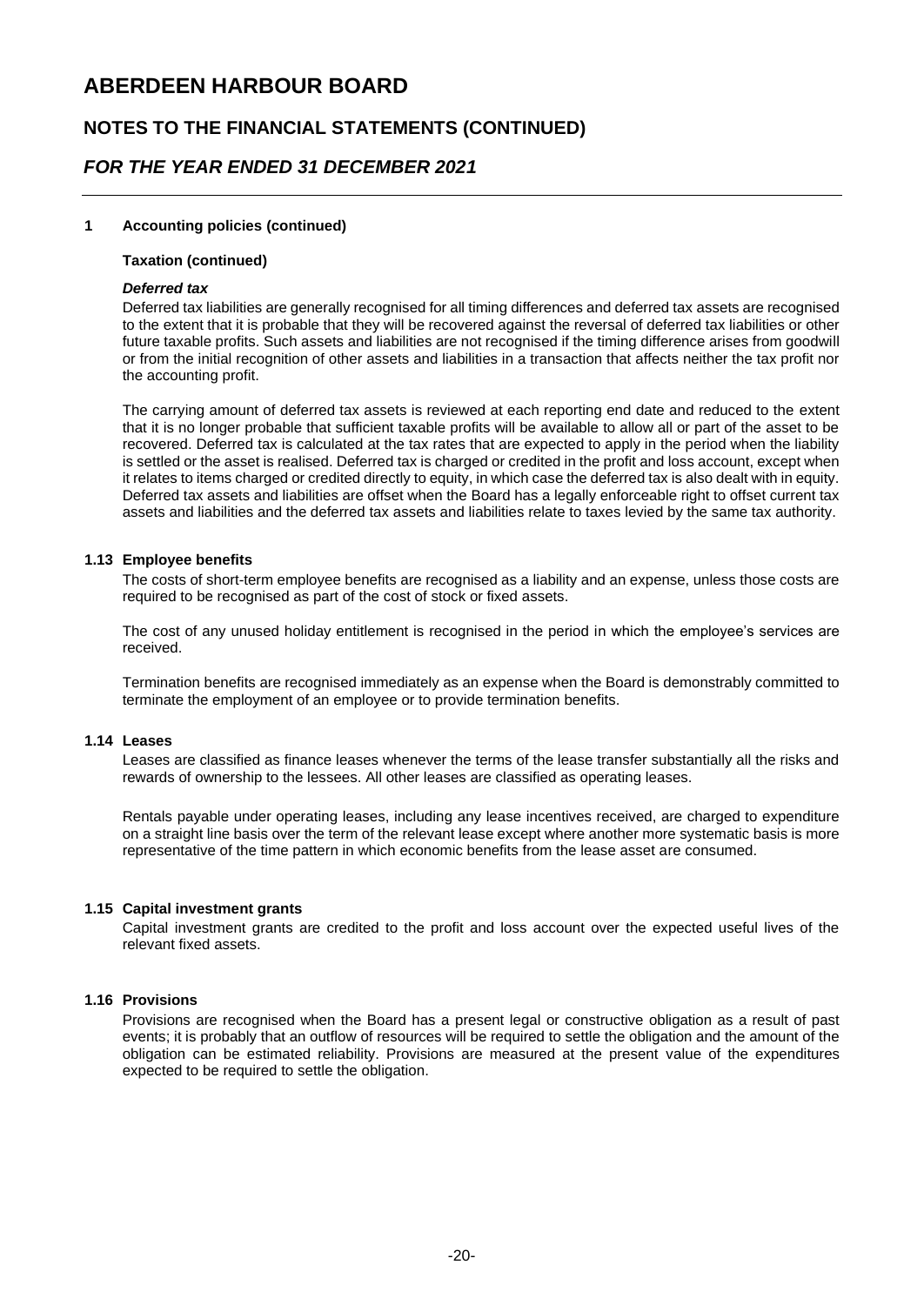### **NOTES TO THE FINANCIAL STATEMENTS (CONTINUED)**

### *FOR THE YEAR ENDED 31 DECEMBER 2021*

#### **1 Accounting policies (continued)**

#### **Taxation (continued)**

#### *Deferred tax*

Deferred tax liabilities are generally recognised for all timing differences and deferred tax assets are recognised to the extent that it is probable that they will be recovered against the reversal of deferred tax liabilities or other future taxable profits. Such assets and liabilities are not recognised if the timing difference arises from goodwill or from the initial recognition of other assets and liabilities in a transaction that affects neither the tax profit nor the accounting profit.

The carrying amount of deferred tax assets is reviewed at each reporting end date and reduced to the extent that it is no longer probable that sufficient taxable profits will be available to allow all or part of the asset to be recovered. Deferred tax is calculated at the tax rates that are expected to apply in the period when the liability is settled or the asset is realised. Deferred tax is charged or credited in the profit and loss account, except when it relates to items charged or credited directly to equity, in which case the deferred tax is also dealt with in equity. Deferred tax assets and liabilities are offset when the Board has a legally enforceable right to offset current tax assets and liabilities and the deferred tax assets and liabilities relate to taxes levied by the same tax authority.

#### **1.13 Employee benefits**

The costs of short-term employee benefits are recognised as a liability and an expense, unless those costs are required to be recognised as part of the cost of stock or fixed assets.

The cost of any unused holiday entitlement is recognised in the period in which the employee's services are received.

Termination benefits are recognised immediately as an expense when the Board is demonstrably committed to terminate the employment of an employee or to provide termination benefits.

#### **1.14 Leases**

Leases are classified as finance leases whenever the terms of the lease transfer substantially all the risks and rewards of ownership to the lessees. All other leases are classified as operating leases.

Rentals payable under operating leases, including any lease incentives received, are charged to expenditure on a straight line basis over the term of the relevant lease except where another more systematic basis is more representative of the time pattern in which economic benefits from the lease asset are consumed.

#### **1.15 Capital investment grants**

Capital investment grants are credited to the profit and loss account over the expected useful lives of the relevant fixed assets.

#### **1.16 Provisions**

Provisions are recognised when the Board has a present legal or constructive obligation as a result of past events; it is probably that an outflow of resources will be required to settle the obligation and the amount of the obligation can be estimated reliability. Provisions are measured at the present value of the expenditures expected to be required to settle the obligation.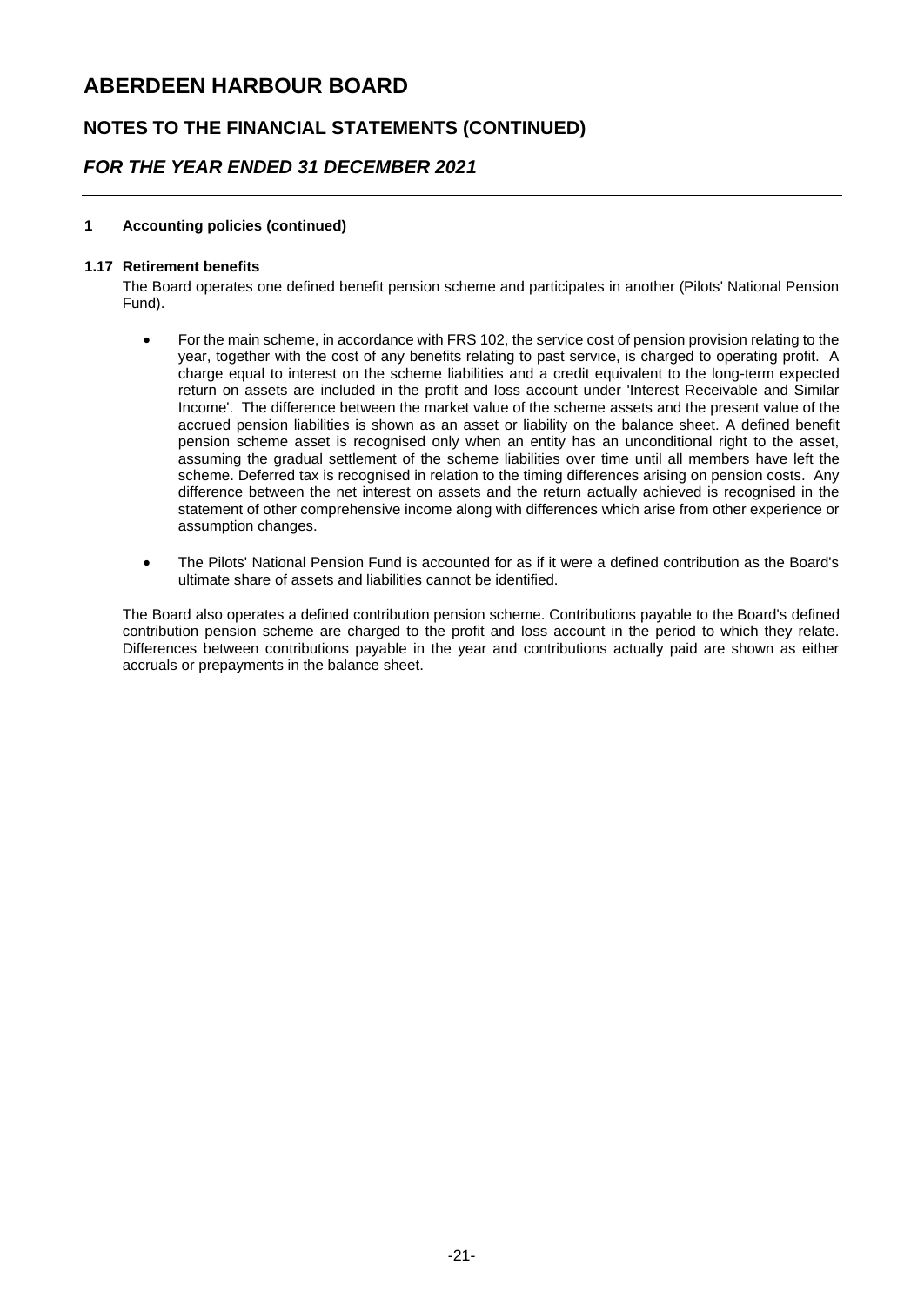### **NOTES TO THE FINANCIAL STATEMENTS (CONTINUED)**

### *FOR THE YEAR ENDED 31 DECEMBER 2021*

#### **1 Accounting policies (continued)**

#### **1.17 Retirement benefits**

The Board operates one defined benefit pension scheme and participates in another (Pilots' National Pension Fund).

- For the main scheme, in accordance with FRS 102, the service cost of pension provision relating to the year, together with the cost of any benefits relating to past service, is charged to operating profit. A charge equal to interest on the scheme liabilities and a credit equivalent to the long-term expected return on assets are included in the profit and loss account under 'Interest Receivable and Similar Income'. The difference between the market value of the scheme assets and the present value of the accrued pension liabilities is shown as an asset or liability on the balance sheet. A defined benefit pension scheme asset is recognised only when an entity has an unconditional right to the asset, assuming the gradual settlement of the scheme liabilities over time until all members have left the scheme. Deferred tax is recognised in relation to the timing differences arising on pension costs. Any difference between the net interest on assets and the return actually achieved is recognised in the statement of other comprehensive income along with differences which arise from other experience or assumption changes.
- The Pilots' National Pension Fund is accounted for as if it were a defined contribution as the Board's ultimate share of assets and liabilities cannot be identified.

The Board also operates a defined contribution pension scheme. Contributions payable to the Board's defined contribution pension scheme are charged to the profit and loss account in the period to which they relate. Differences between contributions payable in the year and contributions actually paid are shown as either accruals or prepayments in the balance sheet.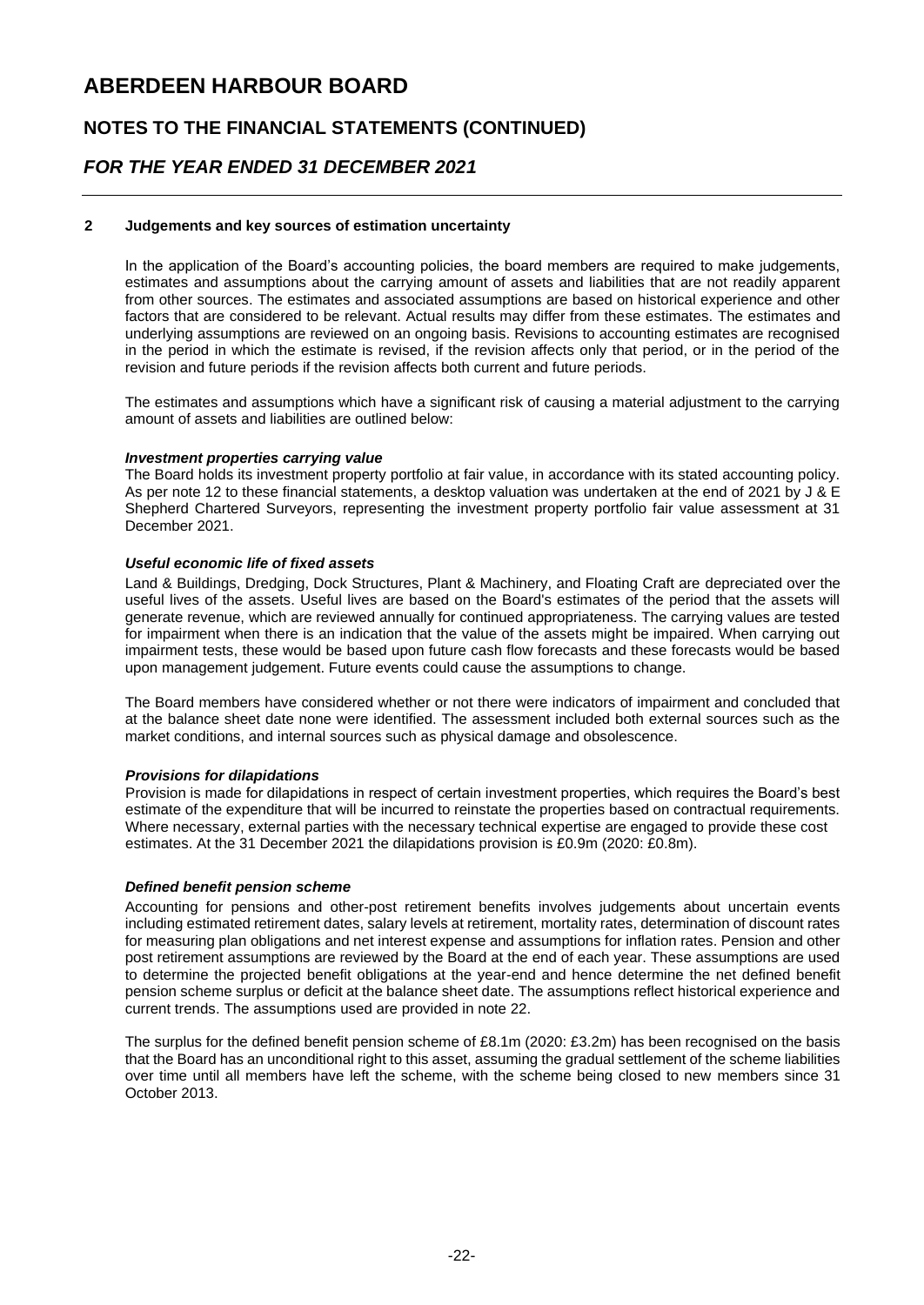### **NOTES TO THE FINANCIAL STATEMENTS (CONTINUED)**

### *FOR THE YEAR ENDED 31 DECEMBER 2021*

#### **2 Judgements and key sources of estimation uncertainty**

In the application of the Board's accounting policies, the board members are required to make judgements, estimates and assumptions about the carrying amount of assets and liabilities that are not readily apparent from other sources. The estimates and associated assumptions are based on historical experience and other factors that are considered to be relevant. Actual results may differ from these estimates. The estimates and underlying assumptions are reviewed on an ongoing basis. Revisions to accounting estimates are recognised in the period in which the estimate is revised, if the revision affects only that period, or in the period of the revision and future periods if the revision affects both current and future periods.

The estimates and assumptions which have a significant risk of causing a material adjustment to the carrying amount of assets and liabilities are outlined below:

#### *Investment properties carrying value*

The Board holds its investment property portfolio at fair value, in accordance with its stated accounting policy. As per note 12 to these financial statements, a desktop valuation was undertaken at the end of 2021 by J & E Shepherd Chartered Surveyors, representing the investment property portfolio fair value assessment at 31 December 2021.

#### *Useful economic life of fixed assets*

Land & Buildings, Dredging, Dock Structures, Plant & Machinery, and Floating Craft are depreciated over the useful lives of the assets. Useful lives are based on the Board's estimates of the period that the assets will generate revenue, which are reviewed annually for continued appropriateness. The carrying values are tested for impairment when there is an indication that the value of the assets might be impaired. When carrying out impairment tests, these would be based upon future cash flow forecasts and these forecasts would be based upon management judgement. Future events could cause the assumptions to change.

The Board members have considered whether or not there were indicators of impairment and concluded that at the balance sheet date none were identified. The assessment included both external sources such as the market conditions, and internal sources such as physical damage and obsolescence.

#### *Provisions for dilapidations*

 Provision is made for dilapidations in respect of certain investment properties, which requires the Board's best estimate of the expenditure that will be incurred to reinstate the properties based on contractual requirements. Where necessary, external parties with the necessary technical expertise are engaged to provide these cost estimates. At the 31 December 2021 the dilapidations provision is £0.9m (2020: £0.8m).

#### *Defined benefit pension scheme*

including estimated retirement dates, salary levels at retirement, mortality rates, determination of discount rates for measuring plan obligations and net interest expense and assumptions for inflation rates. Pension and other post retirement assumptions are reviewed by the Board at the end of each year. These assumptions are used pension scheme surplus or deficit at the balance sheet date. The assumptions reflect historical experience and current trends. The assumptions used are provided in note 22. Accounting for pensions and other-post retirement benefits involves judgements about uncertain events to determine the projected benefit obligations at the year-end and hence determine the net defined benefit

The surplus for the defined benefit pension scheme of £8.1m (2020: £3.2m) has been recognised on the basis over time until all members have left the scheme, with the scheme being closed to new members since 31 that the Board has an unconditional right to this asset, assuming the gradual settlement of the scheme liabilities October 2013.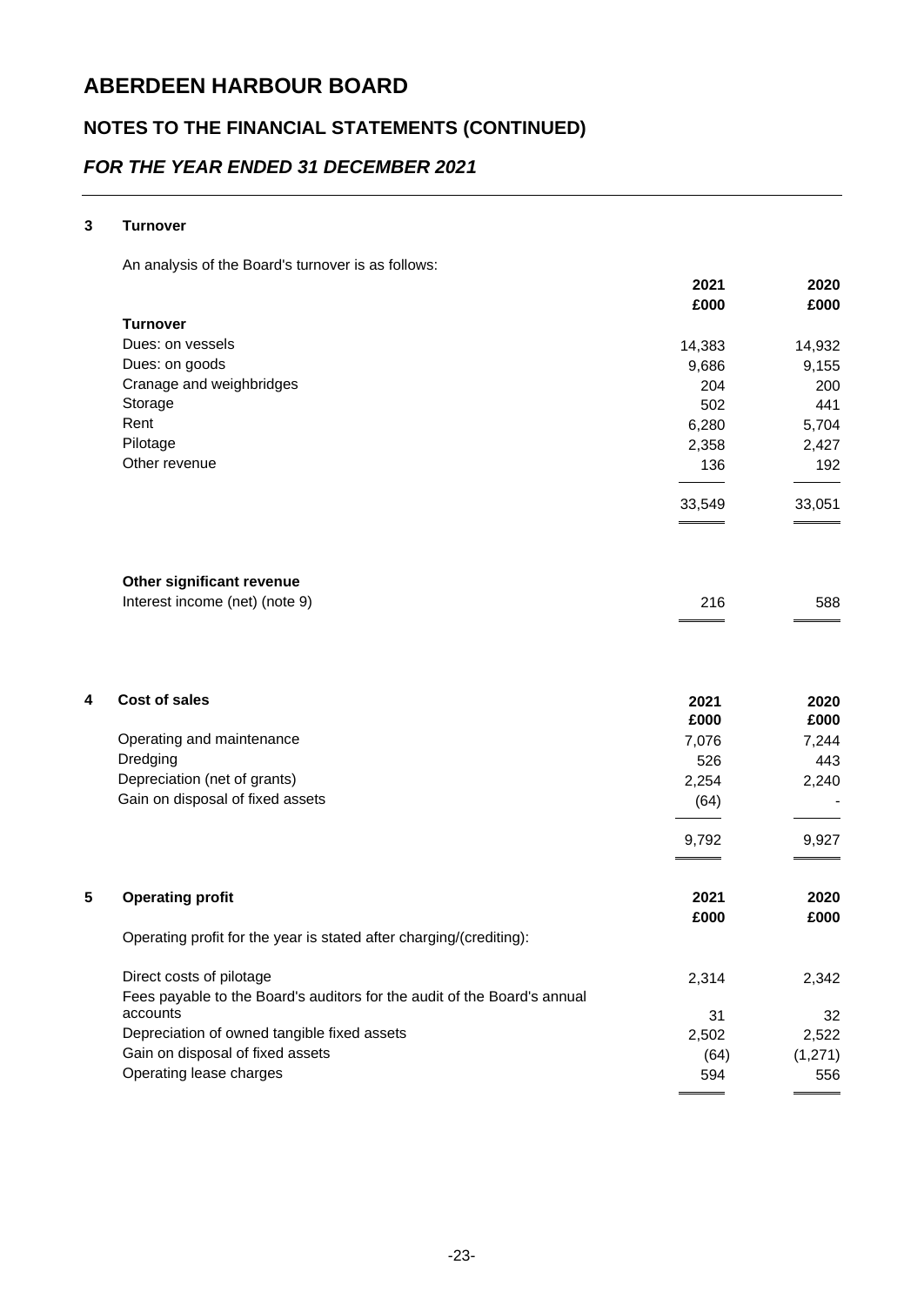## **NOTES TO THE FINANCIAL STATEMENTS (CONTINUED)**

## *FOR THE YEAR ENDED 31 DECEMBER 2021*

#### **3 Turnover**

An analysis of the Board's turnover is as follows:

|                          | 2021   | 2020   |
|--------------------------|--------|--------|
|                          | £000   | £000   |
| <b>Turnover</b>          |        |        |
| Dues: on yessels         | 14,383 | 14,932 |
| Dues: on goods           | 9,686  | 9,155  |
| Cranage and weighbridges | 204    | 200    |
| Storage                  | 502    | 441    |
| Rent                     | 6,280  | 5,704  |
| Pilotage                 | 2,358  | 2,427  |
| Other revenue            | 136    | 192    |
|                          | 33,549 | 33,051 |
|                          |        |        |
|                          |        |        |

#### **Other significant revenue**

| Interest income (net) (note 9) | 216 | 588 |
|--------------------------------|-----|-----|
|                                |     |     |

| 4 | Cost of sales                                                            | 2021<br>£000 | 2020<br>£000 |
|---|--------------------------------------------------------------------------|--------------|--------------|
|   | Operating and maintenance                                                | 7,076        | 7,244        |
|   | Dredging                                                                 | 526          | 443          |
|   | Depreciation (net of grants)                                             | 2,254        | 2,240        |
|   | Gain on disposal of fixed assets                                         | (64)         |              |
|   |                                                                          | 9,792        | 9,927        |
| 5 | <b>Operating profit</b>                                                  | 2021<br>£000 | 2020<br>£000 |
|   | Operating profit for the year is stated after charging/(crediting):      |              |              |
|   | Direct costs of pilotage                                                 | 2,314        | 2,342        |
|   | Fees payable to the Board's auditors for the audit of the Board's annual |              |              |
|   | accounts                                                                 | 31           | 32           |
|   | Depreciation of owned tangible fixed assets                              | 2,502        | 2,522        |
|   | Gain on disposal of fixed assets                                         | (64)         | (1,271)      |
|   | Operating lease charges                                                  | 594          | 556          |
|   |                                                                          |              |              |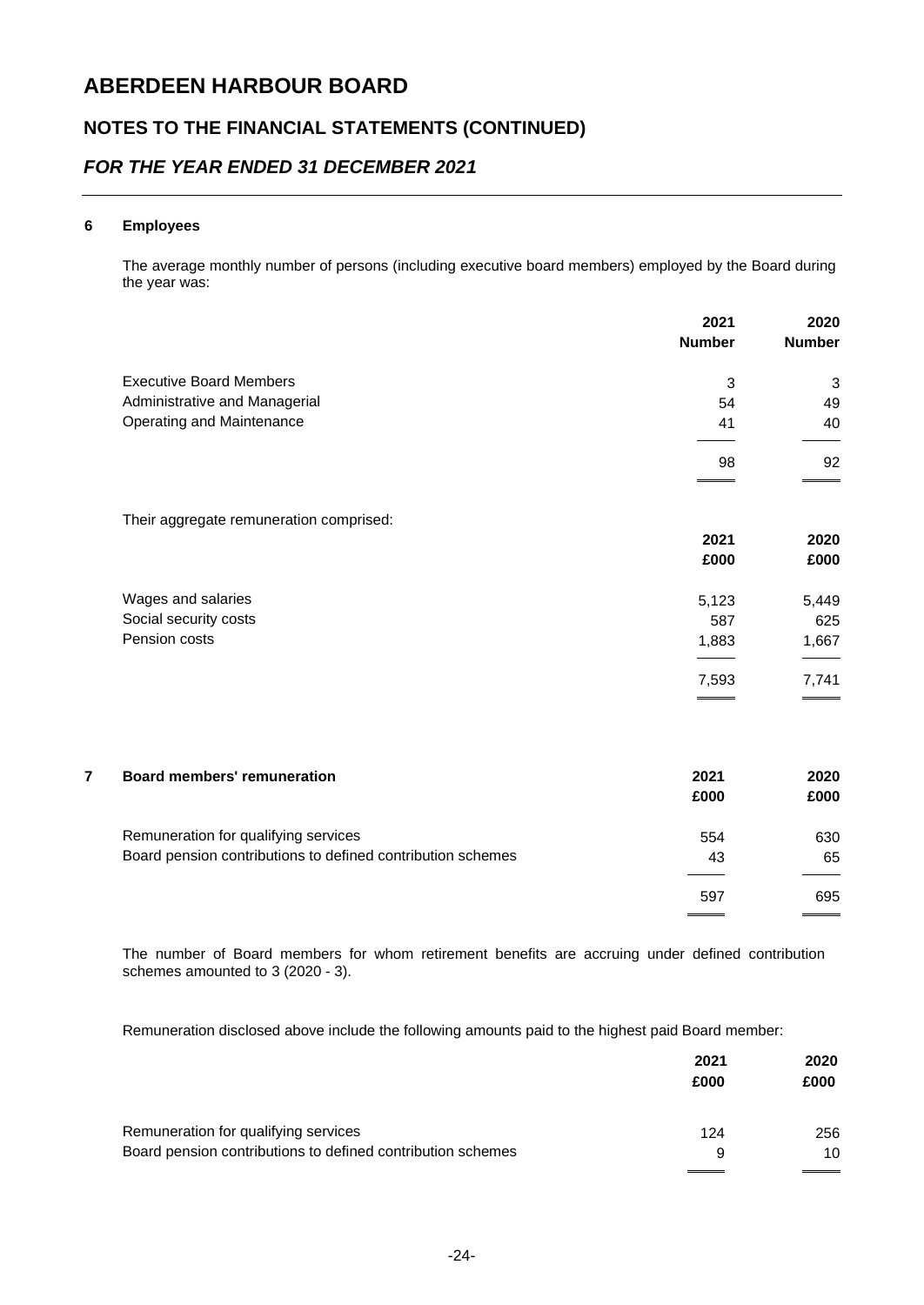### **NOTES TO THE FINANCIAL STATEMENTS (CONTINUED)**

### *FOR THE YEAR ENDED 31 DECEMBER 2021*

#### **6 Employees**

The average monthly number of persons (including executive board members) employed by the Board during the year was:

|   |                                                             | 2021          | 2020          |
|---|-------------------------------------------------------------|---------------|---------------|
|   |                                                             | <b>Number</b> | <b>Number</b> |
|   | <b>Executive Board Members</b>                              | $\mathsf 3$   | 3             |
|   | Administrative and Managerial                               | 54            | 49            |
|   | Operating and Maintenance                                   | 41            | 40            |
|   |                                                             | 98            | 92            |
|   |                                                             |               |               |
|   | Their aggregate remuneration comprised:                     |               |               |
|   |                                                             | 2021          | 2020          |
|   |                                                             | £000          | £000          |
|   | Wages and salaries                                          | 5,123         | 5,449         |
|   | Social security costs                                       | 587           | 625           |
|   | Pension costs                                               | 1,883         | 1,667         |
|   |                                                             | 7,593         | 7,741         |
|   |                                                             |               |               |
| 7 | <b>Board members' remuneration</b>                          | 2021          | 2020          |
|   |                                                             | £000          | £000          |
|   | Remuneration for qualifying services                        | 554           | 630           |
|   | Board pension contributions to defined contribution schemes | 43            | 65            |
|   |                                                             | 597           | 695           |

The number of Board members for whom retirement benefits are accruing under defined contribution schemes amounted to 3 (2020 - 3).

Remuneration disclosed above include the following amounts paid to the highest paid Board member:

|                                                             | 2021<br>£000 | 2020<br>£000 |
|-------------------------------------------------------------|--------------|--------------|
| Remuneration for qualifying services                        | 124          | 256          |
| Board pension contributions to defined contribution schemes | 9            | 10           |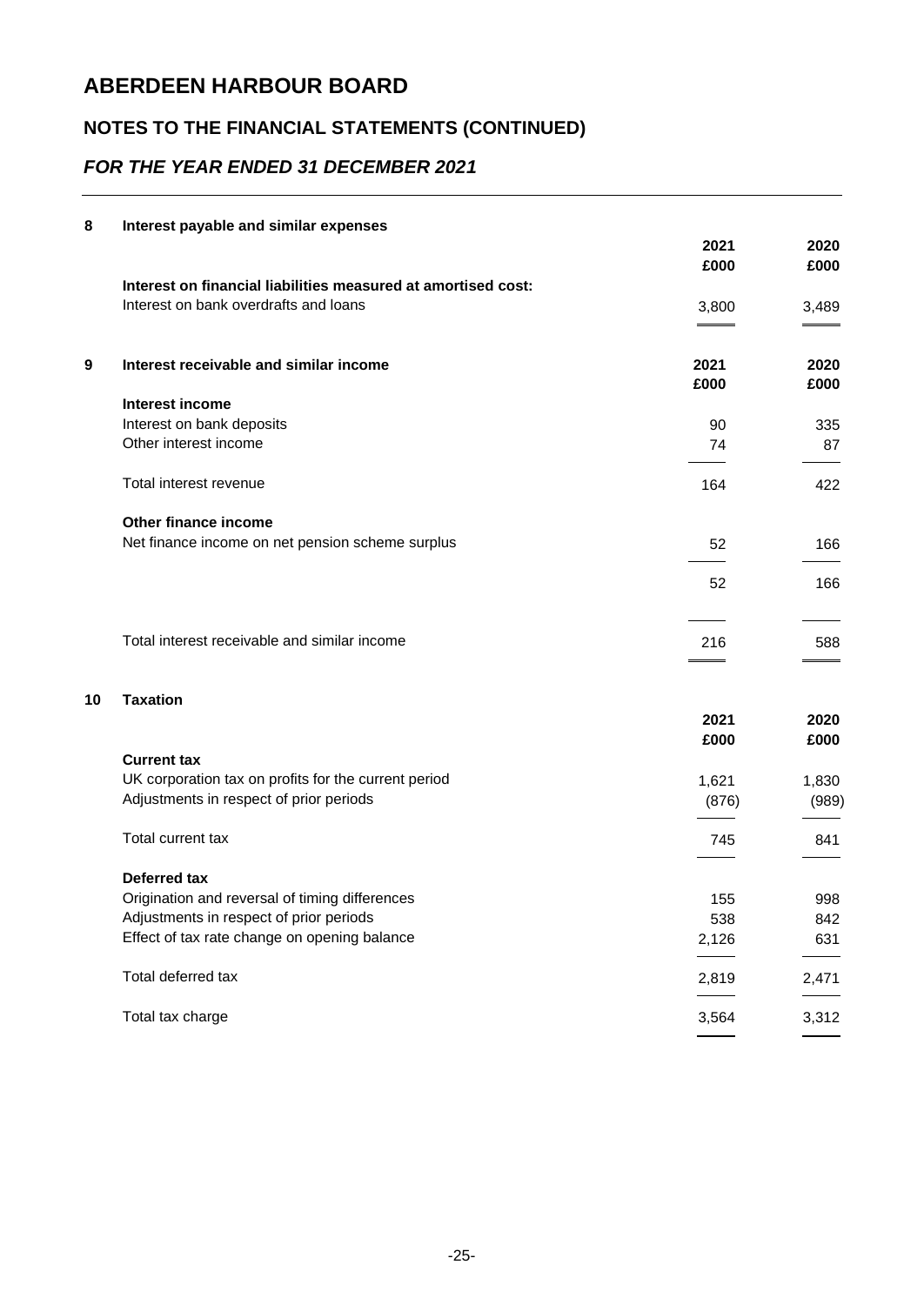## **NOTES TO THE FINANCIAL STATEMENTS (CONTINUED)**

## *FOR THE YEAR ENDED 31 DECEMBER 2021*

| 8  | Interest payable and similar expenses                         |       |       |
|----|---------------------------------------------------------------|-------|-------|
|    |                                                               | 2021  | 2020  |
|    |                                                               | £000  | £000  |
|    | Interest on financial liabilities measured at amortised cost: |       |       |
|    | Interest on bank overdrafts and loans                         | 3,800 | 3,489 |
|    |                                                               |       |       |
|    |                                                               |       |       |
| 9  | Interest receivable and similar income                        | 2021  | 2020  |
|    |                                                               | £000  | £000  |
|    | Interest income                                               |       |       |
|    | Interest on bank deposits                                     | 90    | 335   |
|    | Other interest income                                         | 74    | 87    |
|    | Total interest revenue                                        | 164   | 422   |
|    |                                                               |       |       |
|    | Other finance income                                          |       |       |
|    | Net finance income on net pension scheme surplus              | 52    | 166   |
|    |                                                               | 52    | 166   |
|    |                                                               |       |       |
|    | Total interest receivable and similar income                  | 216   | 588   |
|    |                                                               |       |       |
|    |                                                               |       |       |
| 10 | <b>Taxation</b>                                               |       |       |
|    |                                                               | 2021  | 2020  |
|    |                                                               | £000  | £000  |
|    | <b>Current tax</b>                                            |       |       |
|    | UK corporation tax on profits for the current period          | 1,621 | 1,830 |
|    | Adjustments in respect of prior periods                       | (876) | (989) |
|    | Total current tax                                             | 745   | 841   |
|    |                                                               |       |       |
|    | <b>Deferred tax</b>                                           |       |       |
|    | Origination and reversal of timing differences                | 155   | 998   |
|    | Adjustments in respect of prior periods                       | 538   | 842   |
|    | Effect of tax rate change on opening balance                  | 2,126 | 631   |
|    | Total deferred tax                                            | 2,819 | 2,471 |
|    |                                                               |       |       |
|    | Total tax charge                                              | 3,564 | 3,312 |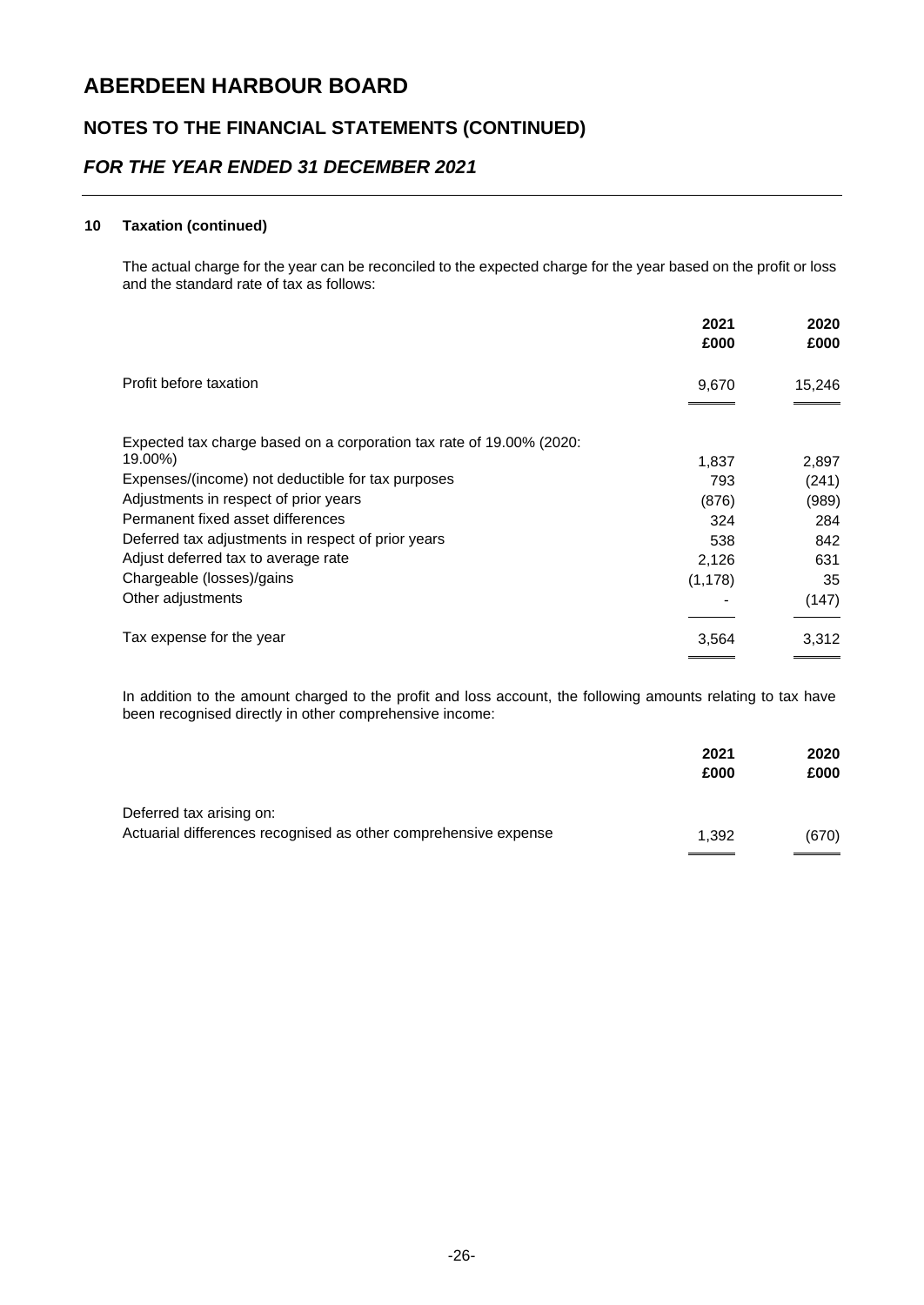### **NOTES TO THE FINANCIAL STATEMENTS (CONTINUED)**

### *FOR THE YEAR ENDED 31 DECEMBER 2021*

#### **10 Taxation (continued)**

The actual charge for the year can be reconciled to the expected charge for the year based on the profit or loss and the standard rate of tax as follows:

| 2020<br>2021<br>£000<br>£000 |
|------------------------------|
| 15,246<br>9,670              |
|                              |
| 2,897<br>1,837               |
| (241)<br>793                 |
| (876)<br>(989)               |
| 324<br>284                   |
| 538<br>842                   |
| 631<br>2,126                 |
| 35<br>(1, 178)               |
| (147)                        |
| 3,312<br>3,564               |
|                              |

In addition to the amount charged to the profit and loss account, the following amounts relating to tax have been recognised directly in other comprehensive income:

|                                                                                             | 2021<br>£000 | 2020<br>£000 |
|---------------------------------------------------------------------------------------------|--------------|--------------|
| Deferred tax arising on:<br>Actuarial differences recognised as other comprehensive expense | 1.392        | (670)        |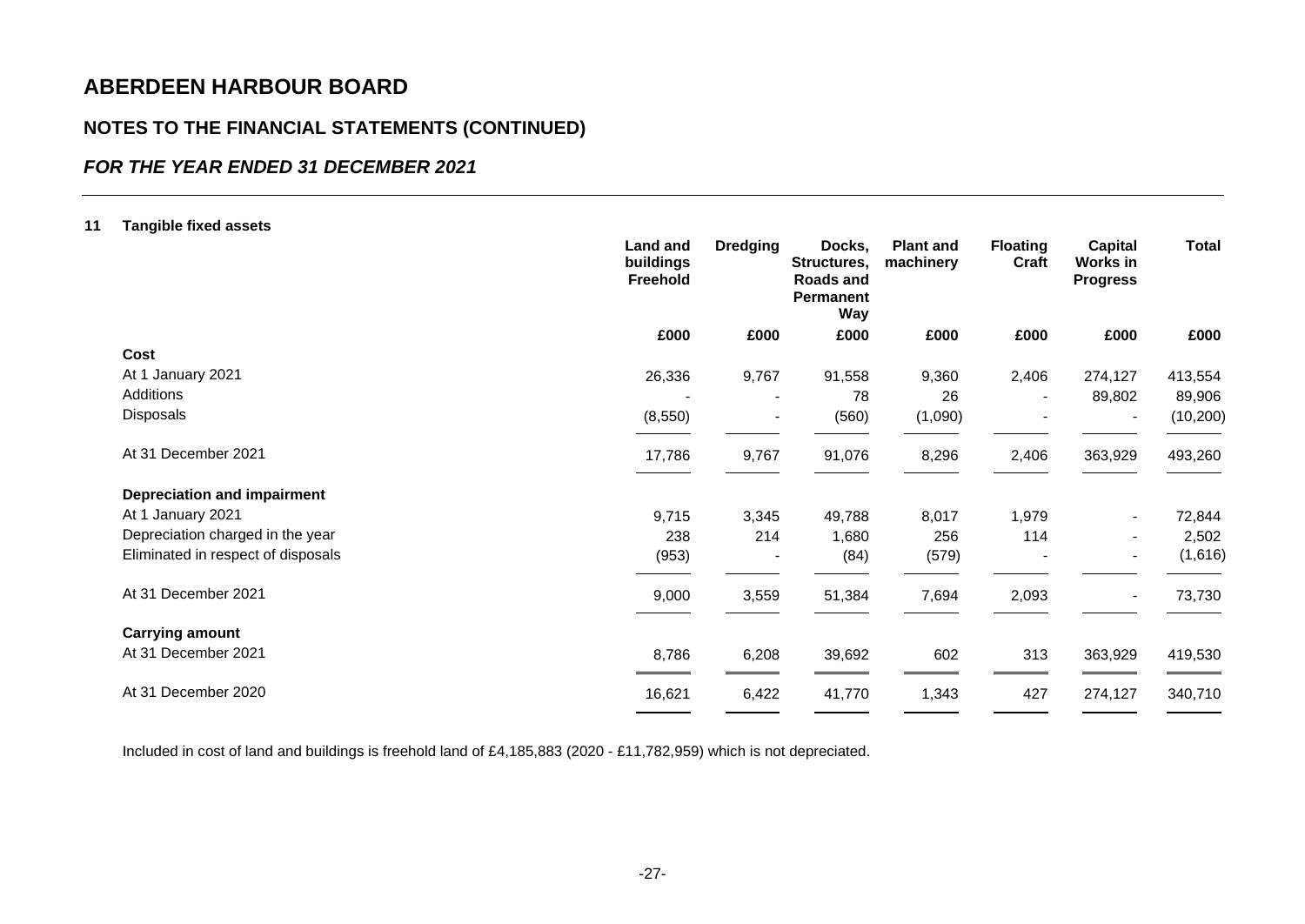### **NOTES TO THE FINANCIAL STATEMENTS (CONTINUED)**

### *FOR THE YEAR ENDED 31 DECEMBER 2021*

#### **11 Tangible fixed assets**

| <b>Land and</b><br>buildings<br>Freehold | <b>Dredging</b> | Docks,<br>Structures,<br>Roads and<br>Permanent<br><b>Way</b> | <b>Plant and</b><br>machinery | <b>Floating</b><br>Craft | <b>Capital</b><br>Works in<br><b>Progress</b> | <b>Total</b> |
|------------------------------------------|-----------------|---------------------------------------------------------------|-------------------------------|--------------------------|-----------------------------------------------|--------------|
| £000                                     | £000            | £000                                                          | £000                          | £000                     | £000                                          | £000         |
|                                          |                 |                                                               |                               |                          |                                               |              |
| 26,336                                   | 9,767           | 91,558                                                        | 9,360                         | 2,406                    | 274,127                                       | 413,554      |
|                                          |                 | 78                                                            | 26                            |                          | 89,802                                        | 89,906       |
| (8,550)                                  |                 | (560)                                                         | (1,090)                       |                          | $\blacksquare$                                | (10, 200)    |
| 17,786                                   | 9,767           | 91,076                                                        | 8,296                         | 2,406                    | 363,929                                       | 493,260      |
|                                          |                 |                                                               |                               |                          |                                               |              |
| 9,715                                    | 3,345           | 49,788                                                        | 8,017                         | 1,979                    | $\blacksquare$                                | 72,844       |
| 238                                      | 214             | 1,680                                                         | 256                           | 114                      | $\blacksquare$                                | 2,502        |
| (953)                                    |                 | (84)                                                          | (579)                         |                          | $\overline{\phantom{a}}$                      | (1,616)      |
| 9,000                                    | 3,559           | 51,384                                                        | 7,694                         | 2,093                    | $\qquad \qquad \blacksquare$                  | 73,730       |
|                                          |                 |                                                               |                               |                          |                                               |              |
| 8,786                                    | 6,208           | 39,692                                                        | 602                           | 313                      | 363,929                                       | 419,530      |
| 16,621                                   | 6,422           | 41,770                                                        | 1,343                         | 427                      | 274,127                                       | 340,710      |
|                                          |                 |                                                               |                               |                          |                                               |              |

Included in cost of land and buildings is freehold land of £4,185,883 (2020 - £11,782,959) which is not depreciated.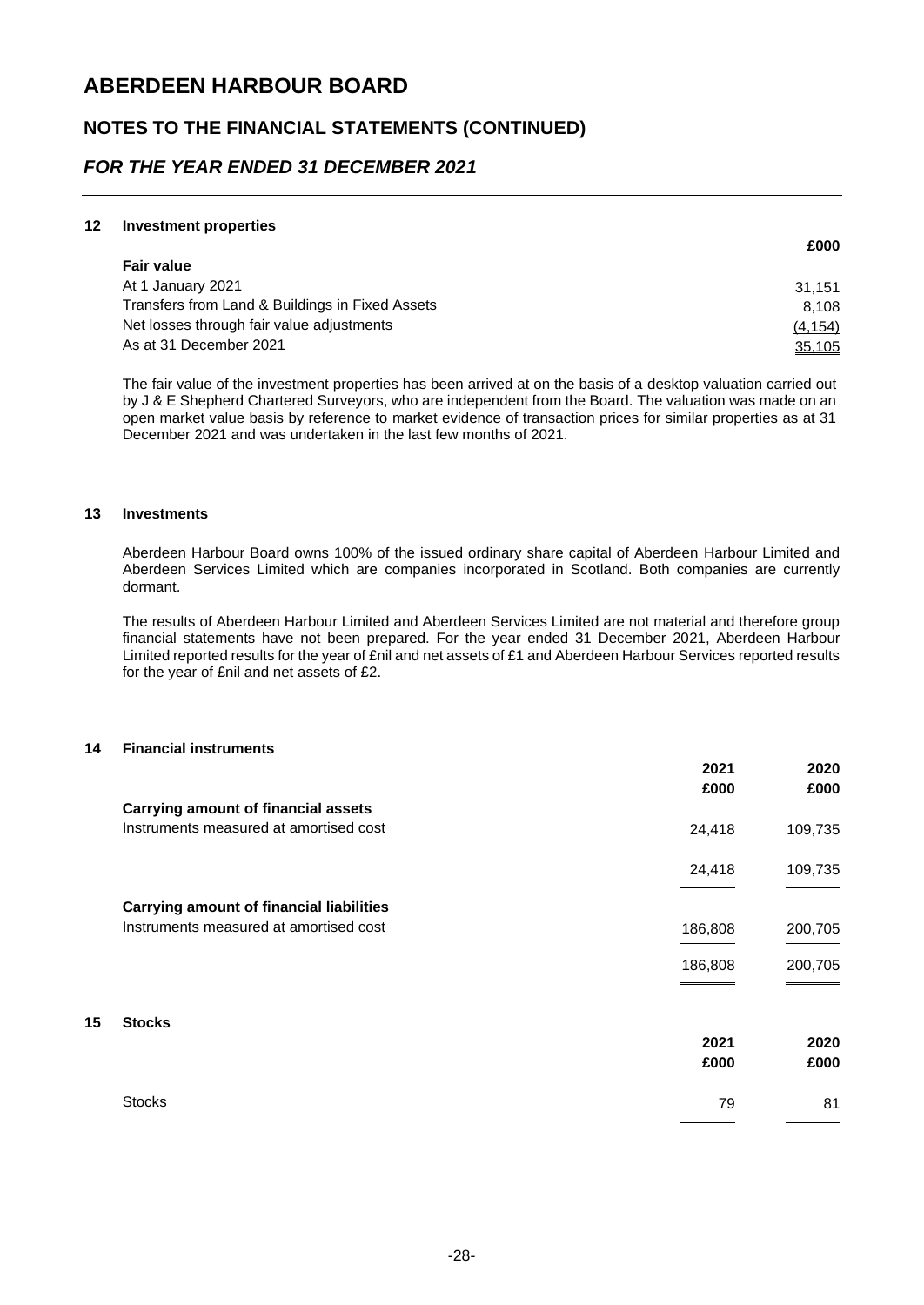### **NOTES TO THE FINANCIAL STATEMENTS (CONTINUED)**

### *FOR THE YEAR ENDED 31 DECEMBER 2021*

#### **12 Investment properties**

|                                                 | £000     |
|-------------------------------------------------|----------|
| <b>Fair value</b>                               |          |
| At 1 January 2021                               | 31.151   |
| Transfers from Land & Buildings in Fixed Assets | 8.108    |
| Net losses through fair value adjustments       | (4, 154) |
| As at 31 December 2021                          | 35,105   |

The fair value of the investment properties has been arrived at on the basis of a desktop valuation carried out by J & E Shepherd Chartered Surveyors, who are independent from the Board. The valuation was made on an open market value basis by reference to market evidence of transaction prices for similar properties as at 31 December 2021 and was undertaken in the last few months of 2021.

#### **13 Investments**

Aberdeen Harbour Board owns 100% of the issued ordinary share capital of Aberdeen Harbour Limited and Aberdeen Services Limited which are companies incorporated in Scotland. Both companies are currently dormant.

The results of Aberdeen Harbour Limited and Aberdeen Services Limited are not material and therefore group financial statements have not been prepared. For the year ended 31 December 2021, Aberdeen Harbour Limited reported results for the year of £nil and net assets of £1 and Aberdeen Harbour Services reported results for the year of £nil and net assets of £2.

#### **14 Financial instruments**

|    |                                                 | 2021<br>£000 | 2020<br>£000 |
|----|-------------------------------------------------|--------------|--------------|
|    | <b>Carrying amount of financial assets</b>      |              |              |
|    | Instruments measured at amortised cost          | 24,418       | 109,735      |
|    |                                                 | 24,418       | 109,735      |
|    | <b>Carrying amount of financial liabilities</b> |              |              |
|    | Instruments measured at amortised cost          | 186,808      | 200,705      |
|    |                                                 | 186,808      | 200,705      |
| 15 | <b>Stocks</b>                                   |              |              |
|    |                                                 | 2021<br>£000 | 2020<br>£000 |
|    |                                                 |              |              |
|    | <b>Stocks</b>                                   | 79           | 81           |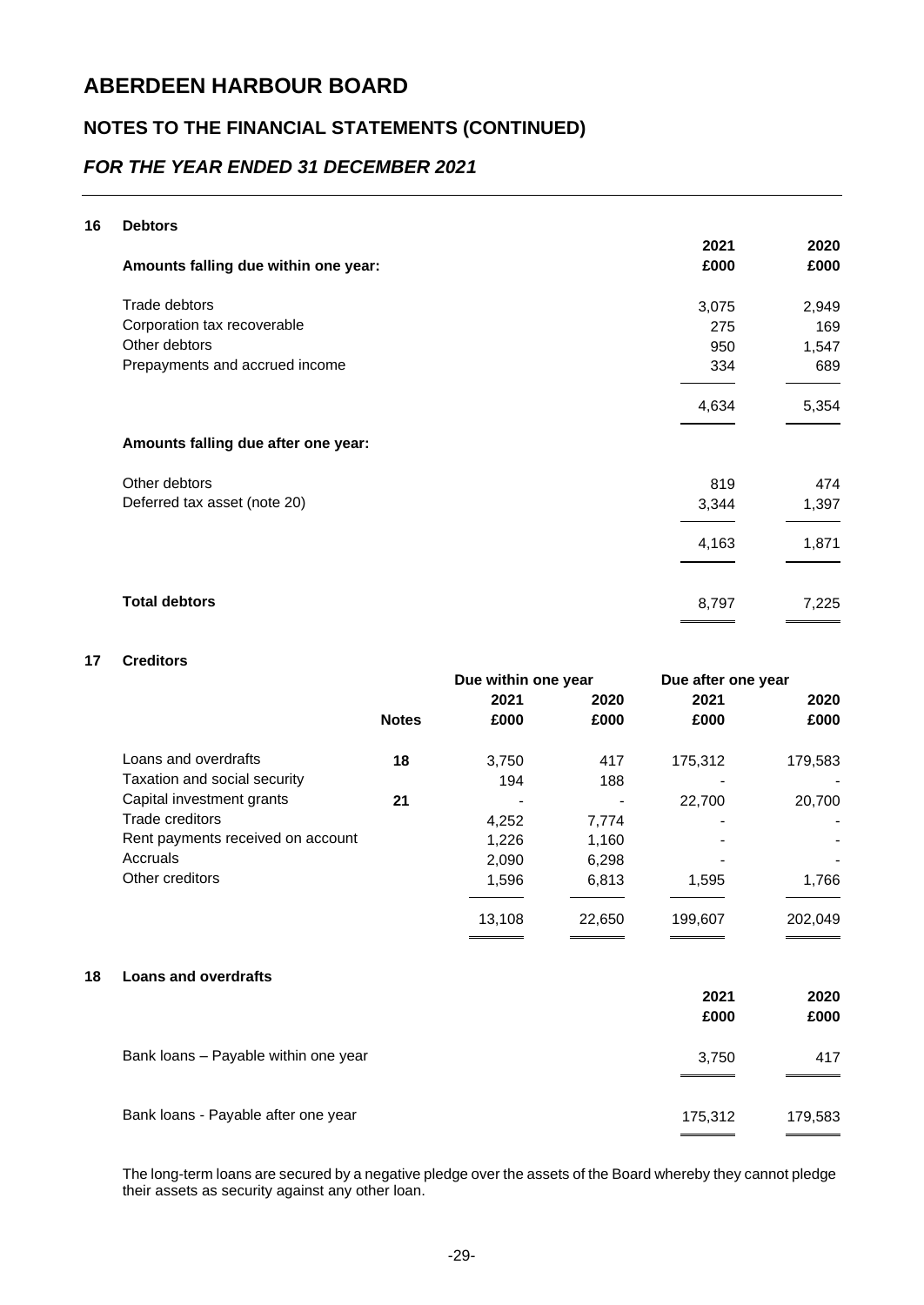### **NOTES TO THE FINANCIAL STATEMENTS (CONTINUED)**

### *FOR THE YEAR ENDED 31 DECEMBER 2021*

#### **16 Debtors**

| Amounts falling due within one year: | 2021<br>£000 | 2020<br>£000 |
|--------------------------------------|--------------|--------------|
| Trade debtors                        | 3,075        | 2,949        |
| Corporation tax recoverable          | 275          | 169          |
| Other debtors                        | 950          | 1,547        |
| Prepayments and accrued income       | 334          | 689          |
|                                      | 4,634        | 5,354        |
| Amounts falling due after one year:  |              |              |
| Other debtors                        | 819          | 474          |
| Deferred tax asset (note 20)         | 3,344        | 1,397        |
|                                      | 4,163        | 1,871        |
| <b>Total debtors</b>                 | 8,797        | 7,225        |

#### **17 Creditors**

|    |                                   | Due within one year |        | Due after one year |         |         |
|----|-----------------------------------|---------------------|--------|--------------------|---------|---------|
|    |                                   |                     | 2021   | 2020               | 2021    | 2020    |
|    |                                   | <b>Notes</b>        | £000   | £000               | £000    | £000    |
|    | Loans and overdrafts              | 18                  | 3,750  | 417                | 175,312 | 179,583 |
|    | Taxation and social security      |                     | 194    | 188                |         |         |
|    | Capital investment grants         | 21                  |        |                    | 22,700  | 20,700  |
|    | Trade creditors                   |                     | 4,252  | 7,774              |         |         |
|    | Rent payments received on account |                     | 1,226  | 1,160              |         |         |
|    | Accruals                          |                     | 2,090  | 6,298              |         |         |
|    | Other creditors                   |                     | 1,596  | 6,813              | 1,595   | 1,766   |
|    |                                   |                     | 13,108 | 22,650             | 199,607 | 202,049 |
| 18 | <b>Loans and overdrafts</b>       |                     |        |                    | 2021    | 2020    |
|    |                                   |                     |        |                    | £000    | £000    |
|    |                                   |                     |        |                    |         |         |

| Bank loans - Payable after one year | 175.312 | 179,583 |
|-------------------------------------|---------|---------|
|                                     |         | _______ |

Bank loans – Payable within one year 3,750 417

The long-term loans are secured by a negative pledge over the assets of the Board whereby they cannot pledge their assets as security against any other loan.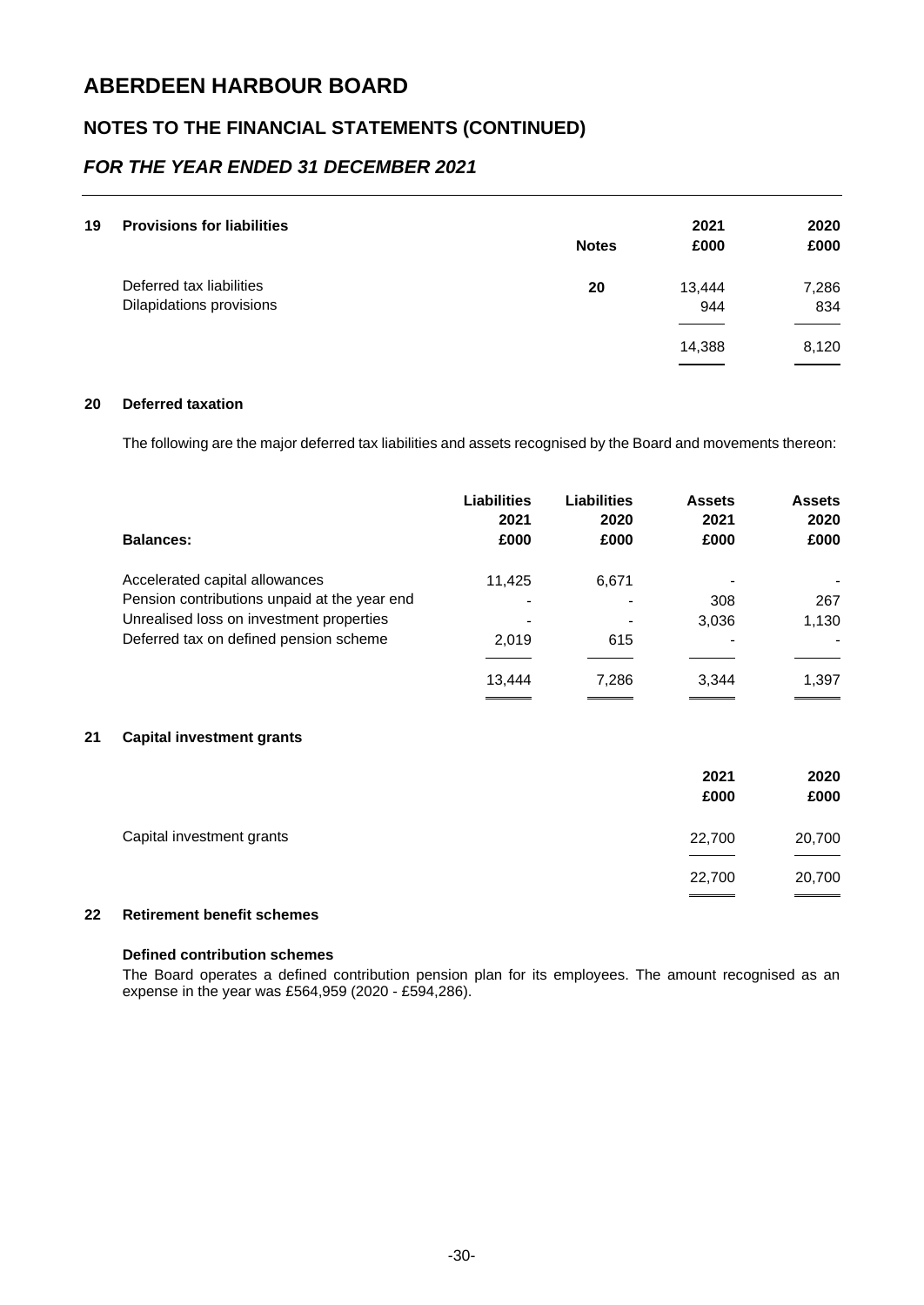### **NOTES TO THE FINANCIAL STATEMENTS (CONTINUED)**

### *FOR THE YEAR ENDED 31 DECEMBER 2021*

| 19 | <b>Provisions for liabilities</b>                    | <b>Notes</b> | 2021<br>£000  | 2020<br>£000 |
|----|------------------------------------------------------|--------------|---------------|--------------|
|    | Deferred tax liabilities<br>Dilapidations provisions | 20           | 13,444<br>944 | 7,286<br>834 |
|    |                                                      |              | 14,388        | 8,120        |

#### **20 Deferred taxation**

The following are the major deferred tax liabilities and assets recognised by the Board and movements thereon:

| <b>Balances:</b>                                                                   | <b>Liabilities</b><br>2021<br>£000 | <b>Liabilities</b><br>2020<br>£000 | <b>Assets</b><br>2021<br>£000 | <b>Assets</b><br>2020<br>£000 |
|------------------------------------------------------------------------------------|------------------------------------|------------------------------------|-------------------------------|-------------------------------|
| Accelerated capital allowances<br>Pension contributions unpaid at the year end     | 11,425                             | 6,671                              | 308                           | 267                           |
| Unrealised loss on investment properties<br>Deferred tax on defined pension scheme | 2.019                              | 615                                | 3,036                         | 1,130                         |
|                                                                                    | 13.444                             | 7.286                              | 3,344                         | 1,397                         |

#### **21 Capital investment grants**

|                           | 2021<br>£000 | 2020<br>£000 |
|---------------------------|--------------|--------------|
| Capital investment grants | 22,700       | 20,700       |
|                           | 22,700       | 20,700       |

#### **22 Retirement benefit schemes**

#### **Defined contribution schemes**

The Board operates a defined contribution pension plan for its employees. The amount recognised as an expense in the year was £564,959 (2020 - £594,286).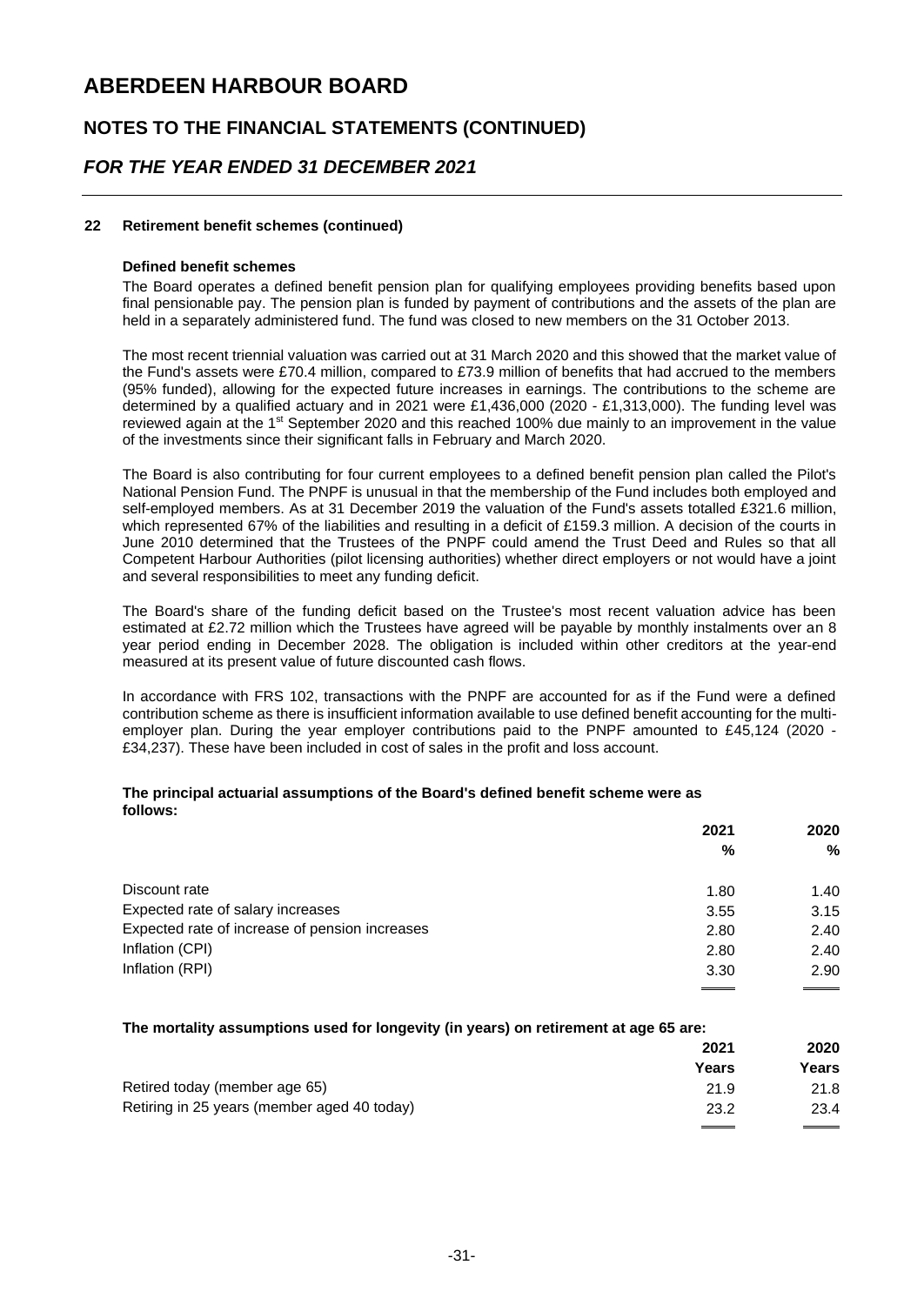### **NOTES TO THE FINANCIAL STATEMENTS (CONTINUED)**

### *FOR THE YEAR ENDED 31 DECEMBER 2021*

#### **22 Retirement benefit schemes (continued)**

#### **Defined benefit schemes**

The Board operates a defined benefit pension plan for qualifying employees providing benefits based upon final pensionable pay. The pension plan is funded by payment of contributions and the assets of the plan are held in a separately administered fund. The fund was closed to new members on the 31 October 2013.

The most recent triennial valuation was carried out at 31 March 2020 and this showed that the market value of the Fund's assets were £70.4 million, compared to £73.9 million of benefits that had accrued to the members (95% funded), allowing for the expected future increases in earnings. The contributions to the scheme are determined by a qualified actuary and in 2021 were £1,436,000 (2020 - £1,313,000). The funding level was reviewed again at the 1st September 2020 and this reached 100% due mainly to an improvement in the value of the investments since their significant falls in February and March 2020.

The Board is also contributing for four current employees to a defined benefit pension plan called the Pilot's National Pension Fund. The PNPF is unusual in that the membership of the Fund includes both employed and self-employed members. As at 31 December 2019 the valuation of the Fund's assets totalled £321.6 million, which represented 67% of the liabilities and resulting in a deficit of £159.3 million. A decision of the courts in June 2010 determined that the Trustees of the PNPF could amend the Trust Deed and Rules so that all Competent Harbour Authorities (pilot licensing authorities) whether direct employers or not would have a joint and several responsibilities to meet any funding deficit.

The Board's share of the funding deficit based on the Trustee's most recent valuation advice has been estimated at £2.72 million which the Trustees have agreed will be payable by monthly instalments over an 8 year period ending in December 2028. The obligation is included within other creditors at the year-end measured at its present value of future discounted cash flows.

In accordance with FRS 102, transactions with the PNPF are accounted for as if the Fund were a defined contribution scheme as there is insufficient information available to use defined benefit accounting for the multiemployer plan. During the year employer contributions paid to the PNPF amounted to £45,124 (2020 - £34,237). These have been included in cost of sales in the profit and loss account.

#### **The principal actuarial assumptions of the Board's defined benefit scheme were as follows:**

| 2021 | 2020 |
|------|------|
| %    | %    |
| 1.80 | 1.40 |
| 3.55 | 3.15 |
| 2.80 | 2.40 |
| 2.80 | 2.40 |
| 3.30 | 2.90 |
|      |      |

#### **The mortality assumptions used for longevity (in years) on retirement at age 65 are:**

|                                             | 2021  | 2020  |
|---------------------------------------------|-------|-------|
|                                             | Years | Years |
| Retired today (member age 65)               | 21.9  | 21.8  |
| Retiring in 25 years (member aged 40 today) | 23.2  | 23.4  |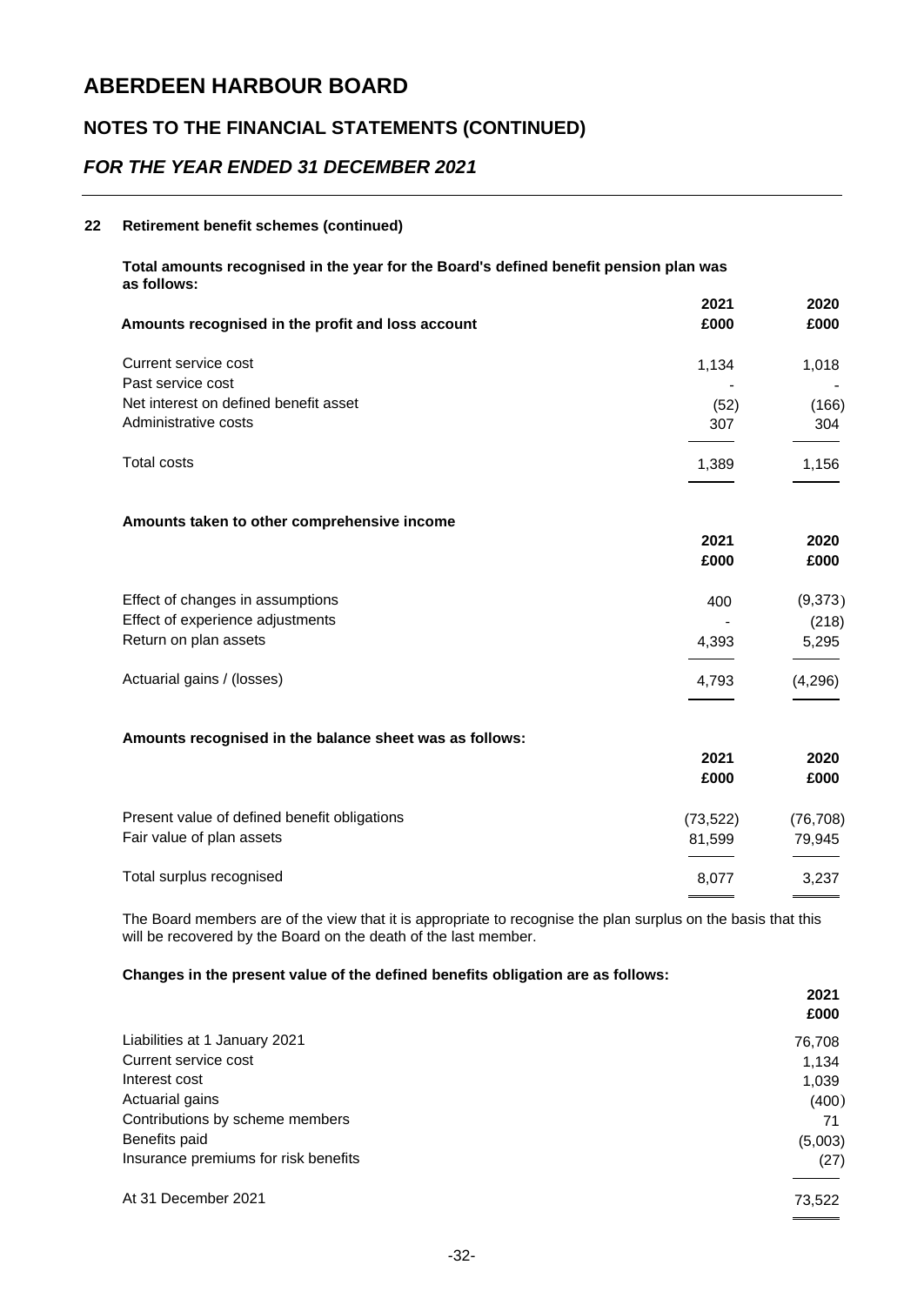### **NOTES TO THE FINANCIAL STATEMENTS (CONTINUED)**

### *FOR THE YEAR ENDED 31 DECEMBER 2021*

#### **22 Retirement benefit schemes (continued)**

|                                                         | 2021      | 2020      |
|---------------------------------------------------------|-----------|-----------|
| Amounts recognised in the profit and loss account       | £000      | £000      |
| Current service cost                                    | 1,134     | 1,018     |
| Past service cost                                       |           |           |
| Net interest on defined benefit asset                   | (52)      | (166)     |
| Administrative costs                                    | 307       | 304       |
| <b>Total costs</b>                                      | 1,389     | 1,156     |
| Amounts taken to other comprehensive income             |           |           |
|                                                         | 2021      | 2020      |
|                                                         | £000      | £000      |
| Effect of changes in assumptions                        | 400       | (9,373)   |
| Effect of experience adjustments                        |           | (218)     |
| Return on plan assets                                   | 4,393     | 5,295     |
| Actuarial gains / (losses)                              | 4,793     | (4,296)   |
|                                                         |           |           |
| Amounts recognised in the balance sheet was as follows: |           |           |
|                                                         | 2021      | 2020      |
|                                                         | £000      | £000      |
| Present value of defined benefit obligations            | (73, 522) | (76, 708) |
| Fair value of plan assets                               | 81,599    | 79,945    |
| Total surplus recognised                                | 8,077     | 3,237     |
|                                                         |           |           |

The Board members are of the view that it is appropriate to recognise the plan surplus on the basis that this will be recovered by the Board on the death of the last member.

#### **Changes in the present value of the defined benefits obligation are as follows:**

|                                      | 2021<br>£000 |
|--------------------------------------|--------------|
| Liabilities at 1 January 2021        | 76,708       |
| Current service cost                 | 1,134        |
| Interest cost                        | 1,039        |
| Actuarial gains                      | (400)        |
| Contributions by scheme members      | 71           |
| Benefits paid                        | (5,003)      |
| Insurance premiums for risk benefits | (27)         |
| At 31 December 2021                  | 73,522       |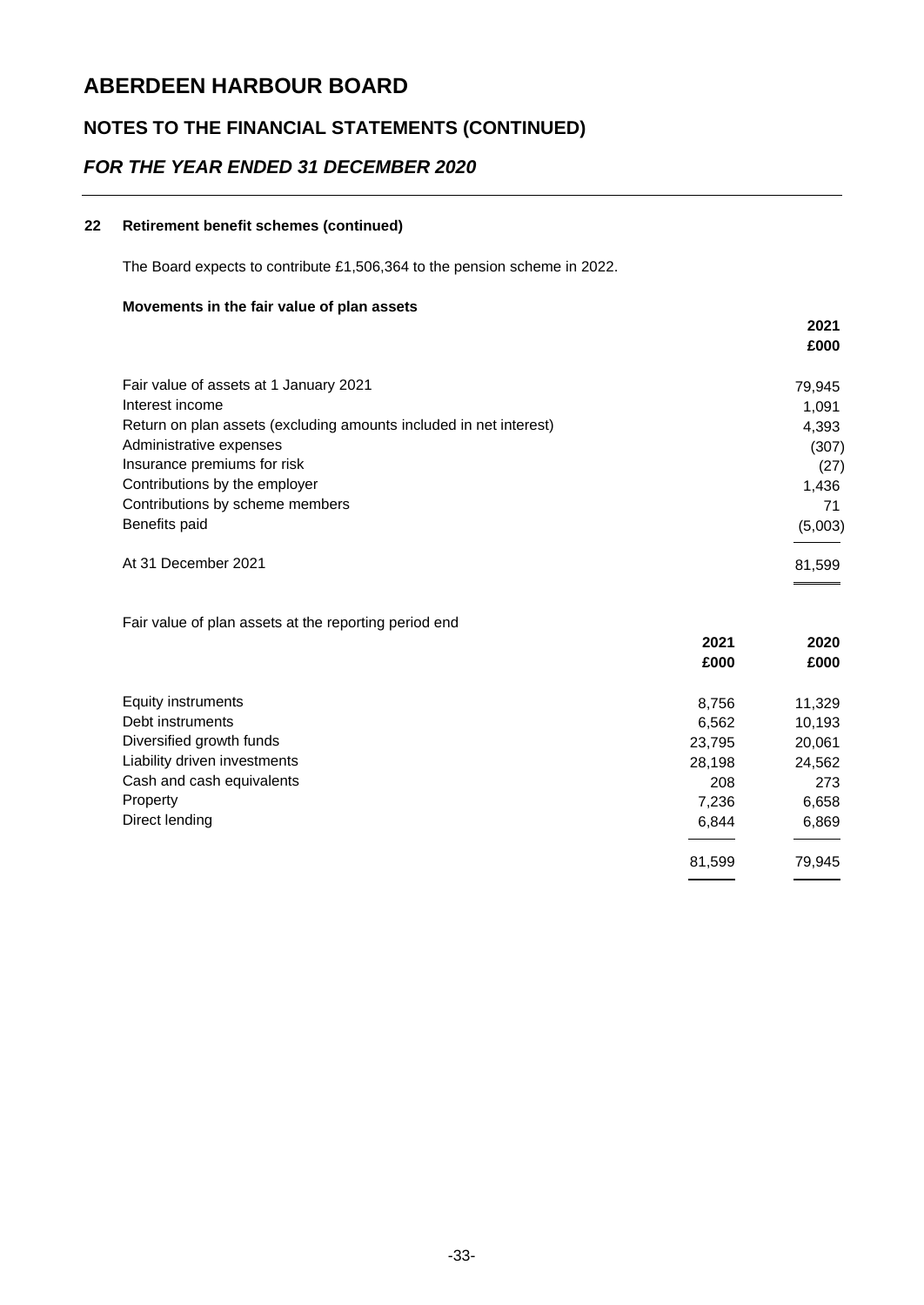## **NOTES TO THE FINANCIAL STATEMENTS (CONTINUED)**

### *FOR THE YEAR ENDED 31 DECEMBER 2020*

#### **22 Retirement benefit schemes (continued)**

The Board expects to contribute £1,506,364 to the pension scheme in 2022.

#### **Movements in the fair value of plan assets**

|                                                                    | 2021    |
|--------------------------------------------------------------------|---------|
|                                                                    | £000    |
| Fair value of assets at 1 January 2021                             | 79,945  |
| Interest income                                                    | 1.091   |
| Return on plan assets (excluding amounts included in net interest) | 4,393   |
| Administrative expenses                                            | (307)   |
| Insurance premiums for risk                                        | (27)    |
| Contributions by the employer                                      | 1,436   |
| Contributions by scheme members                                    | 71      |
| Benefits paid                                                      | (5,003) |
| At 31 December 2021                                                | 81,599  |

Fair value of plan assets at the reporting period end

|                              | 2021   | 2020   |
|------------------------------|--------|--------|
|                              | £000   | £000   |
| Equity instruments           | 8,756  | 11,329 |
| Debt instruments             | 6,562  | 10,193 |
| Diversified growth funds     | 23,795 | 20,061 |
| Liability driven investments | 28,198 | 24,562 |
| Cash and cash equivalents    | 208    | 273    |
| Property                     | 7,236  | 6,658  |
| Direct lending               | 6,844  | 6,869  |
|                              | 81,599 | 79,945 |
|                              |        |        |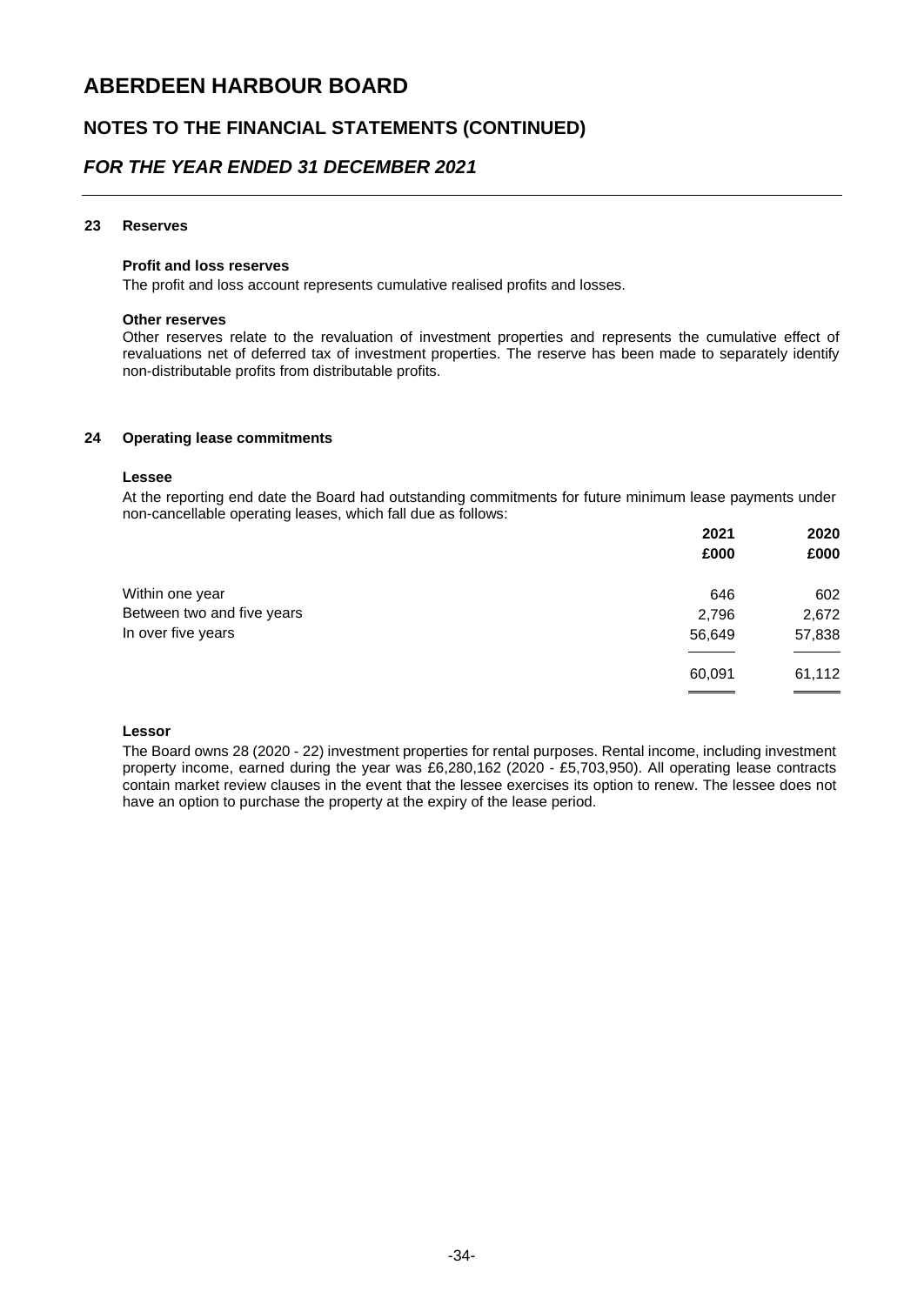### **NOTES TO THE FINANCIAL STATEMENTS (CONTINUED)**

### *FOR THE YEAR ENDED 31 DECEMBER 2021*

#### **23 Reserves**

#### **Profit and loss reserves**

The profit and loss account represents cumulative realised profits and losses.

#### **Other reserves**

Other reserves relate to the revaluation of investment properties and represents the cumulative effect of revaluations net of deferred tax of investment properties. The reserve has been made to separately identify non-distributable profits from distributable profits.

#### **24 Operating lease commitments**

#### **Lessee**

At the reporting end date the Board had outstanding commitments for future minimum lease payments under non-cancellable operating leases, which fall due as follows:

|                            | 2021   | 2020   |
|----------------------------|--------|--------|
|                            | £000   | £000   |
| Within one year            | 646    | 602    |
| Between two and five years | 2,796  | 2,672  |
| In over five years         | 56,649 | 57,838 |
|                            | 60,091 | 61,112 |
|                            |        |        |

#### **Lessor**

The Board owns 28 (2020 - 22) investment properties for rental purposes. Rental income, including investment property income, earned during the year was £6,280,162 (2020 - £5,703,950). All operating lease contracts contain market review clauses in the event that the lessee exercises its option to renew. The lessee does not have an option to purchase the property at the expiry of the lease period.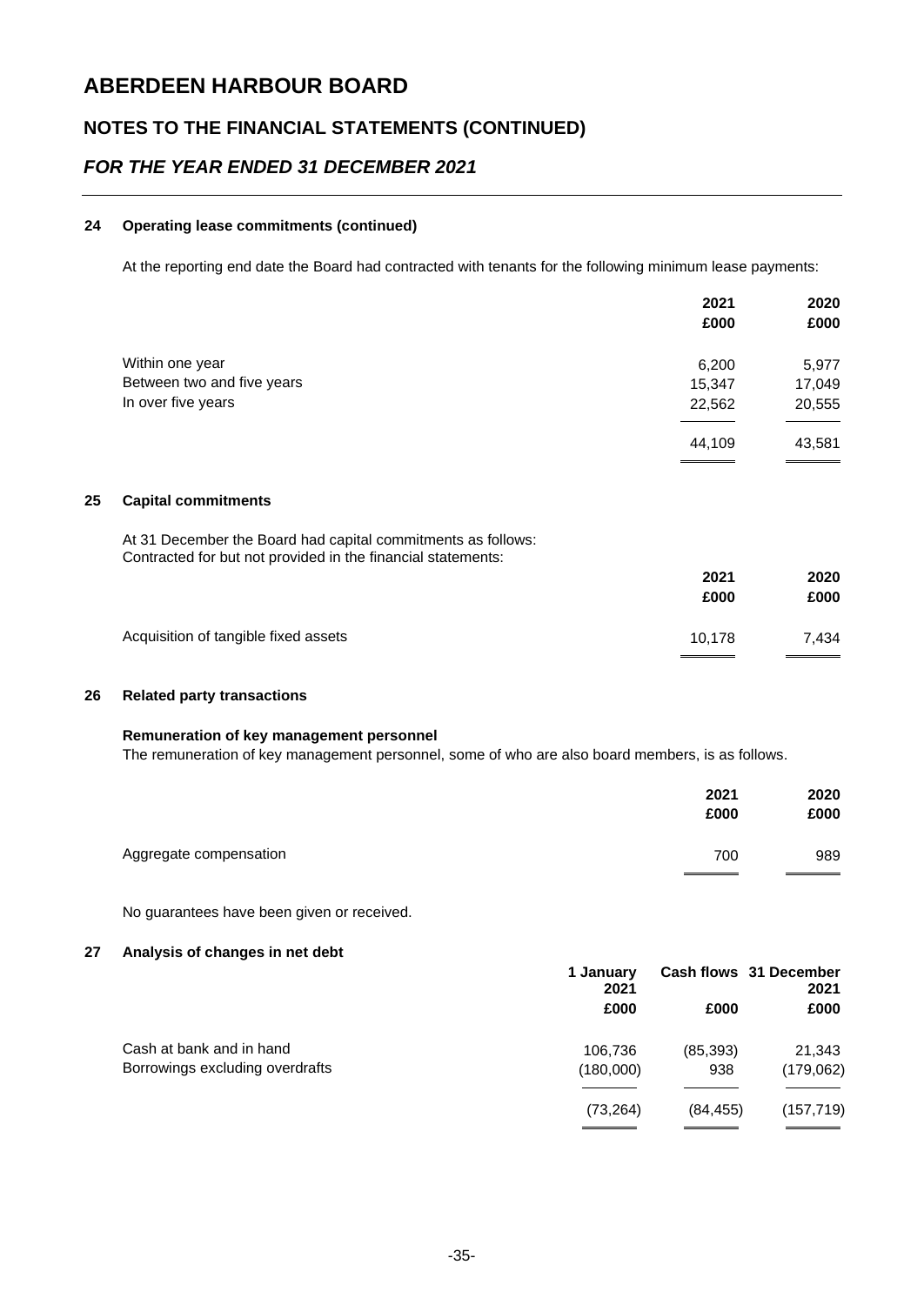### **NOTES TO THE FINANCIAL STATEMENTS (CONTINUED)**

### *FOR THE YEAR ENDED 31 DECEMBER 2021*

#### **24 Operating lease commitments (continued)**

At the reporting end date the Board had contracted with tenants for the following minimum lease payments:

|                            | 2021   | 2020   |
|----------------------------|--------|--------|
|                            | £000   | £000   |
| Within one year            | 6,200  | 5,977  |
| Between two and five years | 15,347 | 17,049 |
| In over five years         | 22,562 | 20,555 |
|                            | 44,109 | 43,581 |

#### **25 Capital commitments**

At 31 December the Board had capital commitments as follows: Contracted for but not provided in the financial statements:

|                                      | 2021<br>£000 | 2020<br>£000 |
|--------------------------------------|--------------|--------------|
| Acquisition of tangible fixed assets | 10.178       | 7.434        |

#### **26 Related party transactions**

#### **Remuneration of key management personnel**

The remuneration of key management personnel, some of who are also board members, is as follows.

|                        | 2021<br>£000 | 2020<br>£000 |
|------------------------|--------------|--------------|
| Aggregate compensation | 700          | 989          |

No guarantees have been given or received.

#### **27 Analysis of changes in net debt**

| 1 Januarv<br>2021<br>£000 |           | Cash flows 31 December<br>2021 |  |
|---------------------------|-----------|--------------------------------|--|
|                           | £000      | £000                           |  |
| 106,736                   | (85, 393) | 21,343                         |  |
| (180,000)                 | 938       | (179,062)                      |  |
| (73, 264)                 | (84.455)  | (157, 719)                     |  |
|                           |           |                                |  |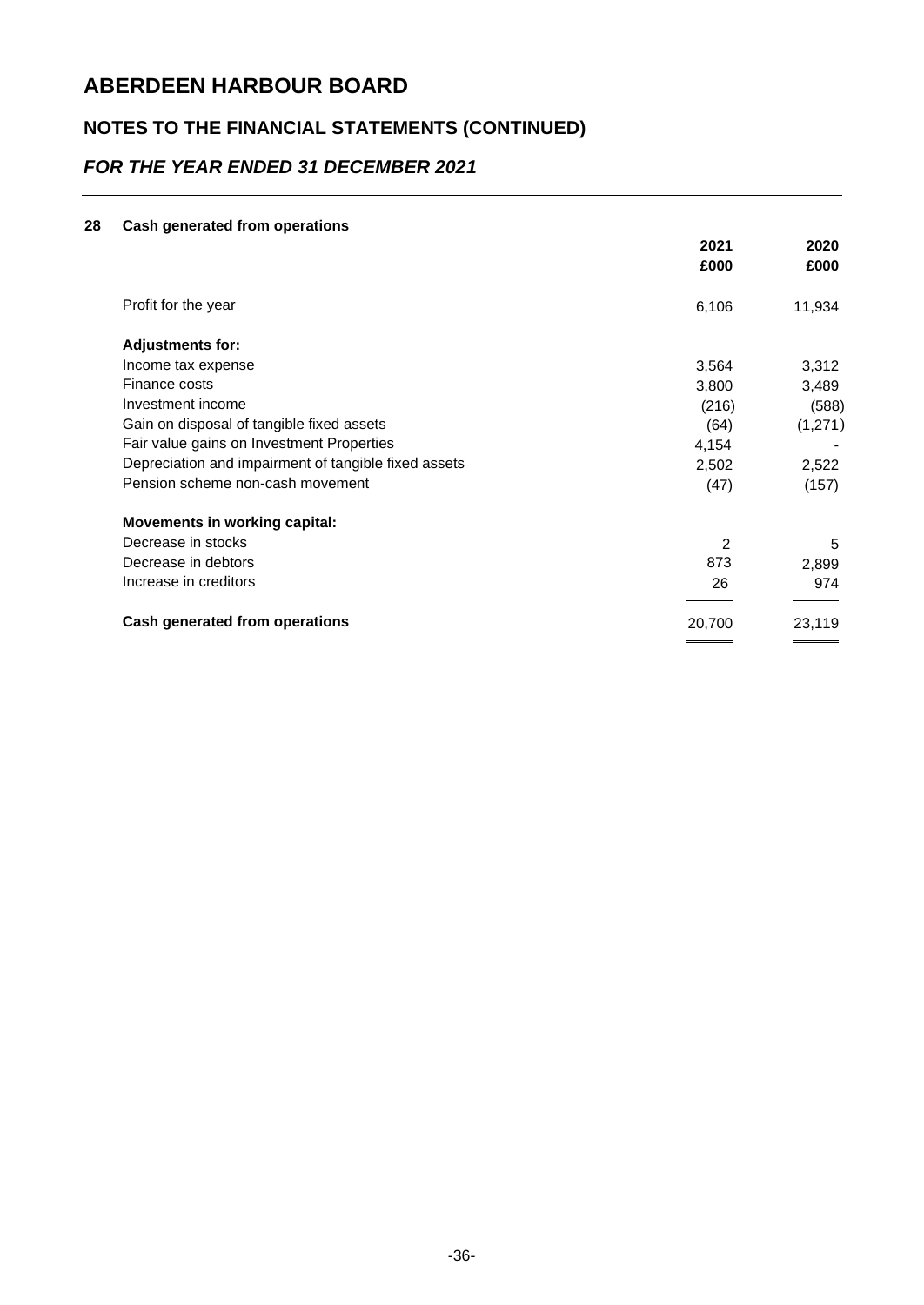## **NOTES TO THE FINANCIAL STATEMENTS (CONTINUED)**

## *FOR THE YEAR ENDED 31 DECEMBER 2021*

#### **28 Cash generated from operations**

|                                                      | 2021<br>£000 | 2020<br>£000 |
|------------------------------------------------------|--------------|--------------|
| Profit for the year                                  | 6,106        | 11,934       |
| <b>Adjustments for:</b>                              |              |              |
| Income tax expense                                   | 3,564        | 3,312        |
| Finance costs                                        | 3,800        | 3,489        |
| Investment income                                    | (216)        | (588)        |
| Gain on disposal of tangible fixed assets            | (64)         | (1,271)      |
| Fair value gains on Investment Properties            | 4,154        |              |
| Depreciation and impairment of tangible fixed assets | 2,502        | 2,522        |
| Pension scheme non-cash movement                     | (47)         | (157)        |
| <b>Movements in working capital:</b>                 |              |              |
| Decrease in stocks                                   | 2            | 5            |
| Decrease in debtors                                  | 873          | 2,899        |
| Increase in creditors                                | 26           | 974          |
| <b>Cash generated from operations</b>                | 20,700       | 23,119       |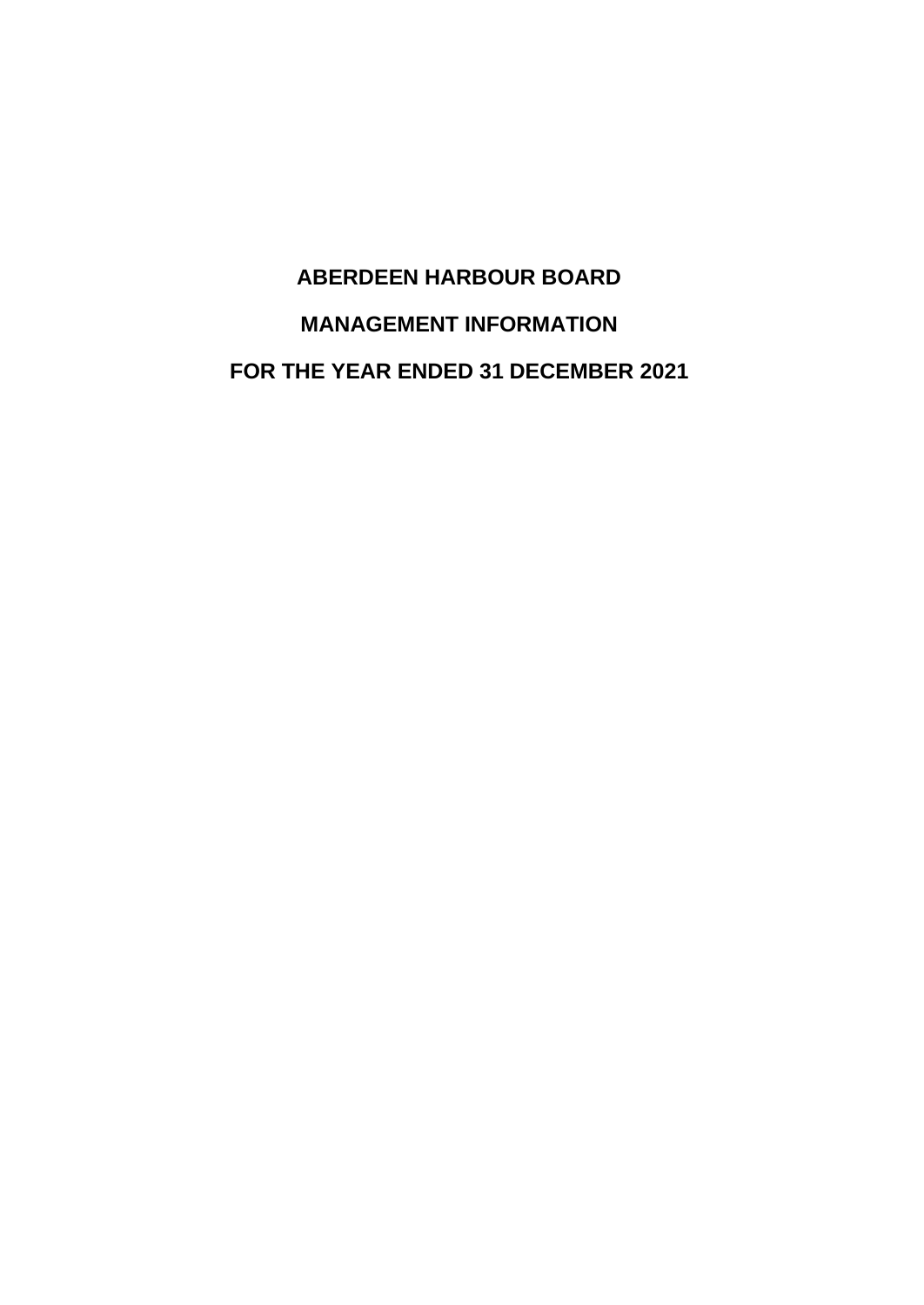# **ABERDEEN HARBOUR BOARD MANAGEMENT INFORMATION FOR THE YEAR ENDED 31 DECEMBER 2021**